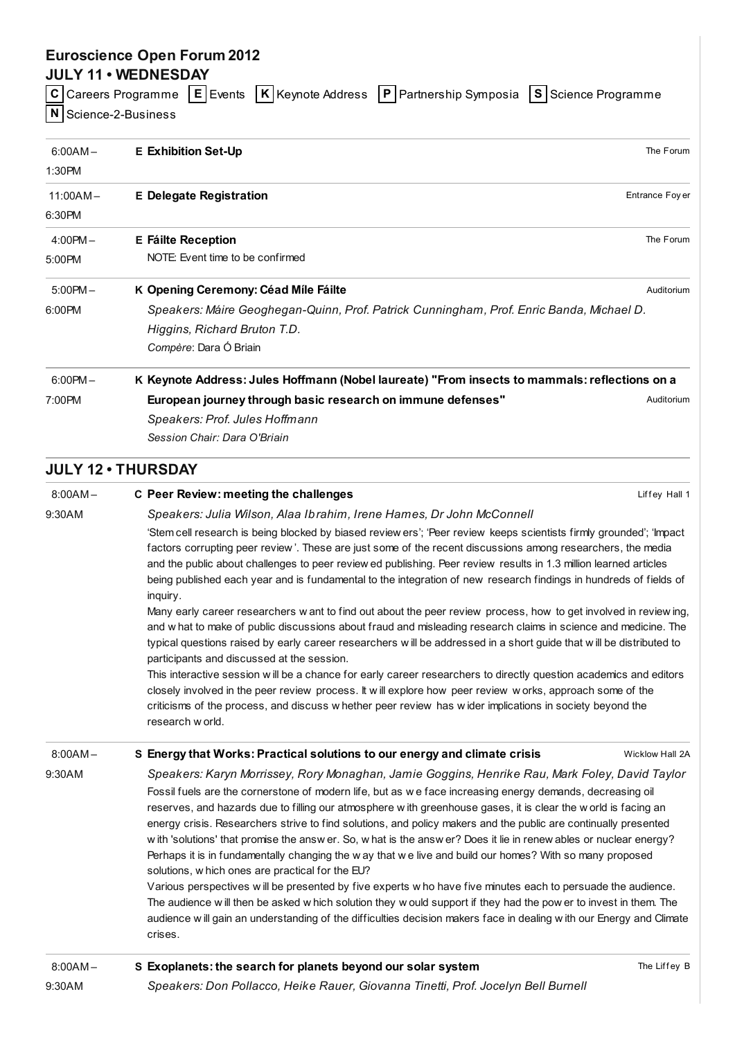# Euroscience Open Forum 2012

## JULY 11 • WEDNESDAY

|                        |  | C Careers Programme E Events K Keynote Address P Partnership Symposia S Science Programme |  |
|------------------------|--|-------------------------------------------------------------------------------------------|--|
| $N$ Science-2-Business |  |                                                                                           |  |

| $6:00AM -$<br>1:30PM | <b>E</b> Exhibition Set-Up                                                                    | The Forum       |
|----------------------|-----------------------------------------------------------------------------------------------|-----------------|
| $11:00AM -$          | <b>E</b> Delegate Registration                                                                | Entrance Foy er |
| 6:30PM               |                                                                                               |                 |
| $4:00PM -$           | <b>E</b> Fáilte Reception                                                                     | The Forum       |
| 5:00PM               | NOTE: Event time to be confirmed                                                              |                 |
| $5:00PM -$           | K Opening Ceremony: Céad Mile Fáilte                                                          | Auditorium      |
| 6:00PM               | Speakers: Máire Geoghegan-Quinn, Prof. Patrick Cunningham, Prof. Enric Banda, Michael D.      |                 |
|                      | Higgins, Richard Bruton T.D.                                                                  |                 |
|                      | Compère: Dara Ó Briain                                                                        |                 |
| $6:00$ PM $-$        | K Keynote Address: Jules Hoffmann (Nobel laureate) "From insects to mammals: reflections on a |                 |
| 7:00PM               | European journey through basic research on immune defenses"                                   | Auditorium      |
|                      | Speakers: Prof. Jules Hoffmann                                                                |                 |
|                      | Session Chair: Dara O'Briain                                                                  |                 |

## JULY 12 • THURSDAY

| $8:00AM -$ | C Peer Review: meeting the challenges                                                                                                                                                                                                                                                                                                                                                                                                                                                                                                                                                                                                                                                                                                                                                                                                                                                                                                                                                                                                                                                                                                                                                                                                                                 | Liffey Hall 1   |  |
|------------|-----------------------------------------------------------------------------------------------------------------------------------------------------------------------------------------------------------------------------------------------------------------------------------------------------------------------------------------------------------------------------------------------------------------------------------------------------------------------------------------------------------------------------------------------------------------------------------------------------------------------------------------------------------------------------------------------------------------------------------------------------------------------------------------------------------------------------------------------------------------------------------------------------------------------------------------------------------------------------------------------------------------------------------------------------------------------------------------------------------------------------------------------------------------------------------------------------------------------------------------------------------------------|-----------------|--|
| 9:30AM     | Speakers: Julia Wilson, Alaa Ibrahim, Irene Hames, Dr John McConnell                                                                                                                                                                                                                                                                                                                                                                                                                                                                                                                                                                                                                                                                                                                                                                                                                                                                                                                                                                                                                                                                                                                                                                                                  |                 |  |
|            | 'Stem cell research is being blocked by biased review ers'; 'Peer review keeps scientists firmly grounded'; 'Impact<br>factors corrupting peer review'. These are just some of the recent discussions among researchers, the media<br>and the public about challenges to peer review ed publishing. Peer review results in 1.3 million learned articles<br>being published each year and is fundamental to the integration of new research findings in hundreds of fields of<br>inquiry.<br>Many early career researchers w ant to find out about the peer review process, how to get involved in reviewing,<br>and w hat to make of public discussions about fraud and misleading research claims in science and medicine. The<br>typical questions raised by early career researchers will be addressed in a short guide that will be distributed to<br>participants and discussed at the session.<br>This interactive session will be a chance for early career researchers to directly question academics and editors<br>closely involved in the peer review process. It will explore how peer review works, approach some of the<br>criticisms of the process, and discuss w hether peer review has wider implications in society beyond the<br>research w orld. |                 |  |
|            |                                                                                                                                                                                                                                                                                                                                                                                                                                                                                                                                                                                                                                                                                                                                                                                                                                                                                                                                                                                                                                                                                                                                                                                                                                                                       |                 |  |
| $8:00AM -$ | S Energy that Works: Practical solutions to our energy and climate crisis                                                                                                                                                                                                                                                                                                                                                                                                                                                                                                                                                                                                                                                                                                                                                                                                                                                                                                                                                                                                                                                                                                                                                                                             | Wicklow Hall 2A |  |
| 9:30AM     | Speakers: Karyn Morrissey, Rory Monaghan, Jamie Goggins, Henrike Rau, Mark Foley, David Taylor<br>Fossil fuels are the cornerstone of modern life, but as we face increasing energy demands, decreasing oil<br>reserves, and hazards due to filling our atmosphere with greenhouse gases, it is clear the world is facing an<br>energy crisis. Researchers strive to find solutions, and policy makers and the public are continually presented<br>with 'solutions' that promise the answ er. So, what is the answ er? Does it lie in renew ables or nuclear energy?<br>Perhaps it is in fundamentally changing the w ay that we live and build our homes? With so many proposed<br>solutions, w hich ones are practical for the EU?<br>Various perspectives will be presented by five experts w ho have five minutes each to persuade the audience.<br>The audience will then be asked which solution they would support if they had the power to invest in them. The<br>audience will gain an understanding of the difficulties decision makers face in dealing with our Energy and Climate<br>crises.                                                                                                                                                              |                 |  |
| $8:00AM -$ | S Exoplanets: the search for planets beyond our solar system                                                                                                                                                                                                                                                                                                                                                                                                                                                                                                                                                                                                                                                                                                                                                                                                                                                                                                                                                                                                                                                                                                                                                                                                          | The Liffey B    |  |
| 9:30AM     | Speakers: Don Pollacco, Heike Rauer, Giovanna Tinetti, Prof. Jocelyn Bell Burnell                                                                                                                                                                                                                                                                                                                                                                                                                                                                                                                                                                                                                                                                                                                                                                                                                                                                                                                                                                                                                                                                                                                                                                                     |                 |  |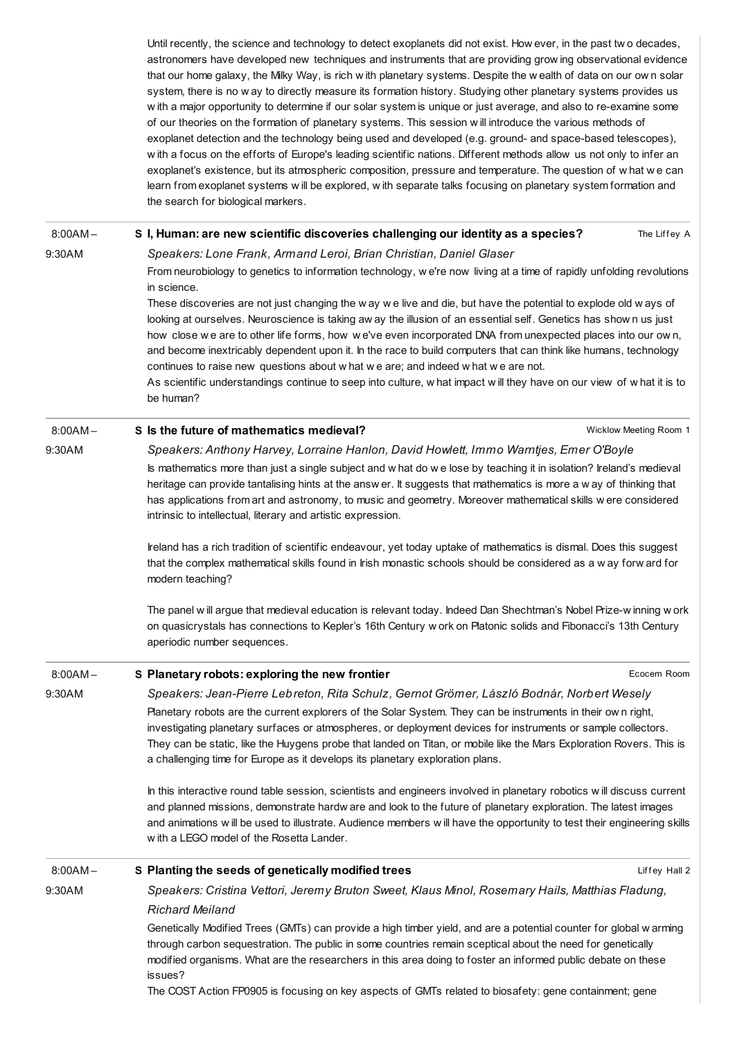Until recently, the science and technology to detect exoplanets did not exist. How ever, in the past tw o decades, astronomers have developed new techniques and instruments that are providing grow ing observational evidence that our home galaxy, the Milky Way, is rich w ith planetary systems. Despite the w ealth of data on our ow n solar system, there is no w ay to directly measure its formation history. Studying other planetary systems provides us w ith a major opportunity to determine if our solar system is unique or just average, and also to re-examine some of our theories on the formation of planetary systems. This session w ill introduce the various methods of exoplanet detection and the technology being used and developed (e.g. ground- and space-based telescopes), w ith a focus on the efforts of Europe's leading scientific nations. Different methods allow us not only to infer an exoplanet's existence, but its atmospheric composition, pressure and temperature. The question of w hat w e can learn from exoplanet systems w ill be explored, w ith separate talks focusing on planetary system formation and the search for biological markers.

8:00AM –

S I, Human: are new scientific [discoveries](http://esof2012.sched.org/event/e10887068f119f6691b3a18e0e593051) challenging our identity as a species? Speakers: Lone Frank, Armand Leroi, Brian Christian, Daniel Glaser

The Liffey A

9:30AM

From neurobiology to genetics to information technology, w e're now living at a time of rapidly unfolding revolutions in science.

These discoveries are not just changing the w ay w e live and die, but have the potential to explode old w ays of looking at ourselves. Neuroscience is taking aw ay the illusion of an essential self. Genetics has show n us just how close we are to other life forms, how we've even incorporated DNA from unexpected places into our ow n, and become inextricably dependent upon it. In the race to build computers that can think like humans, technology continues to raise new questions about w hat w e are; and indeed w hat w e are not.

As scientific understandings continue to seep into culture, w hat impact w ill they have on our view of w hat it is to be human?

### 8:00AM – S Is the future of [mathematics](http://esof2012.sched.org/event/3af539d5dee53b526eb9d79bd86f00cc) medieval?

9:30AM

Speakers: Anthony Harvey, Lorraine Hanlon, David Howlett, Immo Warntjes, Emer O'Boyle

Wicklow Meeting Room 1

Is mathematics more than just a single subject and w hat do w e lose by teaching it in isolation? Ireland's medieval heritage can provide tantalising hints at the answ er. It suggests that mathematics is more a w ay of thinking that has applications from art and astronomy, to music and geometry. Moreover mathematical skills w ere considered intrinsic to intellectual, literary and artistic expression.

Ireland has a rich tradition of scientific endeavour, yet today uptake of mathematics is dismal. Does this suggest that the complex mathematical skills found in Irish monastic schools should be considered as a w ay forw ard for modern teaching?

The panel w ill argue that medieval education is relevant today. Indeed Dan Shechtman's Nobel Prize-w inning w ork on quasicrystals has connections to Kepler's 16th Century w ork on Platonic solids and Fibonacci's 13th Century aperiodic number sequences.

| $8:00AM -$ | S Planetary robots: exploring the new frontier                                                                                                                                                                                                                                                                                                                                                                                                                                                                                    | Ecocem Room   |  |  |
|------------|-----------------------------------------------------------------------------------------------------------------------------------------------------------------------------------------------------------------------------------------------------------------------------------------------------------------------------------------------------------------------------------------------------------------------------------------------------------------------------------------------------------------------------------|---------------|--|--|
| 9:30AM     | Speakers: Jean-Pierre Lebreton, Rita Schulz, Gernot Grömer, László Bodnár, Norbert Wesely<br>Planetary robots are the current explorers of the Solar System. They can be instruments in their own right,<br>investigating planetary surfaces or atmospheres, or deployment devices for instruments or sample collectors.<br>They can be static, like the Huygens probe that landed on Titan, or mobile like the Mars Exploration Rovers. This is<br>a challenging time for Europe as it develops its planetary exploration plans. |               |  |  |
|            |                                                                                                                                                                                                                                                                                                                                                                                                                                                                                                                                   |               |  |  |
|            | In this interactive round table session, scientists and engineers involved in planetary robotics will discuss current<br>and planned missions, demonstrate hardw are and look to the future of planetary exploration. The latest images<br>and animations will be used to illustrate. Audience members will have the opportunity to test their engineering skills<br>with a LEGO model of the Rosetta Lander.                                                                                                                     |               |  |  |
| $8:00AM -$ | S Planting the seeds of genetically modified trees                                                                                                                                                                                                                                                                                                                                                                                                                                                                                | Liffey Hall 2 |  |  |
| 9:30AM     | Speakers: Cristina Vettori, Jeremy Bruton Sweet, Klaus Minol, Rosemary Hails, Matthias Fladung,                                                                                                                                                                                                                                                                                                                                                                                                                                   |               |  |  |
|            | <b>Richard Meiland</b>                                                                                                                                                                                                                                                                                                                                                                                                                                                                                                            |               |  |  |
|            | Genetically Modified Trees (GMTs) can provide a high timber yield, and are a potential counter for global w arming<br>through carbon sequestration. The public in some countries remain sceptical about the need for genetically<br>modified organisms. What are the researchers in this area doing to foster an informed public debate on these<br>issues?                                                                                                                                                                       |               |  |  |
|            | The COCT Astian FD0005 is feauging an key concete of CMTs related to biosofsty gang containment: gang                                                                                                                                                                                                                                                                                                                                                                                                                             |               |  |  |

The COST Action FP0905 is focusing on key aspects of GMTs related to biosafety: gene containment; gene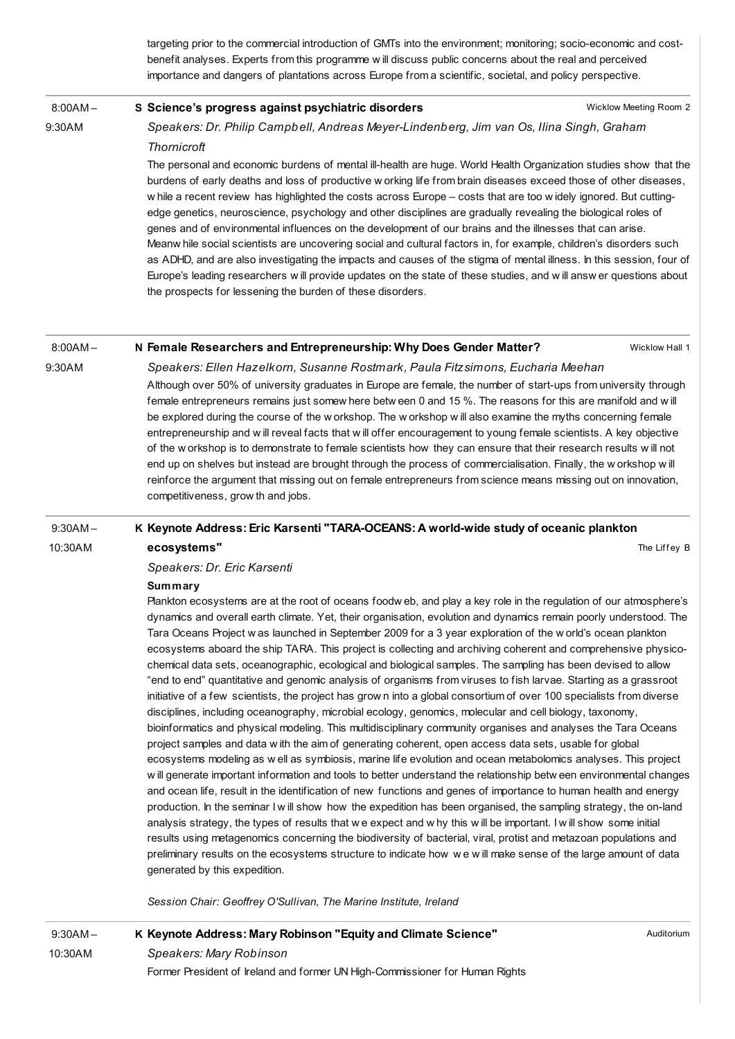targeting prior to the commercial introduction of GMTs into the environment; monitoring; socio-economic and costbenefit analyses. Experts from this programme w ill discuss public concerns about the real and perceived importance and dangers of plantations across Europe from a scientific, societal, and policy perspective.

8:00AM –

9:30AM

### S Science's progress against [psychiatric](http://esof2012.sched.org/event/de030de7417b47933f16737abd711904) disorders

Wicklow Meeting Room 2

Speakers: Dr. Philip Campbell, Andreas Meyer-Lindenberg, Jim van Os, Ilina Singh, Graham **Thornicroft** 

The personal and economic burdens of mental ill-health are huge. World Health Organization studies show that the burdens of early deaths and loss of productive w orking life from brain diseases exceed those of other diseases, w hile a recent review has highlighted the costs across Europe – costs that are too w idely ignored. But cuttingedge genetics, neuroscience, psychology and other disciplines are gradually revealing the biological roles of genes and of environmental influences on the development of our brains and the illnesses that can arise. Meanw hile social scientists are uncovering social and cultural factors in, for example, children's disorders such as ADHD, and are also investigating the impacts and causes of the stigma of mental illness. In this session, four of Europe's leading researchers w ill provide updates on the state of these studies, and w ill answ er questions about the prospects for lessening the burden of these disorders.

#### 8:00AM – N Female Researchers and [Entrepreneurship:](http://esof2012.sched.org/event/25cdd47735d37a81a83a18998a8586bd) Why Does Gender Matter?

Wicklow Hall 1

The Liffey B

9:30AM

Speakers: Ellen Hazelkorn, Susanne Rostmark, Paula Fitzsimons, Eucharia Meehan

Although over 50% of university graduates in Europe are female, the number of start-ups from university through female entrepreneurs remains just somew here betw een 0 and 15 %. The reasons for this are manifold and w ill be explored during the course of the w orkshop. The w orkshop w ill also examine the myths concerning female entrepreneurship and w ill reveal facts that w ill offer encouragement to young female scientists. A key objective of the w orkshop is to demonstrate to female scientists how they can ensure that their research results w ill not end up on shelves but instead are brought through the process of commercialisation. Finally, the w orkshop w ill reinforce the argument that missing out on female entrepreneurs from science means missing out on innovation, competitiveness, grow th and jobs.

#### 9:30AM – K Keynote Address: Eric Karsenti ["TARA-OCEANS:](http://esof2012.sched.org/event/3904cd942b3bbdff7fc68e31e743b4d7) A world-wide study of oceanic plankton

10:30AM

### Speakers: Dr. Eric Karsenti

### **Summary**

ecosystems"

Plankton ecosystems are at the root of oceans foodw eb, and play a key role in the regulation of our atmosphere's dynamics and overall earth climate. Yet, their organisation, evolution and dynamics remain poorly understood. The Tara Oceans Project w as launched in September 2009 for a 3 year exploration of the w orld's ocean plankton ecosystems aboard the ship TARA. This project is collecting and archiving coherent and comprehensive physicochemical data sets, oceanographic, ecological and biological samples. The sampling has been devised to allow "end to end" quantitative and genomic analysis of organisms from viruses to fish larvae. Starting as a grassroot initiative of a few scientists, the project has grow n into a global consortium of over 100 specialists from diverse disciplines, including oceanography, microbial ecology, genomics, molecular and cell biology, taxonomy, bioinformatics and physical modeling. This multidisciplinary community organises and analyses the Tara Oceans project samples and data w ith the aim of generating coherent, open access data sets, usable for global ecosystems modeling as w ell as symbiosis, marine life evolution and ocean metabolomics analyses. This project w ill generate important information and tools to better understand the relationship betw een environmental changes and ocean life, result in the identification of new functions and genes of importance to human health and energy production. In the seminar I w ill show how the expedition has been organised, the sampling strategy, the on-land analysis strategy, the types of results that w e expect and w hy this w ill be important. I w ill show some initial results using metagenomics concerning the biodiversity of bacterial, viral, protist and metazoan populations and preliminary results on the ecosystems structure to indicate how w e w ill make sense of the large amount of data generated by this expedition.

Session Chair: Geoffrey O'Sullivan, The Marine Institute, Ireland

9:30AM – 10:30AM K Keynote Address: Mary [Robinson](http://esof2012.sched.org/event/3e5838e110f872230a3f99fc438acf73) "Equity and Climate Science" Speakers: Mary Robinson Former President of Ireland and former UN High-Commissioner for Human Rights Auditorium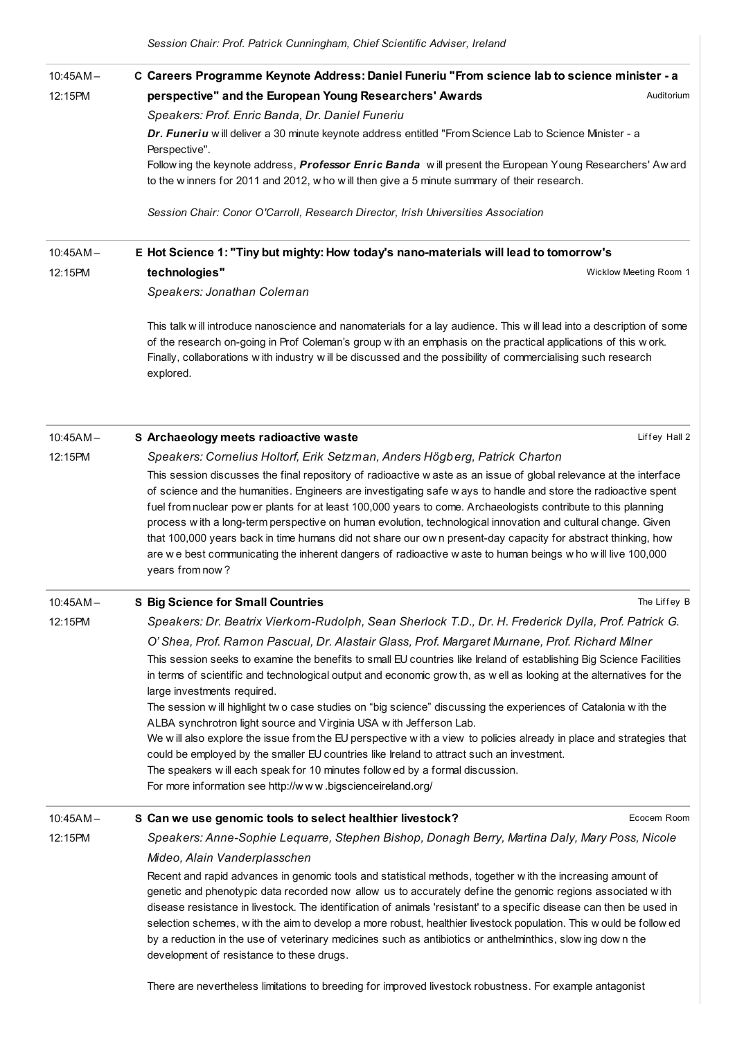| $10:45AM -$ | C Careers Programme Keynote Address: Daniel Funeriu "From science lab to science minister - a                                                                                                                                                                                                                                                                                                                                                                                                                                                                                                                                      |
|-------------|------------------------------------------------------------------------------------------------------------------------------------------------------------------------------------------------------------------------------------------------------------------------------------------------------------------------------------------------------------------------------------------------------------------------------------------------------------------------------------------------------------------------------------------------------------------------------------------------------------------------------------|
| 12:15PM     | perspective" and the European Young Researchers' Awards<br>Auditorium                                                                                                                                                                                                                                                                                                                                                                                                                                                                                                                                                              |
|             | Speakers: Prof. Enric Banda, Dr. Daniel Funeriu                                                                                                                                                                                                                                                                                                                                                                                                                                                                                                                                                                                    |
|             | Dr. Funeriu w ill deliver a 30 minute keynote address entitled "From Science Lab to Science Minister - a<br>Perspective".                                                                                                                                                                                                                                                                                                                                                                                                                                                                                                          |
|             | Follow ing the keynote address, Professor Enric Banda will present the European Young Researchers' Aw ard<br>to the w inners for 2011 and 2012, w ho w ill then give a 5 minute summary of their research.                                                                                                                                                                                                                                                                                                                                                                                                                         |
|             | Session Chair: Conor O'Carroll, Research Director, Irish Universities Association                                                                                                                                                                                                                                                                                                                                                                                                                                                                                                                                                  |
| $10:45AM -$ | E Hot Science 1: "Tiny but mighty: How today's nano-materials will lead to tomorrow's                                                                                                                                                                                                                                                                                                                                                                                                                                                                                                                                              |
| 12:15PM     | technologies"<br>Wicklow Meeting Room 1                                                                                                                                                                                                                                                                                                                                                                                                                                                                                                                                                                                            |
|             | Speakers: Jonathan Coleman                                                                                                                                                                                                                                                                                                                                                                                                                                                                                                                                                                                                         |
|             | This talk will introduce nanoscience and nanomaterials for a lay audience. This will lead into a description of some<br>of the research on-going in Prof Coleman's group with an emphasis on the practical applications of this w ork.<br>Finally, collaborations w ith industry w ill be discussed and the possibility of commercialising such research<br>explored.                                                                                                                                                                                                                                                              |
| $10:45AM -$ | S Archaeology meets radioactive waste<br>Liffey Hall 2                                                                                                                                                                                                                                                                                                                                                                                                                                                                                                                                                                             |
| 12:15PM     | Speakers: Cornelius Holtorf, Erik Setzman, Anders Högberg, Patrick Charton                                                                                                                                                                                                                                                                                                                                                                                                                                                                                                                                                         |
|             | This session discusses the final repository of radioactive w aste as an issue of global relevance at the interface                                                                                                                                                                                                                                                                                                                                                                                                                                                                                                                 |
|             | of science and the humanities. Engineers are investigating safe w ays to handle and store the radioactive spent                                                                                                                                                                                                                                                                                                                                                                                                                                                                                                                    |
|             | fuel from nuclear pow er plants for at least 100,000 years to come. Archaeologists contribute to this planning<br>process with a long-term perspective on human evolution, technological innovation and cultural change. Given<br>that 100,000 years back in time humans did not share our own present-day capacity for abstract thinking, how<br>are we best communicating the inherent dangers of radioactive waste to human beings who will live 100,000<br>years from now?                                                                                                                                                     |
| $10:45AM -$ | <b>S Big Science for Small Countries</b><br>The Liffey B                                                                                                                                                                                                                                                                                                                                                                                                                                                                                                                                                                           |
| 12:15PM     | Speakers: Dr. Beatrix Vierkorn-Rudolph, Sean Sherlock T.D., Dr. H. Frederick Dylla, Prof. Patrick G.                                                                                                                                                                                                                                                                                                                                                                                                                                                                                                                               |
|             | O' Shea, Prof. Ramon Pascual, Dr. Alastair Glass, Prof. Margaret Murnane, Prof. Richard Milner                                                                                                                                                                                                                                                                                                                                                                                                                                                                                                                                     |
|             | This session seeks to examine the benefits to small EU countries like Ireland of establishing Big Science Facilities                                                                                                                                                                                                                                                                                                                                                                                                                                                                                                               |
|             | in terms of scientific and technological output and economic grow th, as well as looking at the alternatives for the<br>large investments required.                                                                                                                                                                                                                                                                                                                                                                                                                                                                                |
|             | The session will highlight two case studies on "big science" discussing the experiences of Catalonia with the<br>ALBA synchrotron light source and Virginia USA with Jefferson Lab.                                                                                                                                                                                                                                                                                                                                                                                                                                                |
|             | We will also explore the issue from the EU perspective with a view to policies already in place and strategies that<br>could be employed by the smaller EU countries like Ireland to attract such an investment.                                                                                                                                                                                                                                                                                                                                                                                                                   |
|             | The speakers will each speak for 10 minutes follow ed by a formal discussion.                                                                                                                                                                                                                                                                                                                                                                                                                                                                                                                                                      |
|             | For more information see http://www.bigscienceireland.org/                                                                                                                                                                                                                                                                                                                                                                                                                                                                                                                                                                         |
| $10:45AM -$ | S Can we use genomic tools to select healthier livestock?<br>Ecocem Room                                                                                                                                                                                                                                                                                                                                                                                                                                                                                                                                                           |
| 12:15PM     | Speakers: Anne-Sophie Lequarre, Stephen Bishop, Donagh Berry, Martina Daly, Mary Poss, Nicole                                                                                                                                                                                                                                                                                                                                                                                                                                                                                                                                      |
|             | Mideo, Alain Vanderplasschen                                                                                                                                                                                                                                                                                                                                                                                                                                                                                                                                                                                                       |
|             | Recent and rapid advances in genomic tools and statistical methods, together with the increasing amount of<br>genetic and phenotypic data recorded now allow us to accurately define the genomic regions associated with<br>disease resistance in livestock. The identification of animals 'resistant' to a specific disease can then be used in<br>selection schemes, w ith the aim to develop a more robust, healthier livestock population. This w ould be follow ed<br>by a reduction in the use of veterinary medicines such as antibiotics or anthelminthics, slow ing down the<br>development of resistance to these drugs. |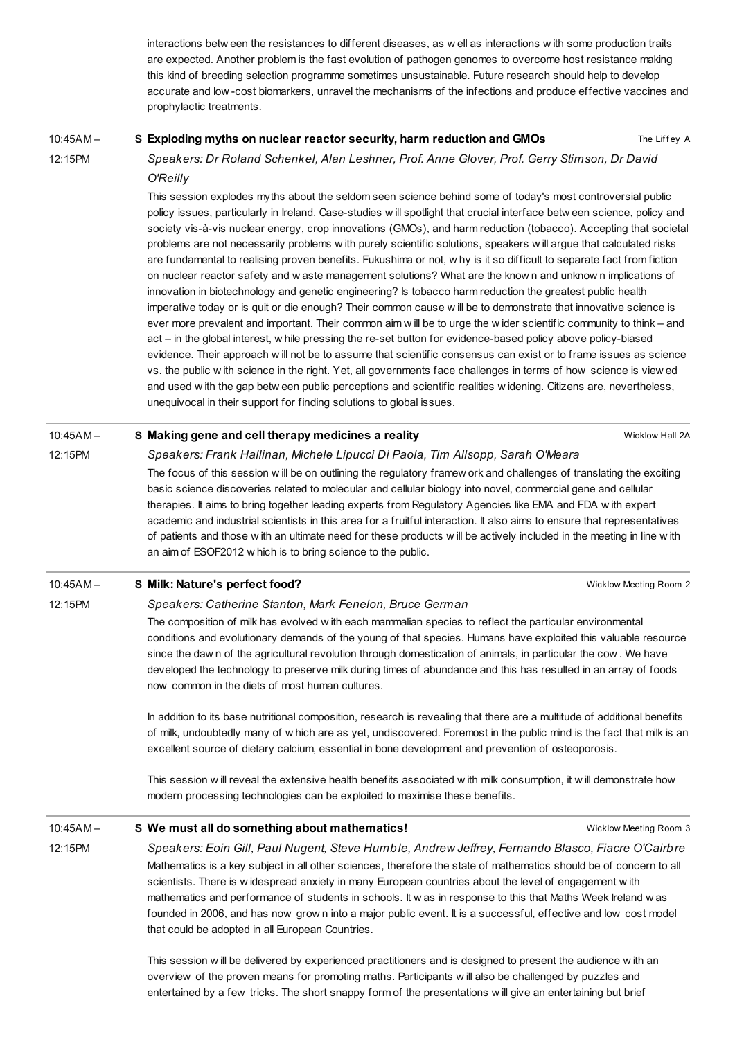interactions betw een the resistances to different diseases, as w ell as interactions w ith some production traits are expected. Another problem is the fast evolution of pathogen genomes to overcome host resistance making this kind of breeding selection programme sometimes unsustainable. Future research should help to develop accurate and low -cost biomarkers, unravel the mechanisms of the infections and produce effective vaccines and prophylactic treatments.

#### 10:45AM – S [Exploding](http://esof2012.sched.org/event/c61ff29702c744aa1bfe41068bb8eb74) myths on nuclear reactor security, harm reduction and GMOs

The Liffey A

12:15PM

12:15PM

Speakers: Dr Roland Schenkel, Alan Leshner, Prof. Anne Glover, Prof. Gerry Stimson, Dr David O'Reilly

This session explodes myths about the seldom seen science behind some of today's most controversial public policy issues, particularly in Ireland. Case-studies w ill spotlight that crucial interface betw een science, policy and society vis-à-vis nuclear energy, crop innovations (GMOs), and harm reduction (tobacco). Accepting that societal problems are not necessarily problems w ith purely scientific solutions, speakers w ill argue that calculated risks are fundamental to realising proven benefits. Fukushima or not, w hy is it so difficult to separate fact from fiction on nuclear reactor safety and w aste management solutions? What are the know n and unknow n implications of innovation in biotechnology and genetic engineering? Is tobacco harm reduction the greatest public health imperative today or is quit or die enough? Their common cause w ill be to demonstrate that innovative science is ever more prevalent and important. Their common aim w ill be to urge the w ider scientific community to think – and act – in the global interest, w hile pressing the re-set button for evidence-based policy above policy-biased evidence. Their approach will not be to assume that scientific consensus can exist or to frame issues as science vs. the public w ith science in the right. Yet, all governments face challenges in terms of how science is view ed and used w ith the gap betw een public perceptions and scientific realities w idening. Citizens are, nevertheless, unequivocal in their support for finding solutions to global issues.

### 10:45AM – S Making gene and cell therapy [medicines](http://esof2012.sched.org/event/ccf6e58297aac17597aff20333265a6b) a reality

Wicklow Hall 2A

12:15PM Speakers: Frank Hallinan, Michele Lipucci Di Paola, Tim Allsopp, Sarah O'Meara The focus of this session w ill be on outlining the regulatory framew ork and challenges of translating the exciting basic science discoveries related to molecular and cellular biology into novel, commercial gene and cellular therapies. It aims to bring together leading experts from Regulatory Agencies like EMA and FDA w ith expert academic and industrial scientists in this area for a fruitful interaction. It also aims to ensure that representatives of patients and those w ith an ultimate need for these products w ill be actively included in the meeting in line w ith an aim of ESOF2012 w hich is to bring science to the public.

#### 10:45AM – S Milk: [Nature's](http://esof2012.sched.org/event/35f0da3a8d080089f3b9299bf4d5c786) perfect food?

Wicklow Meeting Room 2

Wicklow Meeting Room 3

## Speakers: Catherine Stanton, Mark Fenelon, Bruce German

The composition of milk has evolved w ith each mammalian species to reflect the particular environmental conditions and evolutionary demands of the young of that species. Humans have exploited this valuable resource since the daw n of the agricultural revolution through domestication of animals, in particular the cow . We have developed the technology to preserve milk during times of abundance and this has resulted in an array of foods now common in the diets of most human cultures.

In addition to its base nutritional composition, research is revealing that there are a multitude of additional benefits of milk, undoubtedly many of w hich are as yet, undiscovered. Foremost in the public mind is the fact that milk is an excellent source of dietary calcium, essential in bone development and prevention of osteoporosis.

This session w ill reveal the extensive health benefits associated w ith milk consumption, it w ill demonstrate how modern processing technologies can be exploited to maximise these benefits.

#### 10:45AM – S We must all do something about [mathematics!](http://esof2012.sched.org/event/bf98509a4fa55508e1ec3628201d782d)

12:15PM Speakers: Eoin Gill, Paul Nugent, Steve Humble, Andrew Jeffrey, Fernando Blasco, Fiacre O'Cairbre Mathematics is a key subject in all other sciences, therefore the state of mathematics should be of concern to all scientists. There is w idespread anxiety in many European countries about the level of engagement w ith mathematics and performance of students in schools. It w as in response to this that Maths Week Ireland w as founded in 2006, and has now grow n into a major public event. It is a successful, effective and low cost model that could be adopted in all European Countries.

> This session w ill be delivered by experienced practitioners and is designed to present the audience w ith an overview of the proven means for promoting maths. Participants w ill also be challenged by puzzles and entertained by a few tricks. The short snappy form of the presentations w ill give an entertaining but brief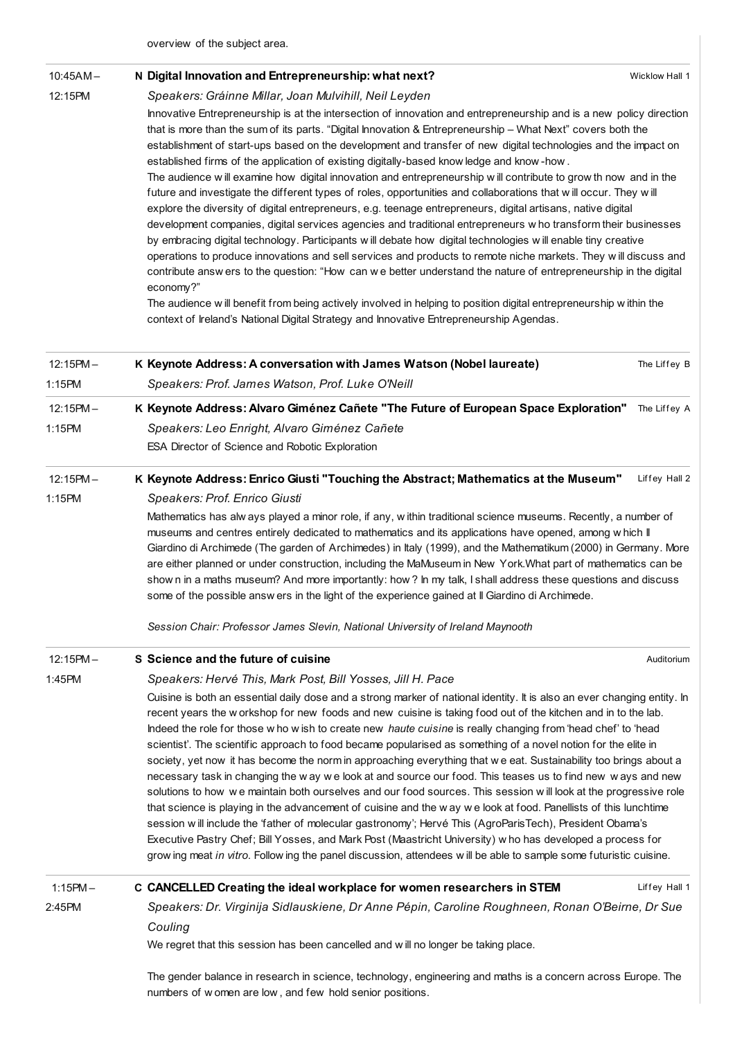overview of the subject area.

| $10:45AM -$ | N Digital Innovation and Entrepreneurship: what next?                                                                                                                                                                                                                                                                                                                                                                                                                                                                                                                                                                                                                                                                                                                                                                                                                                                                                                  | Wicklow Hall 1 |  |
|-------------|--------------------------------------------------------------------------------------------------------------------------------------------------------------------------------------------------------------------------------------------------------------------------------------------------------------------------------------------------------------------------------------------------------------------------------------------------------------------------------------------------------------------------------------------------------------------------------------------------------------------------------------------------------------------------------------------------------------------------------------------------------------------------------------------------------------------------------------------------------------------------------------------------------------------------------------------------------|----------------|--|
| 12:15PM     | Speakers: Gráinne Millar, Joan Mulvihill, Neil Leyden                                                                                                                                                                                                                                                                                                                                                                                                                                                                                                                                                                                                                                                                                                                                                                                                                                                                                                  |                |  |
|             | Innovative Entrepreneurship is at the intersection of innovation and entrepreneurship and is a new policy direction<br>that is more than the sum of its parts. "Digital Innovation & Entrepreneurship - What Next" covers both the<br>establishment of start-ups based on the development and transfer of new digital technologies and the impact on<br>established firms of the application of existing digitally-based know ledge and know-how.<br>The audience will examine how digital innovation and entrepreneurship will contribute to grow th now and in the<br>future and investigate the different types of roles, opportunities and collaborations that will occur. They will                                                                                                                                                                                                                                                               |                |  |
|             | explore the diversity of digital entrepreneurs, e.g. teenage entrepreneurs, digital artisans, native digital<br>development companies, digital services agencies and traditional entrepreneurs w ho transform their businesses<br>by embracing digital technology. Participants w ill debate how digital technologies w ill enable tiny creative<br>operations to produce innovations and sell services and products to remote niche markets. They will discuss and                                                                                                                                                                                                                                                                                                                                                                                                                                                                                    |                |  |
|             | contribute answ ers to the question: "How can we better understand the nature of entrepreneurship in the digital<br>economy?"                                                                                                                                                                                                                                                                                                                                                                                                                                                                                                                                                                                                                                                                                                                                                                                                                          |                |  |
|             | The audience will benefit from being actively involved in helping to position digital entrepreneurship within the<br>context of Ireland's National Digital Strategy and Innovative Entrepreneurship Agendas.                                                                                                                                                                                                                                                                                                                                                                                                                                                                                                                                                                                                                                                                                                                                           |                |  |
| $12:15PM -$ | K Keynote Address: A conversation with James Watson (Nobel laureate)                                                                                                                                                                                                                                                                                                                                                                                                                                                                                                                                                                                                                                                                                                                                                                                                                                                                                   | The Liffey B   |  |
| 1:15PM      | Speakers: Prof. James Watson, Prof. Luke O'Neill                                                                                                                                                                                                                                                                                                                                                                                                                                                                                                                                                                                                                                                                                                                                                                                                                                                                                                       |                |  |
| $12:15PM -$ | K Keynote Address: Alvaro Giménez Cañete "The Future of European Space Exploration"                                                                                                                                                                                                                                                                                                                                                                                                                                                                                                                                                                                                                                                                                                                                                                                                                                                                    | The Liffey A   |  |
| 1:15PM      | Speakers: Leo Enright, Alvaro Giménez Cañete                                                                                                                                                                                                                                                                                                                                                                                                                                                                                                                                                                                                                                                                                                                                                                                                                                                                                                           |                |  |
|             | ESA Director of Science and Robotic Exploration                                                                                                                                                                                                                                                                                                                                                                                                                                                                                                                                                                                                                                                                                                                                                                                                                                                                                                        |                |  |
| $12:15PM -$ | K Keynote Address: Enrico Giusti "Touching the Abstract; Mathematics at the Museum"                                                                                                                                                                                                                                                                                                                                                                                                                                                                                                                                                                                                                                                                                                                                                                                                                                                                    | Liffey Hall 2  |  |
| 1:15PM      | Speakers: Prof. Enrico Giusti                                                                                                                                                                                                                                                                                                                                                                                                                                                                                                                                                                                                                                                                                                                                                                                                                                                                                                                          |                |  |
|             | Mathematics has alw ays played a minor role, if any, within traditional science museums. Recently, a number of<br>museums and centres entirely dedicated to mathematics and its applications have opened, among w hich II<br>Giardino di Archimede (The garden of Archimedes) in Italy (1999), and the Mathematikum (2000) in Germany. More<br>are either planned or under construction, including the MaMuseum in New York. What part of mathematics can be<br>show n in a maths museum? And more importantly: how ? In my talk, I shall address these questions and discuss<br>some of the possible answ ers in the light of the experience gained at II Giardino di Archimede.                                                                                                                                                                                                                                                                      |                |  |
|             | Session Chair: Professor James Slevin, National University of Ireland Maynooth                                                                                                                                                                                                                                                                                                                                                                                                                                                                                                                                                                                                                                                                                                                                                                                                                                                                         |                |  |
| $12:15PM -$ | S Science and the future of cuisine                                                                                                                                                                                                                                                                                                                                                                                                                                                                                                                                                                                                                                                                                                                                                                                                                                                                                                                    | Auditorium     |  |
| 1:45PM      | Speakers: Hervé This, Mark Post, Bill Yosses, Jill H. Pace                                                                                                                                                                                                                                                                                                                                                                                                                                                                                                                                                                                                                                                                                                                                                                                                                                                                                             |                |  |
|             | Cuisine is both an essential daily dose and a strong marker of national identity. It is also an ever changing entity. In<br>recent years the workshop for new foods and new cuisine is taking food out of the kitchen and in to the lab.<br>Indeed the role for those w ho w ish to create new haute cuisine is really changing from 'head chef' to 'head<br>scientist'. The scientific approach to food became popularised as something of a novel notion for the elite in<br>society, yet now it has become the norm in approaching everything that we eat. Sustainability too brings about a<br>necessary task in changing the way we look at and source our food. This teases us to find new ways and new<br>solutions to how we maintain both ourselves and our food sources. This session will look at the progressive role<br>that science is playing in the advancement of cuisine and the w ay w e look at food. Panellists of this lunchtime |                |  |
|             | session will include the 'father of molecular gastronomy'; Hervé This (AgroParisTech), President Obama's<br>Executive Pastry Chef; Bill Yosses, and Mark Post (Maastricht University) w ho has developed a process for<br>grow ing meat in vitro. Follow ing the panel discussion, attendees will be able to sample some futuristic cuisine.                                                                                                                                                                                                                                                                                                                                                                                                                                                                                                                                                                                                           |                |  |
| $1:15PM -$  | C CANCELLED Creating the ideal workplace for women researchers in STEM                                                                                                                                                                                                                                                                                                                                                                                                                                                                                                                                                                                                                                                                                                                                                                                                                                                                                 | Liffey Hall 1  |  |
| 2:45PM      | Speakers: Dr. Virginija Sidlauskiene, Dr Anne Pépin, Caroline Roughneen, Ronan O'Beirne, Dr Sue<br>Couling                                                                                                                                                                                                                                                                                                                                                                                                                                                                                                                                                                                                                                                                                                                                                                                                                                             |                |  |
|             | We regret that this session has been cancelled and will no longer be taking place.                                                                                                                                                                                                                                                                                                                                                                                                                                                                                                                                                                                                                                                                                                                                                                                                                                                                     |                |  |
|             | The gender balance in research in science, technology, engineering and maths is a concern across Europe. The                                                                                                                                                                                                                                                                                                                                                                                                                                                                                                                                                                                                                                                                                                                                                                                                                                           |                |  |

numbers of w omen are low , and few hold senior positions.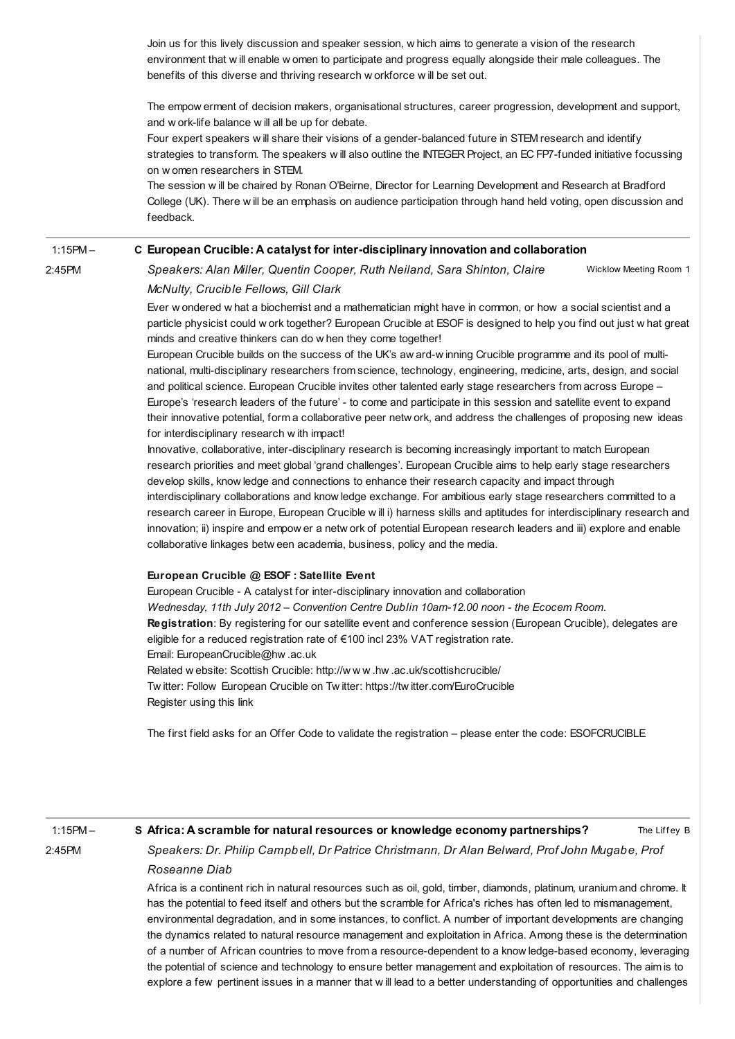Join us for this lively discussion and speaker session, w hich aims to generate a vision of the research environment that w ill enable w omen to participate and progress equally alongside their male colleagues. The benefits of this diverse and thriving research w orkforce w ill be set out.

The empow erment of decision makers, organisational structures, career progression, development and support, and w ork-life balance w ill all be up for debate.

Four expert speakers w ill share their visions of a gender-balanced future in STEM research and identify strategies to transform. The speakers w ill also outline the INTEGER Project, an EC FP7-funded initiative focussing on w omen researchers in STEM.

The session w ill be chaired by Ronan O'Beirne, Director for Learning Development and Research at Bradford College (UK). There w ill be an emphasis on audience participation through hand held voting, open discussion and feedback.

#### 1:15PM – C European Crucible: A catalyst for [inter-disciplinary](http://esof2012.sched.org/event/07a3f006c6f337d649644e51de18de78) innovation and collaboration

2:45PM

Wicklow Meeting Room 1 Speakers: Alan Miller, Quentin Cooper, Ruth Neiland, Sara Shinton, Claire McNulty, Crucible Fellows, Gill Clark

Ever w ondered w hat a biochemist and a mathematician might have in common, or how a social scientist and a particle physicist could w ork together? European Crucible at ESOF is designed to help you find out just w hat great minds and creative thinkers can do w hen they come together!

European Crucible builds on the success of the UK's aw ard-w inning Crucible programme and its pool of multinational, multi-disciplinary researchers from science, technology, engineering, medicine, arts, design, and social and political science. European Crucible invites other talented early stage researchers from across Europe – Europe's 'research leaders of the future' - to come and participate in this session and satellite event to expand their innovative potential, form a collaborative peer netw ork, and address the challenges of proposing new ideas for interdisciplinary research w ith impact!

Innovative, collaborative, inter-disciplinary research is becoming increasingly important to match European research priorities and meet global 'grand challenges'. European Crucible aims to help early stage researchers develop skills, know ledge and connections to enhance their research capacity and impact through interdisciplinary collaborations and know ledge exchange. For ambitious early stage researchers committed to a research career in Europe, European Crucible w ill i) harness skills and aptitudes for interdisciplinary research and innovation; ii) inspire and empow er a netw ork of potential European research leaders and iii) explore and enable collaborative linkages betw een academia, business, policy and the media.

### European Crucible @ ESOF : Satellite Event

European Crucible - A catalyst for inter-disciplinary innovation and collaboration Wednesday, 11th July 2012 – Convention Centre Dublin 10am-12.00 noon - the Ecocem Room. Registration: By registering for our satellite event and conference session (European Crucible), delegates are eligible for a reduced registration rate of €100 incl 23% VAT registration rate. Email: EuropeanCrucible@hw .ac.uk Related w ebsite: Scottish Crucible: http://w w w .hw .ac.uk/scottishcrucible/ Tw itter: Follow European Crucible on Tw itter: https://tw itter.com/EuroCrucible Register using this [link](https://events.conferencepartners.ie/ei/getdemo.ei?id=70&s=_52414C6RH)

The first field asks for an Offer Code to validate the registration – please enter the code: ESOFCRUCIBLE

### 1:15PM – 2:45PM

### S Africa: A scramble for natural resources or knowledge economy [partnerships?](http://esof2012.sched.org/event/f954ca5a9b1d0672c3b71b5c4378dcc4)

The Liffey B

Speakers: Dr. Philip Campbell, Dr Patrice Christmann, Dr Alan Belward, Prof John Mugabe, Prof Roseanne Diab

Africa is a continent rich in natural resources such as oil, gold, timber, diamonds, platinum, uranium and chrome. It has the potential to feed itself and others but the scramble for Africa's riches has often led to mismanagement, environmental degradation, and in some instances, to conflict. A number of important developments are changing the dynamics related to natural resource management and exploitation in Africa. Among these is the determination of a number of African countries to move from a resource-dependent to a know ledge-based economy, leveraging the potential of science and technology to ensure better management and exploitation of resources. The aim is to explore a few pertinent issues in a manner that w ill lead to a better understanding of opportunities and challenges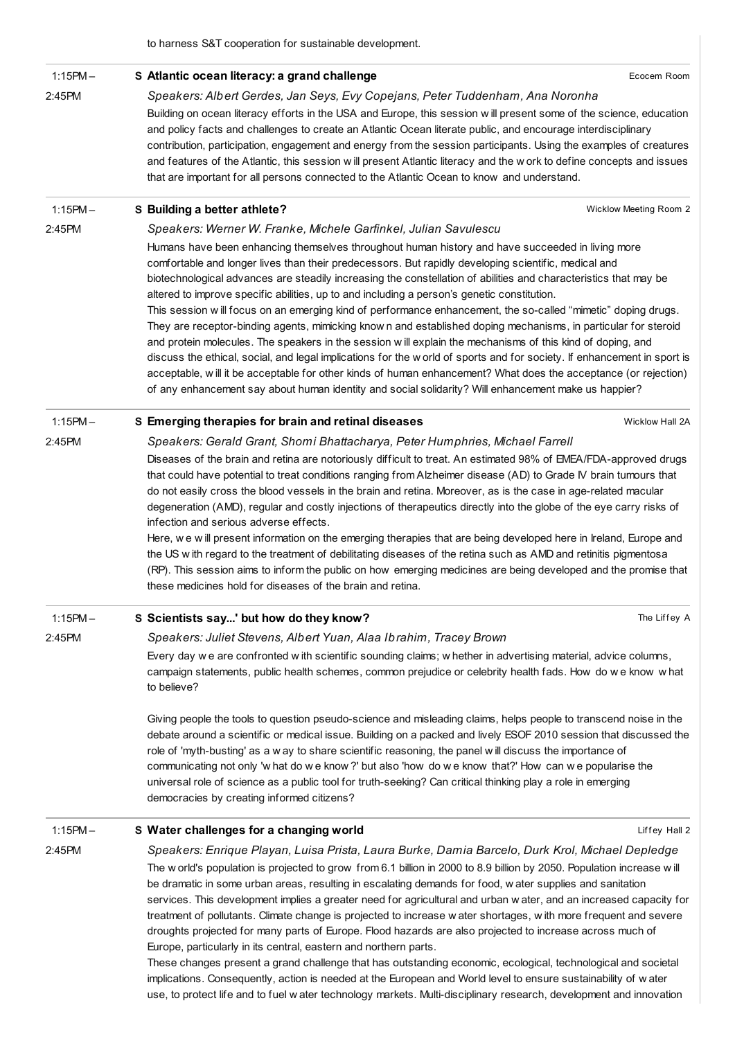to harness S&T cooperation for sustainable development.

| $1:15PM -$ | S Atlantic ocean literacy: a grand challenge                                                                                                                                                                                                                                                                                                                                                                                                                                                                                                                                                                                                                                                                                                                                                                                                                                                                                                                                                                                                                                                                                         | Ecocem Room            |
|------------|--------------------------------------------------------------------------------------------------------------------------------------------------------------------------------------------------------------------------------------------------------------------------------------------------------------------------------------------------------------------------------------------------------------------------------------------------------------------------------------------------------------------------------------------------------------------------------------------------------------------------------------------------------------------------------------------------------------------------------------------------------------------------------------------------------------------------------------------------------------------------------------------------------------------------------------------------------------------------------------------------------------------------------------------------------------------------------------------------------------------------------------|------------------------|
| 2:45PM     | Speakers: Albert Gerdes, Jan Seys, Evy Copejans, Peter Tuddenham, Ana Noronha                                                                                                                                                                                                                                                                                                                                                                                                                                                                                                                                                                                                                                                                                                                                                                                                                                                                                                                                                                                                                                                        |                        |
|            | Building on ocean literacy efforts in the USA and Europe, this session will present some of the science, education<br>and policy facts and challenges to create an Atlantic Ocean literate public, and encourage interdisciplinary<br>contribution, participation, engagement and energy from the session participants. Using the examples of creatures<br>and features of the Atlantic, this session w ill present Atlantic literacy and the w ork to define concepts and issues<br>that are important for all persons connected to the Atlantic Ocean to know and understand.                                                                                                                                                                                                                                                                                                                                                                                                                                                                                                                                                      |                        |
| $1:15PM -$ | S Building a better athlete?                                                                                                                                                                                                                                                                                                                                                                                                                                                                                                                                                                                                                                                                                                                                                                                                                                                                                                                                                                                                                                                                                                         | Wicklow Meeting Room 2 |
| 2:45PM     | Speakers: Werner W. Franke, Michele Garfinkel, Julian Savulescu                                                                                                                                                                                                                                                                                                                                                                                                                                                                                                                                                                                                                                                                                                                                                                                                                                                                                                                                                                                                                                                                      |                        |
|            | Humans have been enhancing themselves throughout human history and have succeeded in living more<br>comfortable and longer lives than their predecessors. But rapidly developing scientific, medical and<br>biotechnological advances are steadily increasing the constellation of abilities and characteristics that may be<br>altered to improve specific abilities, up to and including a person's genetic constitution.<br>This session will focus on an emerging kind of performance enhancement, the so-called "mimetic" doping drugs.<br>They are receptor-binding agents, mimicking know n and established doping mechanisms, in particular for steroid<br>and protein molecules. The speakers in the session will explain the mechanisms of this kind of doping, and<br>discuss the ethical, social, and legal implications for the world of sports and for society. If enhancement in sport is<br>acceptable, w ill it be acceptable for other kinds of human enhancement? What does the acceptance (or rejection)<br>of any enhancement say about human identity and social solidarity? Will enhancement make us happier? |                        |
| $1:15PM -$ | S Emerging therapies for brain and retinal diseases                                                                                                                                                                                                                                                                                                                                                                                                                                                                                                                                                                                                                                                                                                                                                                                                                                                                                                                                                                                                                                                                                  | Wicklow Hall 2A        |
| 2:45PM     | Speakers: Gerald Grant, Shomi Bhattacharya, Peter Humphries, Michael Farrell                                                                                                                                                                                                                                                                                                                                                                                                                                                                                                                                                                                                                                                                                                                                                                                                                                                                                                                                                                                                                                                         |                        |
|            | Diseases of the brain and retina are notoriously difficult to treat. An estimated 98% of EMEA/FDA-approved drugs<br>that could have potential to treat conditions ranging from Alzheimer disease (AD) to Grade IV brain tumours that<br>do not easily cross the blood vessels in the brain and retina. Moreover, as is the case in age-related macular<br>degeneration (AMD), regular and costly injections of therapeutics directly into the globe of the eye carry risks of<br>infection and serious adverse effects.<br>Here, we will present information on the emerging therapies that are being developed here in Ireland, Europe and<br>the US with regard to the treatment of debilitating diseases of the retina such as AMD and retinitis pigmentosa<br>(RP). This session aims to inform the public on how emerging medicines are being developed and the promise that<br>these medicines hold for diseases of the brain and retina.                                                                                                                                                                                      |                        |
| $1:15PM -$ | S Scientists say' but how do they know?                                                                                                                                                                                                                                                                                                                                                                                                                                                                                                                                                                                                                                                                                                                                                                                                                                                                                                                                                                                                                                                                                              | The Liffey A           |
| 2:45PM     | Speakers: Juliet Stevens, Albert Yuan, Alaa Ibrahim, Tracey Brown<br>Every day we are confronted with scientific sounding claims; whether in advertising material, advice columns,<br>campaign statements, public health schemes, common prejudice or celebrity health fads. How do we know what<br>to believe?                                                                                                                                                                                                                                                                                                                                                                                                                                                                                                                                                                                                                                                                                                                                                                                                                      |                        |
|            | Giving people the tools to question pseudo-science and misleading claims, helps people to transcend noise in the<br>debate around a scientific or medical issue. Building on a packed and lively ESOF 2010 session that discussed the<br>role of 'myth-busting' as a w ay to share scientific reasoning, the panel will discuss the importance of<br>communicating not only 'w hat do we know?' but also 'how do we know that?' How can we popularise the<br>universal role of science as a public tool for truth-seeking? Can critical thinking play a role in emerging<br>democracies by creating informed citizens?                                                                                                                                                                                                                                                                                                                                                                                                                                                                                                               |                        |
| $1:15PM -$ | S Water challenges for a changing world                                                                                                                                                                                                                                                                                                                                                                                                                                                                                                                                                                                                                                                                                                                                                                                                                                                                                                                                                                                                                                                                                              | Liffey Hall 2          |
| 2:45PM     | Speakers: Enrique Playan, Luisa Prista, Laura Burke, Damia Barcelo, Durk Krol, Michael Depledge<br>The w orld's population is projected to grow from 6.1 billion in 2000 to 8.9 billion by 2050. Population increase will<br>be dramatic in some urban areas, resulting in escalating demands for food, water supplies and sanitation<br>services. This development implies a greater need for agricultural and urban water, and an increased capacity for<br>treatment of pollutants. Climate change is projected to increase w ater shortages, with more frequent and severe<br>droughts projected for many parts of Europe. Flood hazards are also projected to increase across much of<br>Europe, particularly in its central, eastern and northern parts.<br>These changes present a grand challenge that has outstanding economic, ecological, technological and societal<br>implications. Consequently, action is needed at the European and World level to ensure sustainability of water                                                                                                                                    |                        |

use, to protect life and to fuel w ater technology markets. Multi-disciplinary research, development and innovation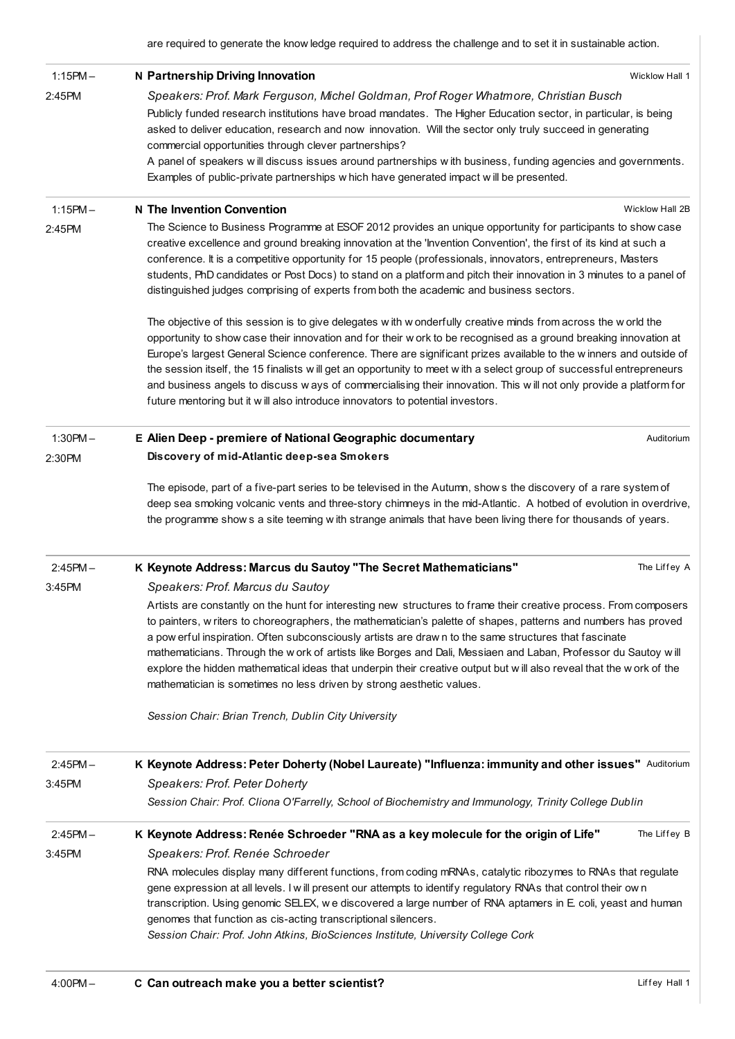are required to generate the know ledge required to address the challenge and to set it in sustainable action.

| $1:15PM -$ | N Partnership Driving Innovation<br>Wicklow Hall 1                                                                                                                                                                                                                                                                                                                                                                                                                                                                                                                                                                                                                                         |
|------------|--------------------------------------------------------------------------------------------------------------------------------------------------------------------------------------------------------------------------------------------------------------------------------------------------------------------------------------------------------------------------------------------------------------------------------------------------------------------------------------------------------------------------------------------------------------------------------------------------------------------------------------------------------------------------------------------|
| 2:45PM     | Speakers: Prof. Mark Ferguson, Michel Goldman, Prof Roger Whatmore, Christian Busch                                                                                                                                                                                                                                                                                                                                                                                                                                                                                                                                                                                                        |
|            | Publicly funded research institutions have broad mandates. The Higher Education sector, in particular, is being<br>asked to deliver education, research and now innovation. Will the sector only truly succeed in generating<br>commercial opportunities through clever partnerships?                                                                                                                                                                                                                                                                                                                                                                                                      |
|            | A panel of speakers will discuss issues around partnerships with business, funding agencies and governments.<br>Examples of public-private partnerships w hich have generated impact will be presented.                                                                                                                                                                                                                                                                                                                                                                                                                                                                                    |
| $1:15PM -$ | N The Invention Convention<br>Wicklow Hall 2B                                                                                                                                                                                                                                                                                                                                                                                                                                                                                                                                                                                                                                              |
| 2:45PM     | The Science to Business Programme at ESOF 2012 provides an unique opportunity for participants to show case<br>creative excellence and ground breaking innovation at the 'Invention Convention', the first of its kind at such a<br>conference. It is a competitive opportunity for 15 people (professionals, innovators, entrepreneurs, Masters<br>students, PhD candidates or Post Docs) to stand on a platform and pitch their innovation in 3 minutes to a panel of<br>distinguished judges comprising of experts from both the academic and business sectors.                                                                                                                         |
|            | The objective of this session is to give delegates with w onderfully creative minds from across the w orld the<br>opportunity to show case their innovation and for their w ork to be recognised as a ground breaking innovation at<br>Europe's largest General Science conference. There are significant prizes available to the winners and outside of<br>the session itself, the 15 finalists will get an opportunity to meet with a select group of successful entrepreneurs<br>and business angels to discuss w ays of commercialising their innovation. This will not only provide a platform for<br>future mentoring but it w ill also introduce innovators to potential investors. |
| $1:30PM -$ | E Alien Deep - premiere of National Geographic documentary<br>Auditorium                                                                                                                                                                                                                                                                                                                                                                                                                                                                                                                                                                                                                   |
| 2:30PM     | Discovery of mid-Atlantic deep-sea Smokers                                                                                                                                                                                                                                                                                                                                                                                                                                                                                                                                                                                                                                                 |
|            | deep sea smoking volcanic vents and three-story chimneys in the mid-Atlantic. A hotbed of evolution in overdrive,<br>the programme show s a site teeming with strange animals that have been living there for thousands of years.                                                                                                                                                                                                                                                                                                                                                                                                                                                          |
| $2:45PM -$ | K Keynote Address: Marcus du Sautoy "The Secret Mathematicians"<br>The Liffey A                                                                                                                                                                                                                                                                                                                                                                                                                                                                                                                                                                                                            |
| 3:45PM     | Speakers: Prof. Marcus du Sautoy                                                                                                                                                                                                                                                                                                                                                                                                                                                                                                                                                                                                                                                           |
|            | Artists are constantly on the hunt for interesting new structures to frame their creative process. From composers<br>to painters, w riters to choreographers, the mathematician's palette of shapes, patterns and numbers has proved<br>a pow erful inspiration. Often subconsciously artists are drawn to the same structures that fascinate<br>mathematicians. Through the work of artists like Borges and Dali, Messiaen and Laban, Professor du Sautoy will<br>explore the hidden mathematical ideas that underpin their creative output but will also reveal that the work of the<br>mathematician is sometimes no less driven by strong aesthetic values.                            |
|            | Session Chair: Brian Trench, Dublin City University                                                                                                                                                                                                                                                                                                                                                                                                                                                                                                                                                                                                                                        |
| $2:45PM -$ | K Keynote Address: Peter Doherty (Nobel Laureate) "Influenza: immunity and other issues" Auditorium                                                                                                                                                                                                                                                                                                                                                                                                                                                                                                                                                                                        |
| 3:45PM     | Speakers: Prof. Peter Doherty                                                                                                                                                                                                                                                                                                                                                                                                                                                                                                                                                                                                                                                              |
|            | Session Chair: Prof. Cliona O'Farrelly, School of Biochemistry and Immunology, Trinity College Dublin                                                                                                                                                                                                                                                                                                                                                                                                                                                                                                                                                                                      |
| $2:45PM -$ | K Keynote Address: Renée Schroeder "RNA as a key molecule for the origin of Life"<br>The Liffey B                                                                                                                                                                                                                                                                                                                                                                                                                                                                                                                                                                                          |
| 3:45PM     | Speakers: Prof. Renée Schroeder                                                                                                                                                                                                                                                                                                                                                                                                                                                                                                                                                                                                                                                            |
|            | RNA molecules display many different functions, from coding mRNAs, catalytic ribozymes to RNAs that regulate<br>gene expression at all levels. I will present our attempts to identify regulatory RNAs that control their own<br>transcription. Using genomic SELEX, we discovered a large number of RNA aptamers in E. coli, yeast and human<br>genomes that function as cis-acting transcriptional silencers.<br>Session Chair: Prof. John Atkins, BioSciences Institute, University College Cork                                                                                                                                                                                        |
|            |                                                                                                                                                                                                                                                                                                                                                                                                                                                                                                                                                                                                                                                                                            |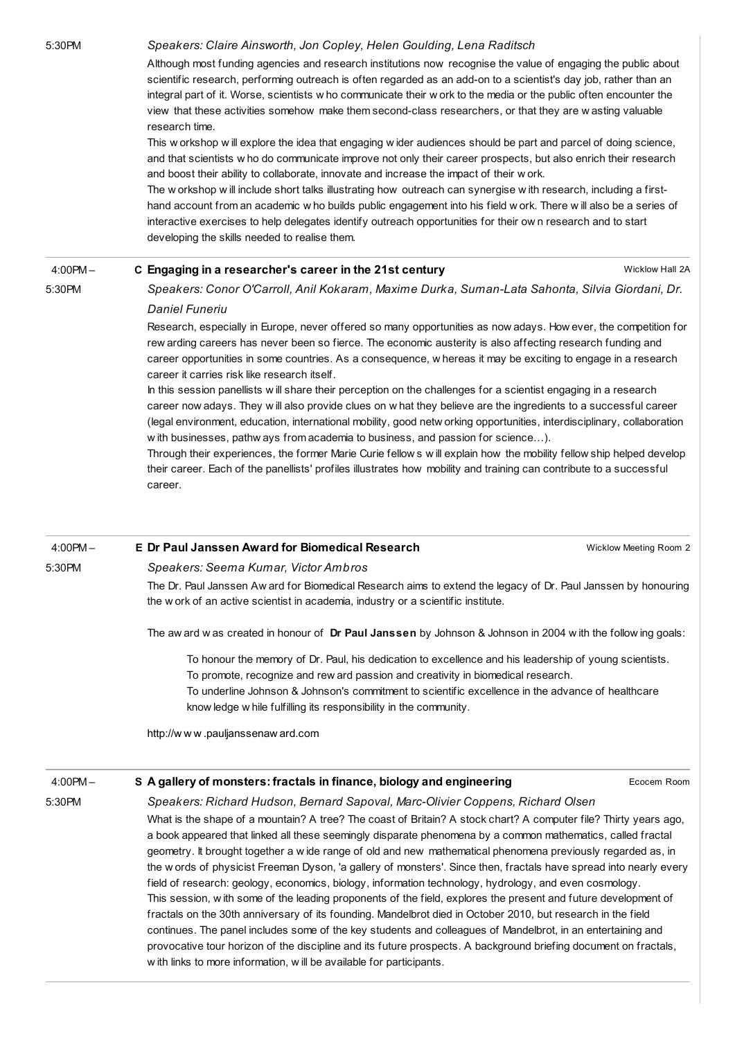### 5:30PM Speakers: Claire Ainsworth, Jon Copley, Helen Goulding, Lena Raditsch

Although most funding agencies and research institutions now recognise the value of engaging the public about scientific research, performing outreach is often regarded as an add-on to a scientist's day job, rather than an integral part of it. Worse, scientists w ho communicate their w ork to the media or the public often encounter the view that these activities somehow make them second-class researchers, or that they are w asting valuable research time.

This w orkshop w ill explore the idea that engaging w ider audiences should be part and parcel of doing science, and that scientists w ho do communicate improve not only their career prospects, but also enrich their research and boost their ability to collaborate, innovate and increase the impact of their w ork.

The w orkshop w ill include short talks illustrating how outreach can synergise w ith research, including a firsthand account from an academic w ho builds public engagement into his field w ork. There w ill also be a series of interactive exercises to help delegates identify outreach opportunities for their ow n research and to start developing the skills needed to realise them.

#### Wicklow Hall 2A 4:00PM – 5:30PM C Engaging in a [researcher's](http://esof2012.sched.org/event/36f328b297942a2777d8accb07f5249c) career in the 21st century Speakers: Conor O'Carroll, Anil Kokaram, Maxime Durka, Suman-Lata Sahonta, Silvia Giordani, Dr.

### Daniel Funeriu

Research, especially in Europe, never offered so many opportunities as now adays. How ever, the competition for rew arding careers has never been so fierce. The economic austerity is also affecting research funding and career opportunities in some countries. As a consequence, w hereas it may be exciting to engage in a research career it carries risk like research itself.

In this session panellists will share their perception on the challenges for a scientist engaging in a research career now adays. They w ill also provide clues on w hat they believe are the ingredients to a successful career (legal environment, education, international mobility, good netw orking opportunities, interdisciplinary, collaboration w ith businesses, pathw ays from academia to business, and passion for science…).

Through their experiences, the former Marie Curie fellow s w ill explain how the mobility fellow ship helped develop their career. Each of the panellists' profiles illustrates how mobility and training can contribute to a successful career.

### 4:00PM – E Dr Paul Janssen Award for [Biomedical](http://esof2012.sched.org/event/f51ad6db736b15db896974900e43d2f1) Research

5:30PM

## Speakers: Seema Kumar, Victor Ambros

The Dr. Paul Janssen Aw ard for Biomedical Research aims to extend the legacy of Dr. Paul Janssen by honouring the w ork of an active scientist in academia, industry or a scientific institute.

The aw ard w as created in honour of Dr Paul Janssen by Johnson & Johnson in 2004 with the follow ing goals:

To honour the memory of Dr. Paul, his dedication to excellence and his leadership of young scientists. To promote, recognize and rew ard passion and creativity in biomedical research. To underline Johnson & Johnson's commitment to scientific excellence in the advance of healthcare know ledge w hile fulfilling its responsibility in the community.

http://w w w [.pauljanssenaw](http://www.pauljanssenaward.com/) ard.com

4:00PM –

5:30PM

### S A gallery of monsters: fractals in finance, biology and [engineering](http://esof2012.sched.org/event/8bd9b26aac6d2cd86c9362505a6051c7)

Ecocem Room

Wicklow Meeting Room 2

Speakers: Richard Hudson, Bernard Sapoval, Marc-Olivier Coppens, Richard Olsen

What is the shape of a mountain? A tree? The coast of Britain? A stock chart? A computer file? Thirty years ago, a book appeared that linked all these seemingly disparate phenomena by a common mathematics, called fractal geometry. It brought together a w ide range of old and new mathematical phenomena previously regarded as, in the w ords of physicist Freeman Dyson, 'a gallery of monsters'. Since then, fractals have spread into nearly every field of research: geology, economics, biology, information technology, hydrology, and even cosmology. This session, w ith some of the leading proponents of the field, explores the present and future development of fractals on the 30th anniversary of its founding. Mandelbrot died in October 2010, but research in the field continues. The panel includes some of the key students and colleagues of Mandelbrot, in an entertaining and provocative tour horizon of the discipline and its future prospects. A background briefing document on fractals, w ith links to more information, w ill be available for participants.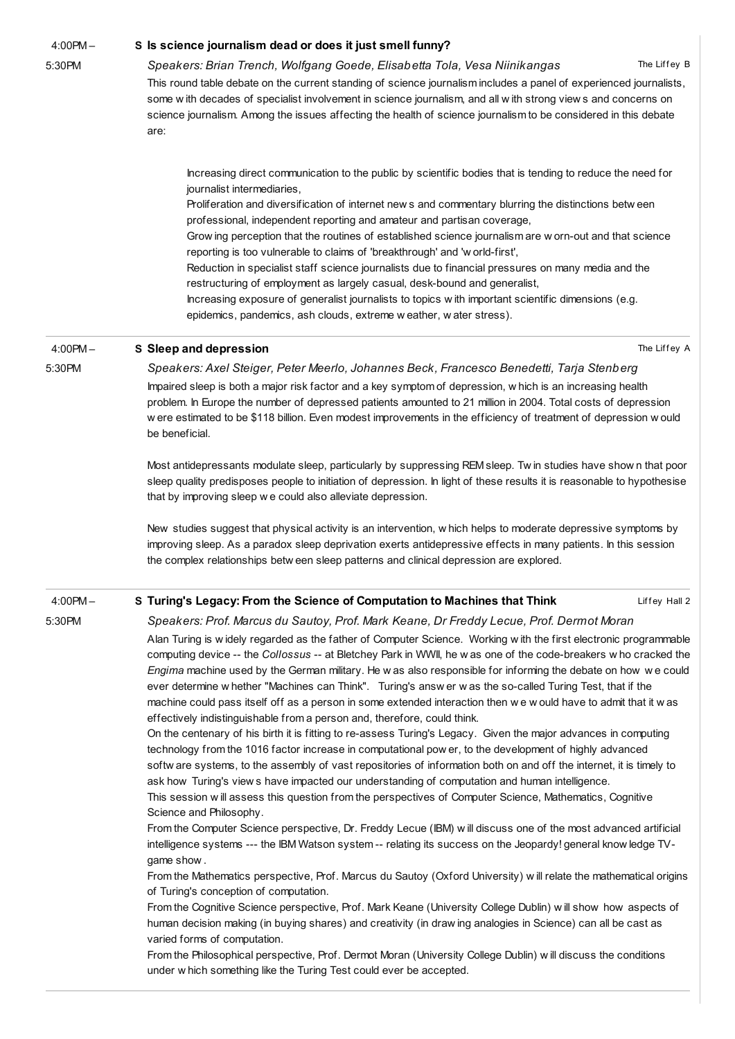4:00PM –

### 5:30PM

### S Is science journalism dead or does it just smell funny?

The Liffev B Speakers: Brian Trench, Wolfgang Goede, Elisabetta Tola, Vesa [Niinikangas](http://esof2012.sched.org/event/e551107302ac43ef9b3f4b83cc63bd33)

The Liffey A

Liffey Hall 2

This round table debate on the current standing of science journalism includes a panel of experienced journalists, some w ith decades of specialist involvement in science journalism, and all w ith strong view s and concerns on science journalism. Among the issues affecting the health of science journalism to be considered in this debate are:

Increasing direct communication to the public by scientific bodies that is tending to reduce the need for journalist intermediaries,

Proliferation and diversification of internet new s and commentary blurring the distinctions betw een professional, independent reporting and amateur and partisan coverage,

Grow ing perception that the routines of established science journalism are w orn-out and that science reporting is too vulnerable to claims of 'breakthrough' and 'w orld-first',

Reduction in specialist staff science journalists due to financial pressures on many media and the restructuring of employment as largely casual, desk-bound and generalist,

Increasing exposure of generalist journalists to topics w ith important scientific dimensions (e.g. epidemics, pandemics, ash clouds, extreme w eather, w ater stress).

#### 4:00PM – S Sleep and [depression](http://esof2012.sched.org/event/15ff30eeb238c879970e60d52e8669e8)

5:30PM

Speakers: Axel Steiger, Peter Meerlo, Johannes Beck, Francesco Benedetti, Tarja Stenberg Impaired sleep is both a major risk factor and a key symptom of depression, w hich is an increasing health problem. In Europe the number of depressed patients amounted to 21 million in 2004. Total costs of depression w ere estimated to be \$118 billion. Even modest improvements in the efficiency of treatment of depression w ould be beneficial.

Most antidepressants modulate sleep, particularly by suppressing REM sleep. Tw in studies have show n that poor sleep quality predisposes people to initiation of depression. In light of these results it is reasonable to hypothesise that by improving sleep w e could also alleviate depression.

New studies suggest that physical activity is an intervention, w hich helps to moderate depressive symptoms by improving sleep. As a paradox sleep deprivation exerts antidepressive effects in many patients. In this session the complex relationships betw een sleep patterns and clinical depression are explored.

#### 4:00PM – S Turing's Legacy: From the Science of [Computation](http://esof2012.sched.org/event/c7c540810f30dba6e94c6de5049e8501) to Machines that Think

5:30PM

Speakers: Prof. Marcus du Sautoy, Prof. Mark Keane, Dr Freddy Lecue, Prof. Dermot Moran Alan Turing is w idely regarded as the father of Computer Science. Working w ith the first electronic programmable computing device -- the Collossus -- at Bletchey Park in WWII, he w as one of the code-breakers w ho cracked the Engima machine used by the German military. He w as also responsible for informing the debate on how w e could ever determine w hether "Machines can Think". Turing's answ er w as the so-called Turing Test, that if the machine could pass itself off as a person in some extended interaction then w e w ould have to admit that it w as effectively indistinguishable from a person and, therefore, could think.

On the centenary of his birth it is fitting to re-assess Turing's Legacy. Given the major advances in computing technology from the 1016 factor increase in computational pow er, to the development of highly advanced softw are systems, to the assembly of vast repositories of information both on and off the internet, it is timely to ask how Turing's view s have impacted our understanding of computation and human intelligence. This session w ill assess this question from the perspectives of Computer Science, Mathematics, Cognitive

Science and Philosophy.

From the Computer Science perspective, Dr. Freddy Lecue (IBM) w ill discuss one of the most advanced artificial intelligence systems --- the IBM Watson system -- relating its success on the Jeopardy! general know ledge TVgame show .

From the Mathematics perspective, Prof. Marcus du Sautoy (Oxford University) w ill relate the mathematical origins of Turing's conception of computation.

From the Cognitive Science perspective, Prof. Mark Keane (University College Dublin) w ill show how aspects of human decision making (in buying shares) and creativity (in draw ing analogies in Science) can all be cast as varied forms of computation.

From the Philosophical perspective, Prof. Dermot Moran (University College Dublin) w ill discuss the conditions under w hich something like the Turing Test could ever be accepted.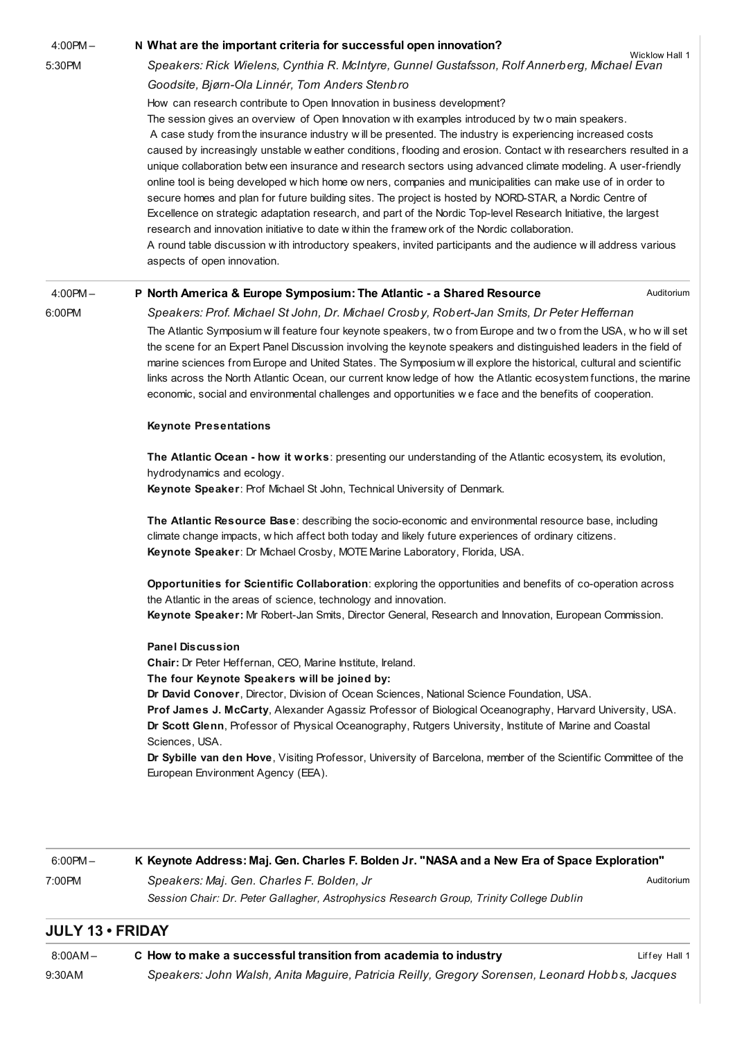4:00PM –

5:30PM

### N What are the important criteria for successful open [innovation?](http://esof2012.sched.org/event/7c6f82fd731491dc4444de60b1dcb85c)

Wicklow Hall 1 Speakers: Rick Wielens, Cynthia R. McIntyre, Gunnel Gustafsson, Rolf Annerberg, Michael Evan Goodsite, Bjørn-Ola Linnér, Tom Anders Stenbro

How can research contribute to Open Innovation in business development?

The session gives an overview of Open Innovation w ith examples introduced by two main speakers. A case study from the insurance industry w ill be presented. The industry is experiencing increased costs caused by increasingly unstable w eather conditions, flooding and erosion. Contact w ith researchers resulted in a unique collaboration betw een insurance and research sectors using advanced climate modeling. A user-friendly online tool is being developed w hich home ow ners, companies and municipalities can make use of in order to secure homes and plan for future building sites. The project is hosted by NORD-STAR, a Nordic Centre of Excellence on strategic adaptation research, and part of the Nordic Top-level Research Initiative, the largest research and innovation initiative to date w ithin the framew ork of the Nordic collaboration. A round table discussion w ith introductory speakers, invited participants and the audience w ill address various

aspects of open innovation.

#### 4:00PM – P North America & Europe [Symposium:](http://esof2012.sched.org/event/2c68f1313288255151b0007a3a39c94f) The Atlantic - a Shared Resource

6:00PM

## Speakers: Prof. Michael St John, Dr. Michael Crosby, Robert-Jan Smits, Dr Peter Heffernan

The Atlantic Symposium w ill feature four keynote speakers, tw o from Europe and tw o from the USA, w ho w ill set the scene for an Expert Panel Discussion involving the keynote speakers and distinguished leaders in the field of marine sciences from Europe and United States. The Symposium w ill explore the historical, cultural and scientific links across the North Atlantic Ocean, our current know ledge of how the Atlantic ecosystem functions, the marine economic, social and environmental challenges and opportunities w e face and the benefits of cooperation.

Auditorium

### Keynote Presentations

The Atlantic Ocean - how it works: presenting our understanding of the Atlantic ecosystem, its evolution, hydrodynamics and ecology.

Keynote Speaker: Prof Michael St John, Technical University of Denmark.

The Atlantic Resource Base: describing the socio-economic and environmental resource base, including climate change impacts, w hich affect both today and likely future experiences of ordinary citizens. Keynote Speaker: Dr Michael Crosby, MOTE Marine Laboratory, Florida, USA.

Opportunities for Scientific Collaboration: exploring the opportunities and benefits of co-operation across the Atlantic in the areas of science, technology and innovation.

Keynote Speaker: Mr Robert-Jan Smits, Director General, Research and Innovation, European Commission.

### Panel Discussion

Chair: Dr Peter Heffernan, CEO, Marine Institute, Ireland.

### The four Keynote Speakers will be joined by:

Dr David Conover, Director, Division of Ocean Sciences, National Science Foundation, USA.

Prof James J. McCarty, Alexander Agassiz Professor of Biological Oceanography, Harvard University, USA. Dr Scott Glenn, Professor of Physical Oceanography, Rutgers University, Institute of Marine and Coastal Sciences, USA.

Dr Sybille van den Hove, Visiting Professor, University of Barcelona, member of the Scientific Committee of the European Environment Agency (EEA).

### Auditorium 6:00PM – 7:00PM K Keynote Address: Maj. Gen. Charles F. Bolden Jr. "NASA and a New Era of Space [Exploration"](http://esof2012.sched.org/event/83ef95e55be73c05e07b0f2dfd3d24f7) Speakers: Maj. Gen. Charles F. Bolden, Jr Session Chair: Dr. Peter Gallagher, Astrophysics Research Group, Trinity College Dublin

## JULY 13 • FRIDAY

| $8:00AM -$ | C How to make a successful transition from academia to industry                                | Liffey Hall 1 |
|------------|------------------------------------------------------------------------------------------------|---------------|
| 9:30AM     | Speakers: John Walsh, Anita Maguire, Patricia Reilly, Gregory Sorensen, Leonard Hobbs, Jacques |               |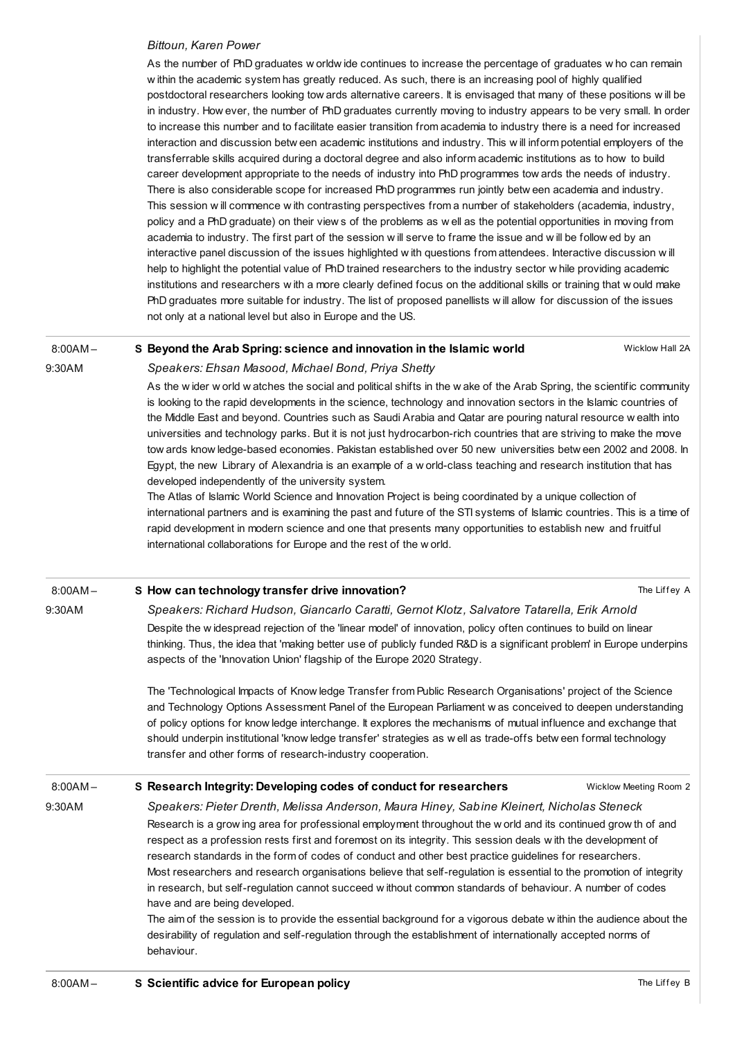### Bittoun, Karen Power

As the number of PhD graduates w orldw ide continues to increase the percentage of graduates w ho can remain w ithin the academic system has greatly reduced. As such, there is an increasing pool of highly qualified postdoctoral researchers looking tow ards alternative careers. It is envisaged that many of these positions w ill be in industry. How ever, the number of PhD graduates currently moving to industry appears to be very small. In order to increase this number and to facilitate easier transition from academia to industry there is a need for increased interaction and discussion betw een academic institutions and industry. This w ill inform potential employers of the transferrable skills acquired during a doctoral degree and also inform academic institutions as to how to build career development appropriate to the needs of industry into PhD programmes tow ards the needs of industry. There is also considerable scope for increased PhD programmes run jointly betw een academia and industry. This session w ill commence w ith contrasting perspectives from a number of stakeholders (academia, industry, policy and a PhD graduate) on their view s of the problems as w ell as the potential opportunities in moving from academia to industry. The first part of the session w ill serve to frame the issue and w ill be follow ed by an interactive panel discussion of the issues highlighted w ith questions from attendees. Interactive discussion w ill help to highlight the potential value of PhD trained researchers to the industry sector w hile providing academic institutions and researchers w ith a more clearly defined focus on the additional skills or training that w ould make PhD graduates more suitable for industry. The list of proposed panellists w ill allow for discussion of the issues not only at a national level but also in Europe and the US.

#### $8:00AM -$ S Beyond the Arab Spring: science and [innovation](http://esof2012.sched.org/event/0c3f282b53d1f0e5654483e1b06d1089) in the Islamic world

Wicklow Hall 2A

## Speakers: Ehsan Masood, Michael Bond, Priya Shetty

9:30AM

As the w ider w orld w atches the social and political shifts in the w ake of the Arab Spring, the scientific community is looking to the rapid developments in the science, technology and innovation sectors in the Islamic countries of the Middle East and beyond. Countries such as Saudi Arabia and Qatar are pouring natural resource w ealth into universities and technology parks. But it is not just hydrocarbon-rich countries that are striving to make the move tow ards know ledge-based economies. Pakistan established over 50 new universities betw een 2002 and 2008. In Egypt, the new Library of Alexandria is an example of a w orld-class teaching and research institution that has developed independently of the university system.

The Atlas of Islamic World Science and Innovation Project is being coordinated by a unique collection of international partners and is examining the past and future of the STI systems of Islamic countries. This is a time of rapid development in modern science and one that presents many opportunities to establish new and fruitful international collaborations for Europe and the rest of the w orld.

| $8:00AM -$ | S How can technology transfer drive innovation?                                                                                                                                                                                                                                                                                                                                                                                                                                                                                                                                                                                                                                                                                                                                                                                                                    | The Liffey A           |  |
|------------|--------------------------------------------------------------------------------------------------------------------------------------------------------------------------------------------------------------------------------------------------------------------------------------------------------------------------------------------------------------------------------------------------------------------------------------------------------------------------------------------------------------------------------------------------------------------------------------------------------------------------------------------------------------------------------------------------------------------------------------------------------------------------------------------------------------------------------------------------------------------|------------------------|--|
| 9:30AM     | Speakers: Richard Hudson, Giancarlo Caratti, Gernot Klotz, Salvatore Tatarella, Erik Arnold<br>Despite the widespread rejection of the 'linear model' of innovation, policy often continues to build on linear<br>thinking. Thus, the idea that 'making better use of publicly funded R&D is a significant problem' in Europe underpins<br>aspects of the 'Innovation Union' flagship of the Europe 2020 Strategy.                                                                                                                                                                                                                                                                                                                                                                                                                                                 |                        |  |
|            | The 'Technological Impacts of Know ledge Transfer from Public Research Organisations' project of the Science<br>and Technology Options Assessment Panel of the European Parliament w as conceived to deepen understanding<br>of policy options for know ledge interchange. It explores the mechanisms of mutual influence and exchange that<br>should underpin institutional 'know ledge transfer' strategies as well as trade-offs between formal technology<br>transfer and other forms of research-industry cooperation.                                                                                                                                                                                                                                                                                                                                        |                        |  |
| $8:00AM -$ | S Research Integrity: Developing codes of conduct for researchers                                                                                                                                                                                                                                                                                                                                                                                                                                                                                                                                                                                                                                                                                                                                                                                                  | Wicklow Meeting Room 2 |  |
| 9:30AM     | Speakers: Pieter Drenth, Melissa Anderson, Maura Hiney, Sabine Kleinert, Nicholas Steneck                                                                                                                                                                                                                                                                                                                                                                                                                                                                                                                                                                                                                                                                                                                                                                          |                        |  |
|            | Research is a grow ing area for professional employment throughout the w orld and its continued grow th of and<br>respect as a profession rests first and foremost on its integrity. This session deals with the development of<br>research standards in the form of codes of conduct and other best practice guidelines for researchers.<br>Most researchers and research organisations believe that self-regulation is essential to the promotion of integrity<br>in research, but self-regulation cannot succeed w ithout common standards of behaviour. A number of codes<br>have and are being developed.<br>The aim of the session is to provide the essential background for a vigorous debate within the audience about the<br>desirability of regulation and self-regulation through the establishment of internationally accepted norms of<br>behaviour. |                        |  |
| 0.0011     | C. Caisatific cabics for European poliou                                                                                                                                                                                                                                                                                                                                                                                                                                                                                                                                                                                                                                                                                                                                                                                                                           | $TL = 1.222R$          |  |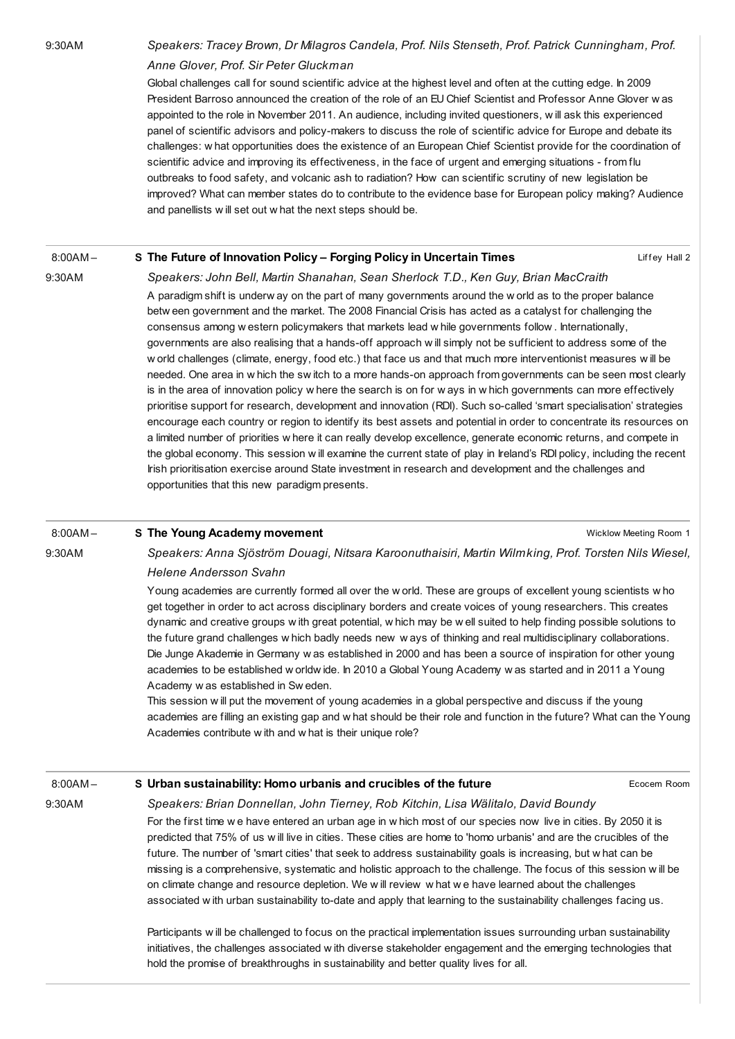9:30AM Speakers: Tracey Brown, Dr Milagros Candela, Prof. Nils Stenseth, Prof. Patrick Cunningham, Prof. Anne Glover, Prof. Sir Peter Gluckman

> Global challenges call for sound scientific advice at the highest level and often at the cutting edge. In 2009 President Barroso announced the creation of the role of an EU Chief Scientist and Professor Anne Glover w as appointed to the role in November 2011. An audience, including invited questioners, w ill ask this experienced panel of scientific advisors and policy-makers to discuss the role of scientific advice for Europe and debate its challenges: w hat opportunities does the existence of an European Chief Scientist provide for the coordination of scientific advice and improving its effectiveness, in the face of urgent and emerging situations - from flu outbreaks to food safety, and volcanic ash to radiation? How can scientific scrutiny of new legislation be improved? What can member states do to contribute to the evidence base for European policy making? Audience and panellists w ill set out w hat the next steps should be.

#### Liffey Hall 2  $8:00A M -$ S The Future of [Innovation](http://esof2012.sched.org/event/bc5306c613ee4770c2e778e31dc4e0f4) Policy – Forging Policy in Uncertain Times

9:30AM

Speakers: John Bell, Martin Shanahan, Sean Sherlock T.D., Ken Guy, Brian MacCraith A paradigm shift is underw ay on the part of many governments around the w orld as to the proper balance betw een government and the market. The 2008 Financial Crisis has acted as a catalyst for challenging the consensus among w estern policymakers that markets lead w hile governments follow . Internationally, governments are also realising that a hands-off approach w ill simply not be sufficient to address some of the w orld challenges (climate, energy, food etc.) that face us and that much more interventionist measures w ill be needed. One area in w hich the sw itch to a more hands-on approach from governments can be seen most clearly is in the area of innovation policy w here the search is on for w ays in w hich governments can more effectively prioritise support for research, development and innovation (RDI). Such so-called 'smart specialisation' strategies encourage each country or region to identify its best assets and potential in order to concentrate its resources on a limited number of priorities w here it can really develop excellence, generate economic returns, and compete in the global economy. This session w ill examine the current state of play in Ireland's RDI policy, including the recent Irish prioritisation exercise around State investment in research and development and the challenges and opportunities that this new paradigm presents.

#### 8:00AM – S The Young Academy [movement](http://esof2012.sched.org/event/d57ff29665fd03e602866b6496d124c0)

9:30AM

Speakers: Anna Sjöström Douagi, Nitsara Karoonuthaisiri, Martin Wilmking, Prof. Torsten Nils Wiesel, Helene Andersson Svahn

Wicklow Meeting Room 1

Ecocem Room

Young academies are currently formed all over the w orld. These are groups of excellent young scientists w ho get together in order to act across disciplinary borders and create voices of young researchers. This creates dynamic and creative groups w ith great potential, w hich may be w ell suited to help finding possible solutions to the future grand challenges w hich badly needs new w ays of thinking and real multidisciplinary collaborations. Die Junge Akademie in Germany w as established in 2000 and has been a source of inspiration for other young academies to be established w orldw ide. In 2010 a Global Young Academy w as started and in 2011 a Young Academy w as established in Sw eden.

This session w ill put the movement of young academies in a global perspective and discuss if the young academies are filling an existing gap and w hat should be their role and function in the future? What can the Young Academies contribute w ith and w hat is their unique role?

### 8:00AM –

9:30AM

### S Urban [sustainability:](http://esof2012.sched.org/event/dd7f27ee7393ca929a5e49d31f12ef91) Homo urbanis and crucibles of the future

Speakers: Brian Donnellan, John Tierney, Rob Kitchin, Lisa Wälitalo, David Boundy For the first time w e have entered an urban age in w hich most of our species now live in cities. By 2050 it is predicted that 75% of us w ill live in cities. These cities are home to 'homo urbanis' and are the crucibles of the future. The number of 'smart cities' that seek to address sustainability goals is increasing, but w hat can be

missing is a comprehensive, systematic and holistic approach to the challenge. The focus of this session w ill be on climate change and resource depletion. We w ill review w hat w e have learned about the challenges associated w ith urban sustainability to-date and apply that learning to the sustainability challenges facing us.

Participants w ill be challenged to focus on the practical implementation issues surrounding urban sustainability initiatives, the challenges associated w ith diverse stakeholder engagement and the emerging technologies that hold the promise of breakthroughs in sustainability and better quality lives for all.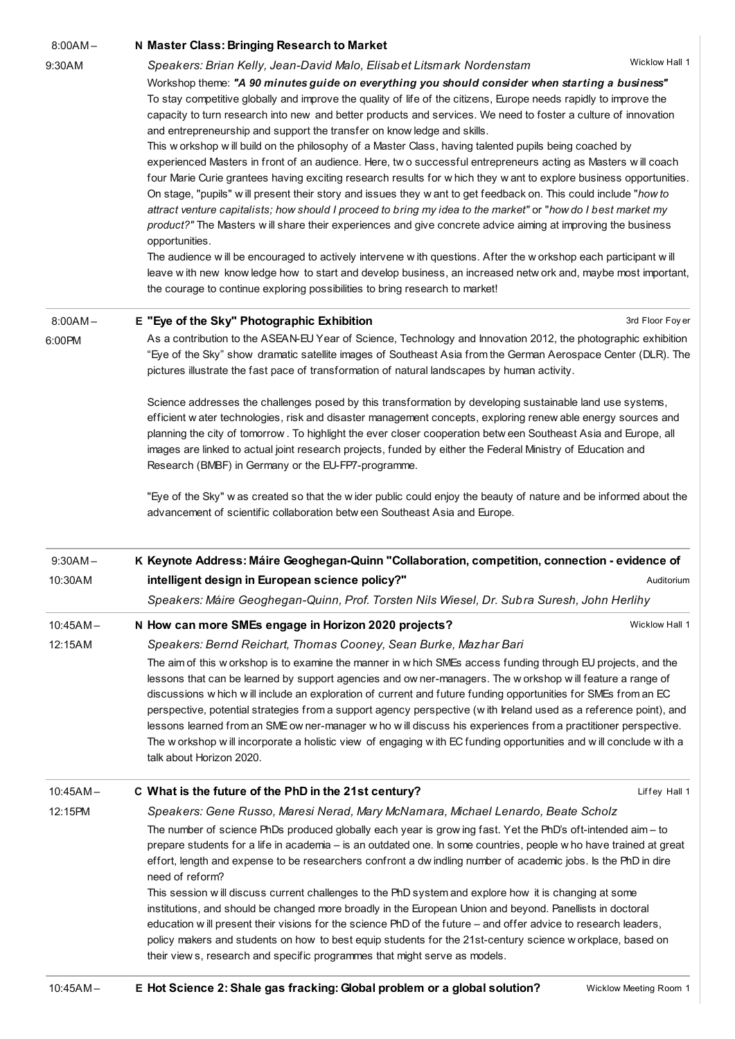| $8:00AM -$  | N Master Class: Bringing Research to Market                                                                                                                                                                                                                                                                                                                                                                                                                                                                                                                                                                                                                                                                                                                                                             |  |  |
|-------------|---------------------------------------------------------------------------------------------------------------------------------------------------------------------------------------------------------------------------------------------------------------------------------------------------------------------------------------------------------------------------------------------------------------------------------------------------------------------------------------------------------------------------------------------------------------------------------------------------------------------------------------------------------------------------------------------------------------------------------------------------------------------------------------------------------|--|--|
| 9:30AM      | Wicklow Hall 1<br>Speakers: Brian Kelly, Jean-David Malo, Elisabet Litsmark Nordenstam                                                                                                                                                                                                                                                                                                                                                                                                                                                                                                                                                                                                                                                                                                                  |  |  |
|             | Workshop theme: "A 90 minutes guide on everything you should consider when starting a business"<br>To stay competitive globally and improve the quality of life of the citizens, Europe needs rapidly to improve the<br>capacity to turn research into new and better products and services. We need to foster a culture of innovation                                                                                                                                                                                                                                                                                                                                                                                                                                                                  |  |  |
|             | and entrepreneurship and support the transfer on know ledge and skills.                                                                                                                                                                                                                                                                                                                                                                                                                                                                                                                                                                                                                                                                                                                                 |  |  |
|             | This workshop will build on the philosophy of a Master Class, having talented pupils being coached by<br>experienced Masters in front of an audience. Here, two successful entrepreneurs acting as Masters will coach<br>four Marie Curie grantees having exciting research results for which they w ant to explore business opportunities.<br>On stage, "pupils" will present their story and issues they w ant to get feedback on. This could include "how to<br>attract venture capitalists; how should I proceed to bring my idea to the market" or "how do I best market my<br>product?" The Masters will share their experiences and give concrete advice aiming at improving the business<br>opportunities.                                                                                      |  |  |
|             | The audience will be encouraged to actively intervene with questions. After the workshop each participant will<br>leave with new know ledge how to start and develop business, an increased network and, maybe most important,                                                                                                                                                                                                                                                                                                                                                                                                                                                                                                                                                                          |  |  |
|             | the courage to continue exploring possibilities to bring research to market!                                                                                                                                                                                                                                                                                                                                                                                                                                                                                                                                                                                                                                                                                                                            |  |  |
| $8:00AM -$  | E "Eye of the Sky" Photographic Exhibition<br>3rd Floor Foyer                                                                                                                                                                                                                                                                                                                                                                                                                                                                                                                                                                                                                                                                                                                                           |  |  |
| 6:00PM      | As a contribution to the ASEAN-EU Year of Science, Technology and Innovation 2012, the photographic exhibition<br>"Eye of the Sky" show dramatic satellite images of Southeast Asia from the German Aerospace Center (DLR). The<br>pictures illustrate the fast pace of transformation of natural landscapes by human activity.                                                                                                                                                                                                                                                                                                                                                                                                                                                                         |  |  |
|             | Science addresses the challenges posed by this transformation by developing sustainable land use systems,<br>efficient w ater technologies, risk and disaster management concepts, exploring renew able energy sources and<br>planning the city of tomorrow. To highlight the ever closer cooperation betw een Southeast Asia and Europe, all<br>images are linked to actual joint research projects, funded by either the Federal Ministry of Education and<br>Research (BMBF) in Germany or the EU-FP7-programme.                                                                                                                                                                                                                                                                                     |  |  |
|             | "Eye of the Sky" w as created so that the wider public could enjoy the beauty of nature and be informed about the<br>advancement of scientific collaboration betw een Southeast Asia and Europe.                                                                                                                                                                                                                                                                                                                                                                                                                                                                                                                                                                                                        |  |  |
| $9:30AM -$  | K Keynote Address: Máire Geoghegan-Quinn "Collaboration, competition, connection - evidence of                                                                                                                                                                                                                                                                                                                                                                                                                                                                                                                                                                                                                                                                                                          |  |  |
| 10:30AM     | intelligent design in European science policy?"<br>Auditorium                                                                                                                                                                                                                                                                                                                                                                                                                                                                                                                                                                                                                                                                                                                                           |  |  |
|             | Speakers: Máire Geoghegan-Quinn, Prof. Torsten Nils Wiesel, Dr. Subra Suresh, John Herlihy                                                                                                                                                                                                                                                                                                                                                                                                                                                                                                                                                                                                                                                                                                              |  |  |
| $10:45AM -$ | N How can more SMEs engage in Horizon 2020 projects?<br>Wicklow Hall 1                                                                                                                                                                                                                                                                                                                                                                                                                                                                                                                                                                                                                                                                                                                                  |  |  |
| 12:15AM     | Speakers: Bernd Reichart, Thomas Cooney, Sean Burke, Mazhar Bari<br>The aim of this workshop is to examine the manner in which SMEs access funding through EU projects, and the<br>lessons that can be learned by support agencies and ow ner-managers. The w orkshop will feature a range of<br>discussions w hich w ill include an exploration of current and future funding opportunities for SMEs from an EC<br>perspective, potential strategies from a support agency perspective (with Ireland used as a reference point), and<br>lessons learned from an SME ow ner-manager w ho w ill discuss his experiences from a practitioner perspective.<br>The workshop will incorporate a holistic view of engaging with EC funding opportunities and will conclude with a<br>talk about Horizon 2020. |  |  |
| $10:45AM -$ | C What is the future of the PhD in the 21st century?<br>Liffey Hall 1                                                                                                                                                                                                                                                                                                                                                                                                                                                                                                                                                                                                                                                                                                                                   |  |  |
| 12:15PM     | Speakers: Gene Russo, Maresi Nerad, Mary McNamara, Michael Lenardo, Beate Scholz                                                                                                                                                                                                                                                                                                                                                                                                                                                                                                                                                                                                                                                                                                                        |  |  |
|             | The number of science PhDs produced globally each year is grow ing fast. Yet the PhD's oft-intended aim - to<br>prepare students for a life in academia - is an outdated one. In some countries, people w ho have trained at great<br>effort, length and expense to be researchers confront a dw indling number of academic jobs. Is the PhD in dire                                                                                                                                                                                                                                                                                                                                                                                                                                                    |  |  |
|             | need of reform?<br>This session will discuss current challenges to the PhD system and explore how it is changing at some<br>institutions, and should be changed more broadly in the European Union and beyond. Panellists in doctoral<br>education w ill present their visions for the science PhD of the future – and offer advice to research leaders,<br>policy makers and students on how to best equip students for the 21st-century science w orkplace, based on                                                                                                                                                                                                                                                                                                                                  |  |  |
|             | their view s, research and specific programmes that might serve as models.                                                                                                                                                                                                                                                                                                                                                                                                                                                                                                                                                                                                                                                                                                                              |  |  |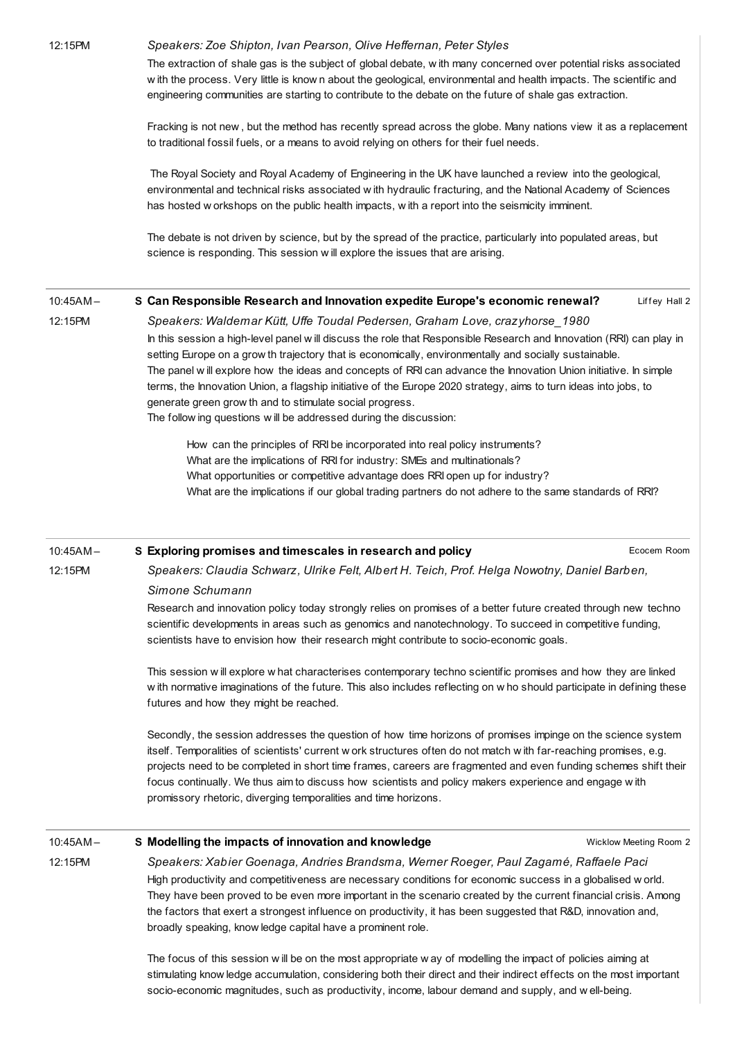### 12:15PM Speakers: Zoe Shipton, Ivan Pearson, Olive Heffernan, Peter Styles

The extraction of shale gas is the subject of global debate, w ith many concerned over potential risks associated w ith the process. Very little is know n about the geological, environmental and health impacts. The scientific and engineering communities are starting to contribute to the debate on the future of shale gas extraction.

Fracking is not new , but the method has recently spread across the globe. Many nations view it as a replacement to traditional fossil fuels, or a means to avoid relying on others for their fuel needs.

The Royal Society and Royal Academy of Engineering in the UK have launched a review into the geological, environmental and technical risks associated w ith hydraulic fracturing, and the National Academy of Sciences has hosted w orkshops on the public health impacts, w ith a report into the seismicity imminent.

The debate is not driven by science, but by the spread of the practice, particularly into populated areas, but science is responding. This session w ill explore the issues that are arising.

#### Liffey Hall 2 10:45AM – S Can [Responsible](http://esof2012.sched.org/event/31a89d772e38bea4cb96e3f522375970) Research and Innovation expedite Europe's economic renewal?

12:15PM

Speakers: Waldemar Kütt, Uffe Toudal Pedersen, Graham Love, crazyhorse\_1980 In this session a high-level panel w ill discuss the role that Responsible Research and Innovation (RRI) can play in setting Europe on a grow th trajectory that is economically, environmentally and socially sustainable. The panel w ill explore how the ideas and concepts of RRI can advance the Innovation Union initiative. In simple terms, the Innovation Union, a flagship initiative of the Europe 2020 strategy, aims to turn ideas into jobs, to generate green grow th and to stimulate social progress. The follow ing questions w ill be addressed during the discussion:

How can the principles of RRI be incorporated into real policy instruments? What are the implications of RRI for industry: SMEs and multinationals? What opportunities or competitive advantage does RRI open up for industry? What are the implications if our global trading partners do not adhere to the same standards of RRI?

#### 10:45AM – S Exploring promises and [timescales](http://esof2012.sched.org/event/4c47dfd517b963594c0bcf1736b05beb) in research and policy

Ecocem Room

12:15PM

12:15PM

Speakers: Claudia Schwarz, Ulrike Felt, Albert H. Teich, Prof. Helga Nowotny, Daniel Barben, Simone Schumann

Research and innovation policy today strongly relies on promises of a better future created through new techno scientific developments in areas such as genomics and nanotechnology. To succeed in competitive funding, scientists have to envision how their research might contribute to socio-economic goals.

This session w ill explore w hat characterises contemporary techno scientific promises and how they are linked w ith normative imaginations of the future. This also includes reflecting on w ho should participate in defining these futures and how they might be reached.

Secondly, the session addresses the question of how time horizons of promises impinge on the science system itself. Temporalities of scientists' current w ork structures often do not match w ith far-reaching promises, e.g. projects need to be completed in short time frames, careers are fragmented and even funding schemes shift their focus continually. We thus aim to discuss how scientists and policy makers experience and engage w ith promissory rhetoric, diverging temporalities and time horizons.

### 10:45AM – S Modelling the impacts of innovation and [knowledge](http://esof2012.sched.org/event/e96bca85c8d1cc97b1857a04ba65c641)

Wicklow Meeting Room 2

Speakers: Xabier Goenaga, Andries Brandsma, Werner Roeger, Paul Zagamé, Raffaele Paci High productivity and competitiveness are necessary conditions for economic success in a globalised w orld. They have been proved to be even more important in the scenario created by the current financial crisis. Among the factors that exert a strongest influence on productivity, it has been suggested that R&D, innovation and, broadly speaking, know ledge capital have a prominent role.

The focus of this session w ill be on the most appropriate w ay of modelling the impact of policies aiming at stimulating know ledge accumulation, considering both their direct and their indirect effects on the most important socio-economic magnitudes, such as productivity, income, labour demand and supply, and w ell-being.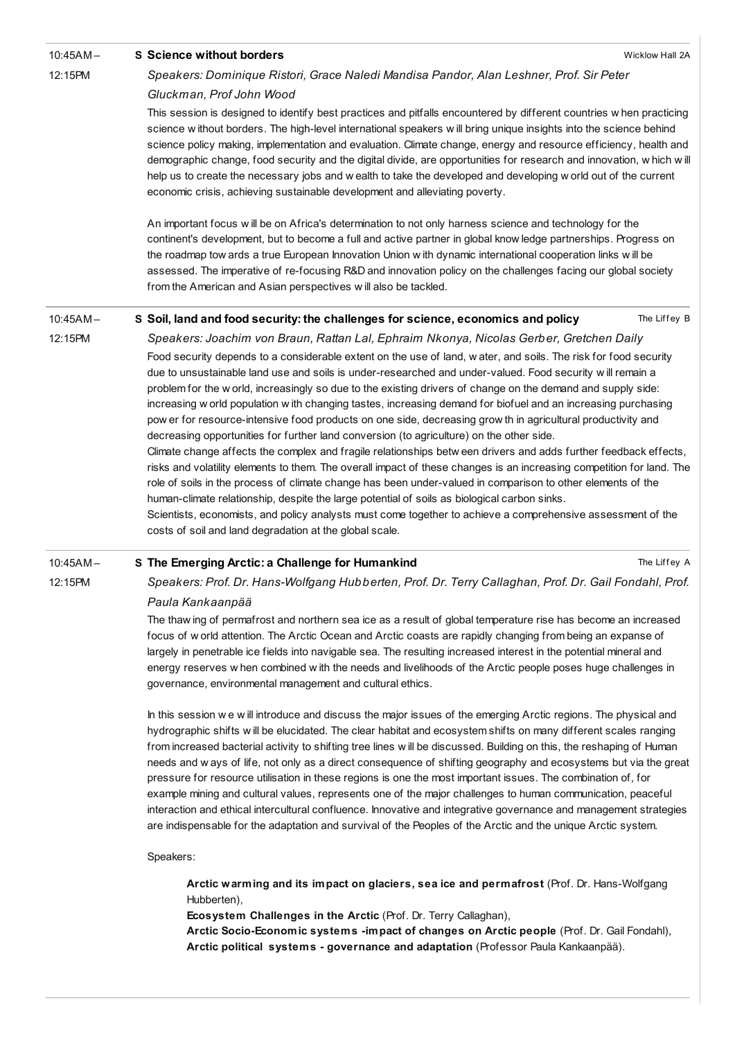| 10:45AM-    | <b>S</b> Science without borders                                                                                                                                                                                                                                                                                                                                                                                                                                                                                                                                                                                                                                                                                                                                                                                                                                                                                                                                                                                                                                                                                                                                                                                                                                                                                | Wicklow Hall 2A |  |  |  |
|-------------|-----------------------------------------------------------------------------------------------------------------------------------------------------------------------------------------------------------------------------------------------------------------------------------------------------------------------------------------------------------------------------------------------------------------------------------------------------------------------------------------------------------------------------------------------------------------------------------------------------------------------------------------------------------------------------------------------------------------------------------------------------------------------------------------------------------------------------------------------------------------------------------------------------------------------------------------------------------------------------------------------------------------------------------------------------------------------------------------------------------------------------------------------------------------------------------------------------------------------------------------------------------------------------------------------------------------|-----------------|--|--|--|
| 12:15PM     | Speakers: Dominique Ristori, Grace Naledi Mandisa Pandor, Alan Leshner, Prof. Sir Peter                                                                                                                                                                                                                                                                                                                                                                                                                                                                                                                                                                                                                                                                                                                                                                                                                                                                                                                                                                                                                                                                                                                                                                                                                         |                 |  |  |  |
|             | Gluckman, Prof John Wood                                                                                                                                                                                                                                                                                                                                                                                                                                                                                                                                                                                                                                                                                                                                                                                                                                                                                                                                                                                                                                                                                                                                                                                                                                                                                        |                 |  |  |  |
|             | This session is designed to identify best practices and pitfalls encountered by different countries when practicing<br>science without borders. The high-level international speakers will bring unique insights into the science behind<br>science policy making, implementation and evaluation. Climate change, energy and resource efficiency, health and<br>demographic change, food security and the digital divide, are opportunities for research and innovation, which will<br>help us to create the necessary jobs and w ealth to take the developed and developing w orld out of the current<br>economic crisis, achieving sustainable development and alleviating poverty.                                                                                                                                                                                                                                                                                                                                                                                                                                                                                                                                                                                                                           |                 |  |  |  |
|             | An important focus will be on Africa's determination to not only harness science and technology for the<br>continent's development, but to become a full and active partner in global know ledge partnerships. Progress on<br>the roadmap tow ards a true European Innovation Union with dynamic international cooperation links will be<br>assessed. The imperative of re-focusing R&D and innovation policy on the challenges facing our global society<br>from the American and Asian perspectives will also be tackled.                                                                                                                                                                                                                                                                                                                                                                                                                                                                                                                                                                                                                                                                                                                                                                                     |                 |  |  |  |
| 10:45AM-    | S Soil, land and food security: the challenges for science, economics and policy                                                                                                                                                                                                                                                                                                                                                                                                                                                                                                                                                                                                                                                                                                                                                                                                                                                                                                                                                                                                                                                                                                                                                                                                                                | The Liffey B    |  |  |  |
| 12:15PM     | Speakers: Joachim von Braun, Rattan Lal, Ephraim Nkonya, Nicolas Gerber, Gretchen Daily                                                                                                                                                                                                                                                                                                                                                                                                                                                                                                                                                                                                                                                                                                                                                                                                                                                                                                                                                                                                                                                                                                                                                                                                                         |                 |  |  |  |
|             | Food security depends to a considerable extent on the use of land, water, and soils. The risk for food security<br>due to unsustainable land use and soils is under-researched and under-valued. Food security will remain a<br>problem for the w orld, increasingly so due to the existing drivers of change on the demand and supply side:<br>increasing w orld population with changing tastes, increasing demand for biofuel and an increasing purchasing<br>pow er for resource-intensive food products on one side, decreasing grow th in agricultural productivity and<br>decreasing opportunities for further land conversion (to agriculture) on the other side.<br>Climate change affects the complex and fragile relationships betw een drivers and adds further feedback effects,<br>risks and volatility elements to them. The overall impact of these changes is an increasing competition for land. The<br>role of soils in the process of climate change has been under-valued in comparison to other elements of the<br>human-climate relationship, despite the large potential of soils as biological carbon sinks.<br>Scientists, economists, and policy analysts must come together to achieve a comprehensive assessment of the<br>costs of soil and land degradation at the global scale. |                 |  |  |  |
| $10:45AM -$ | S The Emerging Arctic: a Challenge for Humankind                                                                                                                                                                                                                                                                                                                                                                                                                                                                                                                                                                                                                                                                                                                                                                                                                                                                                                                                                                                                                                                                                                                                                                                                                                                                | The Liffey A    |  |  |  |
| 12:15PM     | Speakers: Prof. Dr. Hans-Wolfgang Hubberten, Prof. Dr. Terry Callaghan, Prof. Dr. Gail Fondahl, Prof.                                                                                                                                                                                                                                                                                                                                                                                                                                                                                                                                                                                                                                                                                                                                                                                                                                                                                                                                                                                                                                                                                                                                                                                                           |                 |  |  |  |
|             | Paula Kankaanpää                                                                                                                                                                                                                                                                                                                                                                                                                                                                                                                                                                                                                                                                                                                                                                                                                                                                                                                                                                                                                                                                                                                                                                                                                                                                                                |                 |  |  |  |
|             | The thaw ing of nermafrost and northern sea ice as a result of global temperature rise has become an increased                                                                                                                                                                                                                                                                                                                                                                                                                                                                                                                                                                                                                                                                                                                                                                                                                                                                                                                                                                                                                                                                                                                                                                                                  |                 |  |  |  |

The thaw ing of permafrost and northern sea ice as a result of global temperature rise has become an increased focus of w orld attention. The Arctic Ocean and Arctic coasts are rapidly changing from being an expanse of largely in penetrable ice fields into navigable sea. The resulting increased interest in the potential mineral and energy reserves w hen combined w ith the needs and livelihoods of the Arctic people poses huge challenges in governance, environmental management and cultural ethics.

In this session w e w ill introduce and discuss the major issues of the emerging Arctic regions. The physical and hydrographic shifts w ill be elucidated. The clear habitat and ecosystem shifts on many different scales ranging from increased bacterial activity to shifting tree lines w ill be discussed. Building on this, the reshaping of Human needs and w ays of life, not only as a direct consequence of shifting geography and ecosystems but via the great pressure for resource utilisation in these regions is one the most important issues. The combination of, for example mining and cultural values, represents one of the major challenges to human communication, peaceful interaction and ethical intercultural confluence. Innovative and integrative governance and management strategies are indispensable for the adaptation and survival of the Peoples of the Arctic and the unique Arctic system.

Speakers:

Arctic warming and its impact on glaciers, sea ice and permafrost (Prof. Dr. Hans-Wolfgang Hubberten),

Ecosystem Challenges in the Arctic (Prof. Dr. Terry Callaghan),

Arctic Socio-Economic systems -impact of changes on Arctic people (Prof. Dr. Gail Fondahl), Arctic political systems - governance and adaptation (Professor Paula Kankaanpää).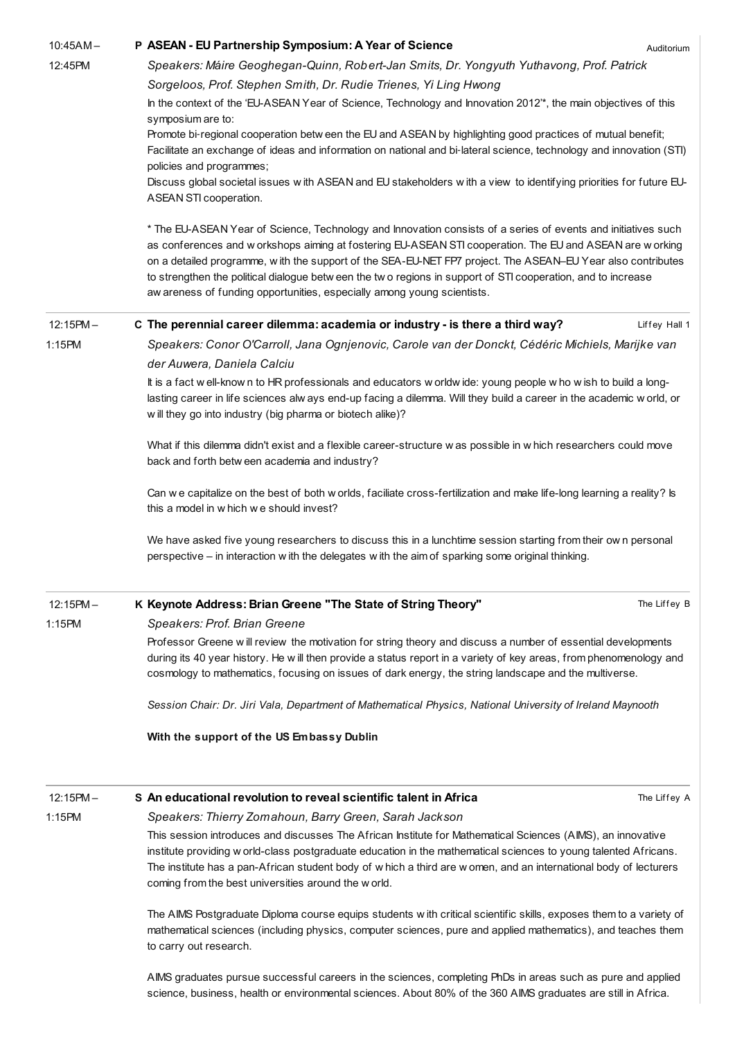| $10:45AM -$ | P ASEAN - EU Partnership Symposium: A Year of Science<br>Auditorium                                                                                                                                                                |  |  |  |
|-------------|------------------------------------------------------------------------------------------------------------------------------------------------------------------------------------------------------------------------------------|--|--|--|
| 12:45PM     | Speakers: Máire Geoghegan-Quinn, Robert-Jan Smits, Dr. Yongyuth Yuthavong, Prof. Patrick                                                                                                                                           |  |  |  |
|             | Sorgeloos, Prof. Stephen Smith, Dr. Rudie Trienes, Yi Ling Hwong                                                                                                                                                                   |  |  |  |
|             | In the context of the 'EU-ASEAN Year of Science, Technology and Innovation 2012'*, the main objectives of this                                                                                                                     |  |  |  |
|             | symposium are to:                                                                                                                                                                                                                  |  |  |  |
|             | Promote bi-regional cooperation betw een the EU and ASEAN by highlighting good practices of mutual benefit;                                                                                                                        |  |  |  |
|             | Facilitate an exchange of ideas and information on national and bi-lateral science, technology and innovation (STI)                                                                                                                |  |  |  |
|             | policies and programmes;<br>Discuss global societal issues with ASEAN and EU stakeholders with a view to identifying priorities for future EU-                                                                                     |  |  |  |
|             | ASEAN STI cooperation.                                                                                                                                                                                                             |  |  |  |
|             | * The EU-ASEAN Year of Science, Technology and Innovation consists of a series of events and initiatives such                                                                                                                      |  |  |  |
|             | as conferences and w orkshops aiming at fostering EU-ASEAN STI cooperation. The EU and ASEAN are w orking                                                                                                                          |  |  |  |
|             | on a detailed programme, with the support of the SEA-EU-NET FP7 project. The ASEAN-EU Year also contributes                                                                                                                        |  |  |  |
|             | to strengthen the political dialogue betw een the tw o regions in support of STI cooperation, and to increase                                                                                                                      |  |  |  |
|             | aw areness of funding opportunities, especially among young scientists.                                                                                                                                                            |  |  |  |
| $12:15PM -$ | C The perennial career dilemma: academia or industry - is there a third way?<br>Liffey Hall 1                                                                                                                                      |  |  |  |
| 1:15PM      | Speakers: Conor O'Carroll, Jana Ognjenovic, Carole van der Donckt, Cédéric Michiels, Marijke van                                                                                                                                   |  |  |  |
|             | der Auwera, Daniela Calciu                                                                                                                                                                                                         |  |  |  |
|             | It is a fact well-know n to HR professionals and educators w orldwide: young people w ho wish to build a long-                                                                                                                     |  |  |  |
|             | lasting career in life sciences alw ays end-up facing a dilemma. Will they build a career in the academic w orld, or                                                                                                               |  |  |  |
|             | w ill they go into industry (big pharma or biotech alike)?                                                                                                                                                                         |  |  |  |
|             | What if this dilemma didn't exist and a flexible career-structure w as possible in w hich researchers could move                                                                                                                   |  |  |  |
|             | back and forth betw een academia and industry?                                                                                                                                                                                     |  |  |  |
|             |                                                                                                                                                                                                                                    |  |  |  |
|             | Can we capitalize on the best of both w orlds, faciliate cross-fertilization and make life-long learning a reality? Is<br>this a model in w hich we should invest?                                                                 |  |  |  |
|             | We have asked five young researchers to discuss this in a lunchtime session starting from their ow n personal                                                                                                                      |  |  |  |
|             | perspective – in interaction with the delegates with the aim of sparking some original thinking.                                                                                                                                   |  |  |  |
|             |                                                                                                                                                                                                                                    |  |  |  |
| $12:15PM -$ | K Keynote Address: Brian Greene "The State of String Theory"<br>The Liffey B                                                                                                                                                       |  |  |  |
| 1:15PM      | Speakers: Prof. Brian Greene                                                                                                                                                                                                       |  |  |  |
|             | Professor Greene will review the motivation for string theory and discuss a number of essential developments                                                                                                                       |  |  |  |
|             | during its 40 year history. He will then provide a status report in a variety of key areas, from phenomenology and                                                                                                                 |  |  |  |
|             | cosmology to mathematics, focusing on issues of dark energy, the string landscape and the multiverse.                                                                                                                              |  |  |  |
|             | Session Chair: Dr. Jiri Vala, Department of Mathematical Physics, National University of Ireland Maynooth                                                                                                                          |  |  |  |
|             | With the support of the US Embassy Dublin                                                                                                                                                                                          |  |  |  |
|             |                                                                                                                                                                                                                                    |  |  |  |
| $12:15PM -$ | S An educational revolution to reveal scientific talent in Africa<br>The Liffey A                                                                                                                                                  |  |  |  |
| 1:15PM      | Speakers: Thierry Zomahoun, Barry Green, Sarah Jackson                                                                                                                                                                             |  |  |  |
|             | This session introduces and discusses The African Institute for Mathematical Sciences (AIMS), an innovative                                                                                                                        |  |  |  |
|             | institute providing w orld-class postgraduate education in the mathematical sciences to young talented Africans.                                                                                                                   |  |  |  |
|             | The institute has a pan-African student body of w hich a third are w omen, and an international body of lecturers                                                                                                                  |  |  |  |
|             | coming from the best universities around the w orld.                                                                                                                                                                               |  |  |  |
|             |                                                                                                                                                                                                                                    |  |  |  |
|             | The AIMS Postgraduate Diploma course equips students with critical scientific skills, exposes them to a variety of<br>mathematical sciences (including physics, computer sciences, pure and applied mathematics), and teaches them |  |  |  |
|             | to carry out research.                                                                                                                                                                                                             |  |  |  |

AIMS graduates pursue successful careers in the sciences, completing PhDs in areas such as pure and applied science, business, health or environmental sciences. About 80% of the 360 AIMS graduates are still in Africa.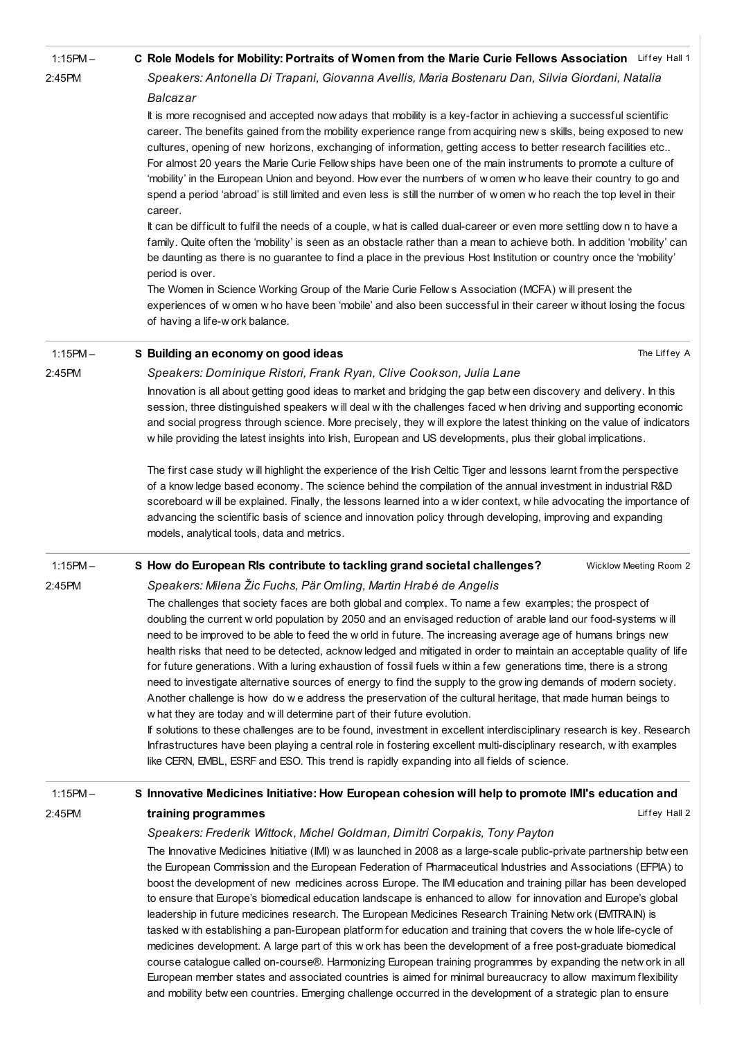| $1:15PM -$ | C Role Models for Mobility: Portraits of Women from the Marie Curie Fellows Association Liffey Hall 1                                                                                                                                                                                                                                                                                                                                                                                                                                                                                                                                                                                                                                                                                                                                                                                                                                                                                                                                                                                                                                                                                                                                                                                                                                                |
|------------|------------------------------------------------------------------------------------------------------------------------------------------------------------------------------------------------------------------------------------------------------------------------------------------------------------------------------------------------------------------------------------------------------------------------------------------------------------------------------------------------------------------------------------------------------------------------------------------------------------------------------------------------------------------------------------------------------------------------------------------------------------------------------------------------------------------------------------------------------------------------------------------------------------------------------------------------------------------------------------------------------------------------------------------------------------------------------------------------------------------------------------------------------------------------------------------------------------------------------------------------------------------------------------------------------------------------------------------------------|
| 2:45PM     | Speakers: Antonella Di Trapani, Giovanna Avellis, Maria Bostenaru Dan, Silvia Giordani, Natalia                                                                                                                                                                                                                                                                                                                                                                                                                                                                                                                                                                                                                                                                                                                                                                                                                                                                                                                                                                                                                                                                                                                                                                                                                                                      |
|            | Balcazar                                                                                                                                                                                                                                                                                                                                                                                                                                                                                                                                                                                                                                                                                                                                                                                                                                                                                                                                                                                                                                                                                                                                                                                                                                                                                                                                             |
|            | It is more recognised and accepted now adays that mobility is a key-factor in achieving a successful scientific<br>career. The benefits gained from the mobility experience range from acquiring new s skills, being exposed to new<br>cultures, opening of new horizons, exchanging of information, getting access to better research facilities etc<br>For almost 20 years the Marie Curie Fellow ships have been one of the main instruments to promote a culture of<br>'mobility' in the European Union and beyond. How ever the numbers of w omen w ho leave their country to go and<br>spend a period 'abroad' is still limited and even less is still the number of w omen w ho reach the top level in their<br>career.<br>It can be difficult to fulfil the needs of a couple, what is called dual-career or even more settling down to have a<br>family. Quite often the 'mobility' is seen as an obstacle rather than a mean to achieve both. In addition 'mobility' can<br>be daunting as there is no guarantee to find a place in the previous Host Institution or country once the 'mobility'<br>period is over.<br>The Women in Science Working Group of the Marie Curie Fellow s Association (MCFA) will present the<br>experiences of women who have been 'mobile' and also been successful in their career without losing the focus |
|            | of having a life-w ork balance.                                                                                                                                                                                                                                                                                                                                                                                                                                                                                                                                                                                                                                                                                                                                                                                                                                                                                                                                                                                                                                                                                                                                                                                                                                                                                                                      |
| $1:15PM -$ | The Liffey A<br>S Building an economy on good ideas                                                                                                                                                                                                                                                                                                                                                                                                                                                                                                                                                                                                                                                                                                                                                                                                                                                                                                                                                                                                                                                                                                                                                                                                                                                                                                  |
| 2:45PM     | Speakers: Dominique Ristori, Frank Ryan, Clive Cookson, Julia Lane                                                                                                                                                                                                                                                                                                                                                                                                                                                                                                                                                                                                                                                                                                                                                                                                                                                                                                                                                                                                                                                                                                                                                                                                                                                                                   |
|            | Innovation is all about getting good ideas to market and bridging the gap betw een discovery and delivery. In this<br>session, three distinguished speakers will deal with the challenges faced when driving and supporting economic<br>and social progress through science. More precisely, they will explore the latest thinking on the value of indicators<br>w hile providing the latest insights into Irish, European and US developments, plus their global implications.                                                                                                                                                                                                                                                                                                                                                                                                                                                                                                                                                                                                                                                                                                                                                                                                                                                                      |
|            | The first case study will highlight the experience of the Irish Celtic Tiger and lessons learnt from the perspective<br>of a know ledge based economy. The science behind the compilation of the annual investment in industrial R&D<br>scoreboard will be explained. Finally, the lessons learned into a wider context, while advocating the importance of<br>advancing the scientific basis of science and innovation policy through developing, improving and expanding<br>models, analytical tools, data and metrics.                                                                                                                                                                                                                                                                                                                                                                                                                                                                                                                                                                                                                                                                                                                                                                                                                            |
| $1:15PM -$ | S How do European RIs contribute to tackling grand societal challenges?<br>Wicklow Meeting Room 2                                                                                                                                                                                                                                                                                                                                                                                                                                                                                                                                                                                                                                                                                                                                                                                                                                                                                                                                                                                                                                                                                                                                                                                                                                                    |
| 2:45PM     | Speakers: Milena Žic Fuchs, Pär Omling, Martin Hrabé de Angelis                                                                                                                                                                                                                                                                                                                                                                                                                                                                                                                                                                                                                                                                                                                                                                                                                                                                                                                                                                                                                                                                                                                                                                                                                                                                                      |
|            | The challenges that society faces are both global and complex. To name a few examples; the prospect of<br>doubling the current w orld population by 2050 and an envisaged reduction of arable land our food-systems will<br>need to be improved to be able to feed the w orld in future. The increasing average age of humans brings new<br>health risks that need to be detected, acknow ledged and mitigated in order to maintain an acceptable quality of life<br>for future generations. With a luring exhaustion of fossil fuels within a few generations time, there is a strong<br>need to investigate alternative sources of energy to find the supply to the grow ing demands of modern society.<br>Another challenge is how do we address the preservation of the cultural heritage, that made human beings to<br>w hat they are today and will determine part of their future evolution.<br>If solutions to these challenges are to be found, investment in excellent interdisciplinary research is key. Research<br>Infrastructures have been playing a central role in fostering excellent multi-disciplinary research, with examples<br>like CERN, EMBL, ESRF and ESO. This trend is rapidly expanding into all fields of science.                                                                                                     |
| $1:15PM -$ | S Innovative Medicines Initiative: How European cohesion will help to promote IMI's education and                                                                                                                                                                                                                                                                                                                                                                                                                                                                                                                                                                                                                                                                                                                                                                                                                                                                                                                                                                                                                                                                                                                                                                                                                                                    |
| 2:45PM     | training programmes<br>Liffey Hall 2                                                                                                                                                                                                                                                                                                                                                                                                                                                                                                                                                                                                                                                                                                                                                                                                                                                                                                                                                                                                                                                                                                                                                                                                                                                                                                                 |
|            | Speakers: Frederik Wittock, Michel Goldman, Dimitri Corpakis, Tony Payton                                                                                                                                                                                                                                                                                                                                                                                                                                                                                                                                                                                                                                                                                                                                                                                                                                                                                                                                                                                                                                                                                                                                                                                                                                                                            |
|            | The Innovative Medicines Initiative (IMI) was launched in 2008 as a large-scale public-private partnership between<br>the European Commission and the European Federation of Pharmaceutical Industries and Associations (EFPIA) to<br>boost the development of new medicines across Europe. The IMI education and training pillar has been developed<br>to ensure that Europe's biomedical education landscape is enhanced to allow for innovation and Europe's global<br>leadership in future medicines research. The European Medicines Research Training Netw ork (EMTRAIN) is<br>tasked with establishing a pan-European platform for education and training that covers the whole life-cycle of<br>medicines development. A large part of this w ork has been the development of a free post-graduate biomedical<br>course catalogue called on-course®. Harmonizing European training programmes by expanding the netw ork in all<br>European member states and associated countries is aimed for minimal bureaucracy to allow maximum flexibility                                                                                                                                                                                                                                                                                              |

and mobility betw een countries. Emerging challenge occurred in the development of a strategic plan to ensure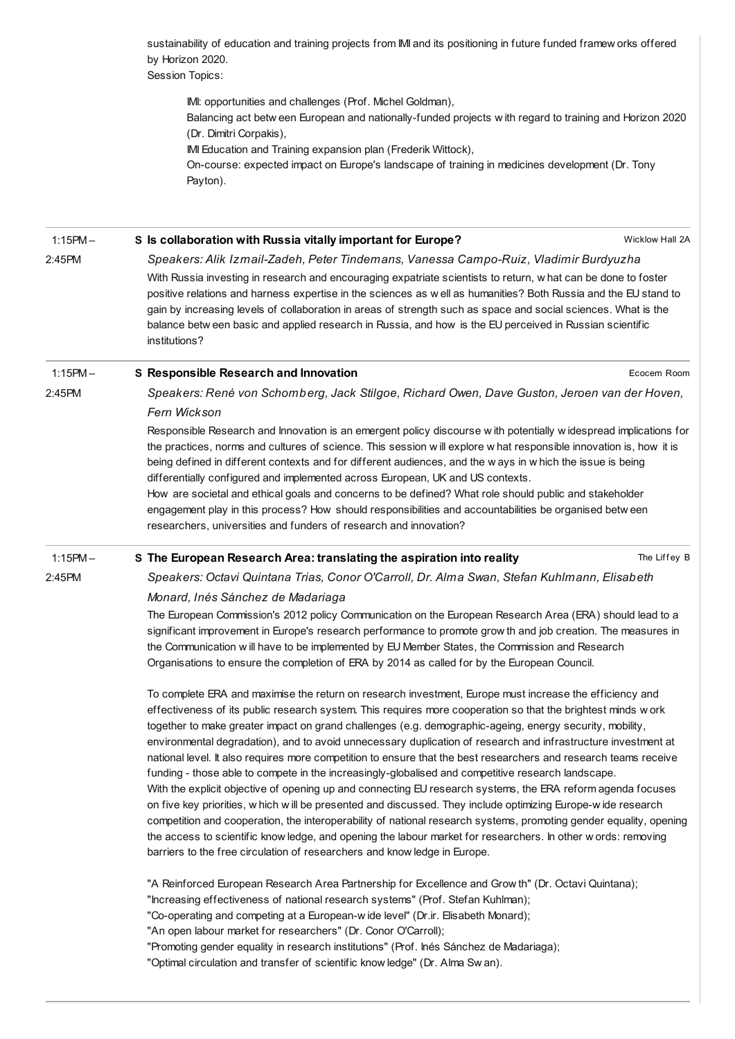sustainability of education and training projects from IMI and its positioning in future funded framew orks offered by Horizon 2020.

Session Topics:

IMI: opportunities and challenges (Prof. Michel Goldman),

Balancing act betw een European and nationally-funded projects w ith regard to training and Horizon 2020 (Dr. Dimitri Corpakis),

IMI Education and Training expansion plan (Frederik Wittock),

On-course: expected impact on Europe's landscape of training in medicines development (Dr. Tony Payton).

Wicklow Hall 2A Ecocem Room The Liffey B 1:15PM – 2:45PM S Is [collaboration](http://esof2012.sched.org/event/f4485281cd29ecd50815e1d641bd498c) with Russia vitally important for Europe? Speakers: Alik Izmail-Zadeh, Peter Tindemans, Vanessa Campo-Ruiz, Vladimir Burdyuzha With Russia investing in research and encouraging expatriate scientists to return, w hat can be done to foster positive relations and harness expertise in the sciences as w ell as humanities? Both Russia and the EU stand to gain by increasing levels of collaboration in areas of strength such as space and social sciences. What is the balance betw een basic and applied research in Russia, and how is the EU perceived in Russian scientific institutions? 1:15PM – 2:45PM S [Responsible](http://esof2012.sched.org/event/51d48e34e52ae2b33e2d47cbcd16c9c4) Research and Innovation Speakers: René von Schomberg, Jack Stilgoe, Richard Owen, Dave Guston, Jeroen van der Hoven, Fern Wickson Responsible Research and Innovation is an emergent policy discourse w ith potentially w idespread implications for the practices, norms and cultures of science. This session w ill explore w hat responsible innovation is, how it is being defined in different contexts and for different audiences, and the w ays in w hich the issue is being differentially configured and implemented across European, UK and US contexts. How are societal and ethical goals and concerns to be defined? What role should public and stakeholder engagement play in this process? How should responsibilities and accountabilities be organised betw een researchers, universities and funders of research and innovation? 1:15PM – 2:45PM S The European Research Area: [translating](http://esof2012.sched.org/event/9c2ff9062fb0c451d4c687cabb148a8c) the aspiration into reality Speakers: Octavi Quintana Trias, Conor O'Carroll, Dr. Alma Swan, Stefan Kuhlmann, Elisabeth Monard, Inés Sánchez de Madariaga The European Commission's 2012 policy Communication on the European Research Area (ERA) should lead to a significant improvement in Europe's research performance to promote grow th and job creation. The measures in the Communication w ill have to be implemented by EU Member States, the Commission and Research Organisations to ensure the completion of ERA by 2014 as called for by the European Council. To complete ERA and maximise the return on research investment, Europe must increase the efficiency and effectiveness of its public research system. This requires more cooperation so that the brightest minds w ork together to make greater impact on grand challenges (e.g. demographic-ageing, energy security, mobility, environmental degradation), and to avoid unnecessary duplication of research and infrastructure investment at national level. It also requires more competition to ensure that the best researchers and research teams receive funding - those able to compete in the increasingly-globalised and competitive research landscape. With the explicit objective of opening up and connecting EU research systems, the ERA reform agenda focuses on five key priorities, w hich w ill be presented and discussed. They include optimizing Europe-w ide research competition and cooperation, the interoperability of national research systems, promoting gender equality, opening the access to scientific know ledge, and opening the labour market for researchers. In other w ords: removing barriers to the free circulation of researchers and know ledge in Europe. "A Reinforced European Research Area Partnership for Excellence and Grow th" (Dr. Octavi Quintana); "Increasing effectiveness of national research systems" (Prof. Stefan Kuhlman); "Co-operating and competing at a European-w ide level" (Dr.ir. Elisabeth Monard); "An open labour market for researchers" (Dr. Conor O'Carroll); "Promoting gender equality in research institutions" (Prof. Inés Sánchez de Madariaga); "Optimal circulation and transfer of scientific know ledge" (Dr. Alma Sw an).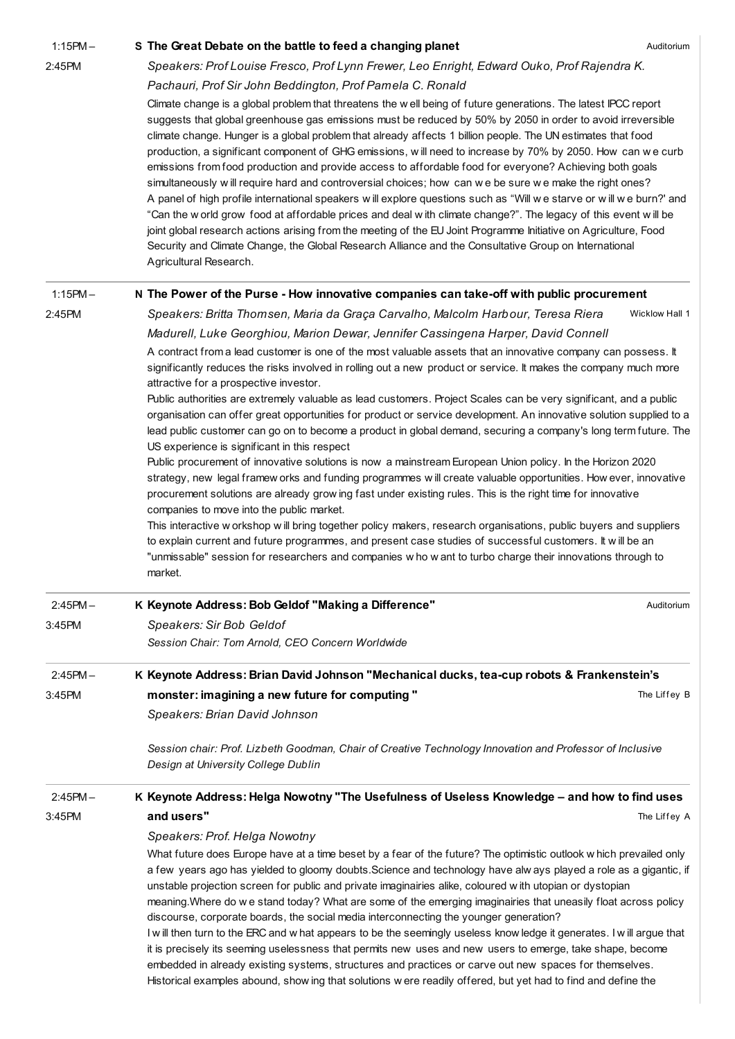| $1:15PM -$ | S The Great Debate on the battle to feed a changing planet                                                                                                                                                                                                                                                                                                                                                                                                                                                                                                                                                                                                                                                                                                                                                                                                                                                                                                                                                                                                                                                                                                                         | Auditorium     |  |
|------------|------------------------------------------------------------------------------------------------------------------------------------------------------------------------------------------------------------------------------------------------------------------------------------------------------------------------------------------------------------------------------------------------------------------------------------------------------------------------------------------------------------------------------------------------------------------------------------------------------------------------------------------------------------------------------------------------------------------------------------------------------------------------------------------------------------------------------------------------------------------------------------------------------------------------------------------------------------------------------------------------------------------------------------------------------------------------------------------------------------------------------------------------------------------------------------|----------------|--|
| 2:45PM     | Speakers: Prof Louise Fresco, Prof Lynn Frewer, Leo Enright, Edward Ouko, Prof Rajendra K.                                                                                                                                                                                                                                                                                                                                                                                                                                                                                                                                                                                                                                                                                                                                                                                                                                                                                                                                                                                                                                                                                         |                |  |
|            | Pachauri, Prof Sir John Beddington, Prof Pamela C. Ronald                                                                                                                                                                                                                                                                                                                                                                                                                                                                                                                                                                                                                                                                                                                                                                                                                                                                                                                                                                                                                                                                                                                          |                |  |
|            | Climate change is a global problem that threatens the well being of future generations. The latest IPCC report<br>suggests that global greenhouse gas emissions must be reduced by 50% by 2050 in order to avoid irreversible<br>climate change. Hunger is a global problem that already affects 1 billion people. The UN estimates that food<br>production, a significant component of GHG emissions, w ill need to increase by 70% by 2050. How can we curb<br>emissions from food production and provide access to affordable food for everyone? Achieving both goals<br>simultaneously will require hard and controversial choices; how can we be sure we make the right ones?<br>A panel of high profile international speakers will explore questions such as "Will we starve or will we burn?' and<br>"Can the world grow food at affordable prices and deal with climate change?". The legacy of this event will be<br>joint global research actions arising from the meeting of the EU Joint Programme Initiative on Agriculture, Food<br>Security and Climate Change, the Global Research Alliance and the Consultative Group on International<br>Agricultural Research. |                |  |
| $1:15PM -$ | N The Power of the Purse - How innovative companies can take-off with public procurement                                                                                                                                                                                                                                                                                                                                                                                                                                                                                                                                                                                                                                                                                                                                                                                                                                                                                                                                                                                                                                                                                           |                |  |
| 2:45PM     | Speakers: Britta Thomsen, Maria da Graça Carvalho, Malcolm Harbour, Teresa Riera                                                                                                                                                                                                                                                                                                                                                                                                                                                                                                                                                                                                                                                                                                                                                                                                                                                                                                                                                                                                                                                                                                   | Wicklow Hall 1 |  |
|            | Madurell, Luke Georghiou, Marion Dewar, Jennifer Cassingena Harper, David Connell                                                                                                                                                                                                                                                                                                                                                                                                                                                                                                                                                                                                                                                                                                                                                                                                                                                                                                                                                                                                                                                                                                  |                |  |
|            | A contract from a lead customer is one of the most valuable assets that an innovative company can possess. It<br>significantly reduces the risks involved in rolling out a new product or service. It makes the company much more<br>attractive for a prospective investor.                                                                                                                                                                                                                                                                                                                                                                                                                                                                                                                                                                                                                                                                                                                                                                                                                                                                                                        |                |  |
|            | Public authorities are extremely valuable as lead customers. Project Scales can be very significant, and a public<br>organisation can offer great opportunities for product or service development. An innovative solution supplied to a<br>lead public customer can go on to become a product in global demand, securing a company's long term future. The<br>US experience is significant in this respect                                                                                                                                                                                                                                                                                                                                                                                                                                                                                                                                                                                                                                                                                                                                                                        |                |  |
|            | Public procurement of innovative solutions is now a mainstream European Union policy. In the Horizon 2020<br>strategy, new legal framew orks and funding programmes w ill create valuable opportunities. How ever, innovative<br>procurement solutions are already grow ing fast under existing rules. This is the right time for innovative<br>companies to move into the public market.<br>This interactive w orkshop w ill bring together policy makers, research organisations, public buyers and suppliers<br>to explain current and future programmes, and present case studies of successful customers. It will be an<br>"unmissable" session for researchers and companies w ho w ant to turbo charge their innovations through to<br>market.                                                                                                                                                                                                                                                                                                                                                                                                                              |                |  |
| $2:45PM -$ | K Keynote Address: Bob Geldof "Making a Difference"                                                                                                                                                                                                                                                                                                                                                                                                                                                                                                                                                                                                                                                                                                                                                                                                                                                                                                                                                                                                                                                                                                                                | Auditorium     |  |
| 3:45PM     | Speakers: Sir Bob Geldof                                                                                                                                                                                                                                                                                                                                                                                                                                                                                                                                                                                                                                                                                                                                                                                                                                                                                                                                                                                                                                                                                                                                                           |                |  |
|            | Session Chair: Tom Arnold, CEO Concern Worldwide                                                                                                                                                                                                                                                                                                                                                                                                                                                                                                                                                                                                                                                                                                                                                                                                                                                                                                                                                                                                                                                                                                                                   |                |  |
| $2:45PM -$ | K Keynote Address: Brian David Johnson "Mechanical ducks, tea-cup robots & Frankenstein's                                                                                                                                                                                                                                                                                                                                                                                                                                                                                                                                                                                                                                                                                                                                                                                                                                                                                                                                                                                                                                                                                          |                |  |
| 3:45PM     | monster: imagining a new future for computing "                                                                                                                                                                                                                                                                                                                                                                                                                                                                                                                                                                                                                                                                                                                                                                                                                                                                                                                                                                                                                                                                                                                                    | The Liffey B   |  |
|            | Speakers: Brian David Johnson                                                                                                                                                                                                                                                                                                                                                                                                                                                                                                                                                                                                                                                                                                                                                                                                                                                                                                                                                                                                                                                                                                                                                      |                |  |
|            | Session chair: Prof. Lizbeth Goodman, Chair of Creative Technology Innovation and Professor of Inclusive<br>Design at University College Dublin                                                                                                                                                                                                                                                                                                                                                                                                                                                                                                                                                                                                                                                                                                                                                                                                                                                                                                                                                                                                                                    |                |  |
| $2:45PM -$ | K Keynote Address: Helga Nowotny "The Usefulness of Useless Knowledge - and how to find uses                                                                                                                                                                                                                                                                                                                                                                                                                                                                                                                                                                                                                                                                                                                                                                                                                                                                                                                                                                                                                                                                                       |                |  |
| 3:45PM     | and users"                                                                                                                                                                                                                                                                                                                                                                                                                                                                                                                                                                                                                                                                                                                                                                                                                                                                                                                                                                                                                                                                                                                                                                         | The Liffey A   |  |
|            | Speakers: Prof. Helga Nowotny                                                                                                                                                                                                                                                                                                                                                                                                                                                                                                                                                                                                                                                                                                                                                                                                                                                                                                                                                                                                                                                                                                                                                      |                |  |
|            | What future does Europe have at a time beset by a fear of the future? The optimistic outlook w hich prevailed only<br>a few years ago has yielded to gloomy doubts. Science and technology have alw ays played a role as a gigantic, if<br>unstable projection screen for public and private imaginairies alike, coloured with utopian or dystopian<br>meaning. Where do we stand today? What are some of the emerging imaginairies that uneasily float across policy<br>discourse, corporate boards, the social media interconnecting the younger generation?<br>I will then turn to the ERC and w hat appears to be the seemingly useless know ledge it generates. I will argue that                                                                                                                                                                                                                                                                                                                                                                                                                                                                                             |                |  |
|            | it is precisely its seeming uselessness that permits new uses and new users to emerge, take shape, become<br>embedded in already existing systems, structures and practices or carve out new spaces for themselves.<br>Historical examples abound, show ing that solutions w ere readily offered, but yet had to find and define the                                                                                                                                                                                                                                                                                                                                                                                                                                                                                                                                                                                                                                                                                                                                                                                                                                               |                |  |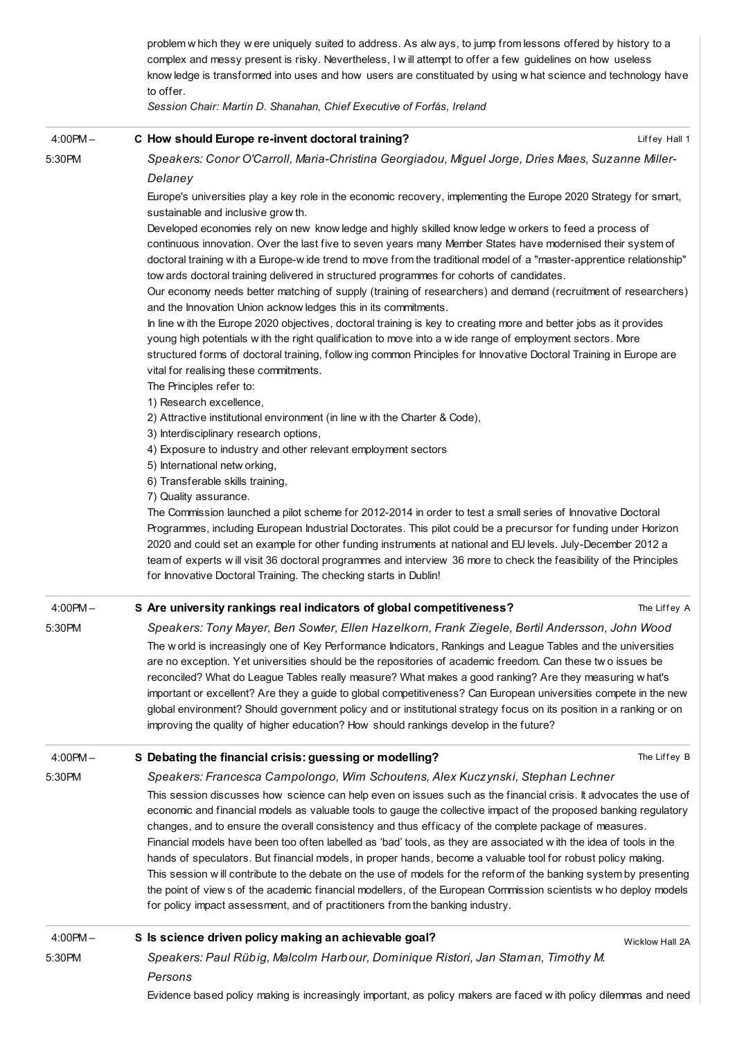|               | problem w hich they w ere uniquely suited to address. As alw ays, to jump from lessons offered by history to a<br>complex and messy present is risky. Nevertheless, I will attempt to offer a few guidelines on how useless<br>know ledge is transformed into uses and how users are constituated by using w hat science and technology have<br>to offer.<br>Session Chair: Martin D. Shanahan, Chief Executive of Forfás, Ireland                                                                                                                                                                                                                                                                                                                                                                                                                                                                                                                                                                |
|---------------|---------------------------------------------------------------------------------------------------------------------------------------------------------------------------------------------------------------------------------------------------------------------------------------------------------------------------------------------------------------------------------------------------------------------------------------------------------------------------------------------------------------------------------------------------------------------------------------------------------------------------------------------------------------------------------------------------------------------------------------------------------------------------------------------------------------------------------------------------------------------------------------------------------------------------------------------------------------------------------------------------|
| $4:00PM -$    | C How should Europe re-invent doctoral training?<br>Liffey Hall 1                                                                                                                                                                                                                                                                                                                                                                                                                                                                                                                                                                                                                                                                                                                                                                                                                                                                                                                                 |
| 5:30PM        | Speakers: Conor O'Carroll, Maria-Christina Georgiadou, Miguel Jorge, Dries Maes, Suzanne Miller-<br>Delaney                                                                                                                                                                                                                                                                                                                                                                                                                                                                                                                                                                                                                                                                                                                                                                                                                                                                                       |
|               | Europe's universities play a key role in the economic recovery, implementing the Europe 2020 Strategy for smart,<br>sustainable and inclusive grow th.                                                                                                                                                                                                                                                                                                                                                                                                                                                                                                                                                                                                                                                                                                                                                                                                                                            |
|               | Developed economies rely on new know ledge and highly skilled know ledge w orkers to feed a process of<br>continuous innovation. Over the last five to seven years many Member States have modernised their system of<br>doctoral training with a Europe-wide trend to move from the traditional model of a "master-apprentice relationship"<br>tow ards doctoral training delivered in structured programmes for cohorts of candidates.<br>Our economy needs better matching of supply (training of researchers) and demand (recruitment of researchers)<br>and the Innovation Union acknow ledges this in its commitments.<br>In line with the Europe 2020 objectives, doctoral training is key to creating more and better jobs as it provides<br>young high potentials with the right qualification to move into a wide range of employment sectors. More<br>structured forms of doctoral training, follow ing common Principles for Innovative Doctoral Training in Europe are               |
|               | vital for realising these commitments.                                                                                                                                                                                                                                                                                                                                                                                                                                                                                                                                                                                                                                                                                                                                                                                                                                                                                                                                                            |
|               | The Principles refer to:<br>1) Research excellence,                                                                                                                                                                                                                                                                                                                                                                                                                                                                                                                                                                                                                                                                                                                                                                                                                                                                                                                                               |
|               | 2) Attractive institutional environment (in line with the Charter & Code),                                                                                                                                                                                                                                                                                                                                                                                                                                                                                                                                                                                                                                                                                                                                                                                                                                                                                                                        |
|               | 3) Interdisciplinary research options,                                                                                                                                                                                                                                                                                                                                                                                                                                                                                                                                                                                                                                                                                                                                                                                                                                                                                                                                                            |
|               | 4) Exposure to industry and other relevant employment sectors                                                                                                                                                                                                                                                                                                                                                                                                                                                                                                                                                                                                                                                                                                                                                                                                                                                                                                                                     |
|               | 5) International netw orking,<br>6) Transferable skills training,                                                                                                                                                                                                                                                                                                                                                                                                                                                                                                                                                                                                                                                                                                                                                                                                                                                                                                                                 |
|               | 7) Quality assurance.                                                                                                                                                                                                                                                                                                                                                                                                                                                                                                                                                                                                                                                                                                                                                                                                                                                                                                                                                                             |
|               | The Commission launched a pilot scheme for 2012-2014 in order to test a small series of Innovative Doctoral<br>Programmes, including European Industrial Doctorates. This pilot could be a precursor for funding under Horizon<br>2020 and could set an example for other funding instruments at national and EU levels. July-December 2012 a<br>team of experts will visit 36 doctoral programmes and interview 36 more to check the feasibility of the Principles<br>for Innovative Doctoral Training. The checking starts in Dublin!                                                                                                                                                                                                                                                                                                                                                                                                                                                           |
| $4:00PM -$    | S Are university rankings real indicators of global competitiveness?<br>The Liffey A                                                                                                                                                                                                                                                                                                                                                                                                                                                                                                                                                                                                                                                                                                                                                                                                                                                                                                              |
| 5:30PM        | Speakers: Tony Mayer, Ben Sowter, Ellen Hazelkorn, Frank Ziegele, Bertil Andersson, John Wood<br>The world is increasingly one of Key Performance Indicators, Rankings and League Tables and the universities<br>are no exception. Yet universities should be the repositories of academic freedom. Can these two issues be<br>reconciled? What do League Tables really measure? What makes a good ranking? Are they measuring w hat's<br>important or excellent? Are they a guide to global competitiveness? Can European universities compete in the new<br>global environment? Should government policy and or institutional strategy focus on its position in a ranking or on<br>improving the quality of higher education? How should rankings develop in the future?                                                                                                                                                                                                                        |
| $4:00$ PM $-$ | S Debating the financial crisis: guessing or modelling?<br>The Liffey B                                                                                                                                                                                                                                                                                                                                                                                                                                                                                                                                                                                                                                                                                                                                                                                                                                                                                                                           |
| 5:30PM        | Speakers: Francesca Campolongo, Wim Schoutens, Alex Kuczynski, Stephan Lechner<br>This session discusses how science can help even on issues such as the financial crisis. It advocates the use of<br>economic and financial models as valuable tools to gauge the collective impact of the proposed banking regulatory<br>changes, and to ensure the overall consistency and thus efficacy of the complete package of measures.<br>Financial models have been too often labelled as 'bad' tools, as they are associated with the idea of tools in the<br>hands of speculators. But financial models, in proper hands, become a valuable tool for robust policy making.<br>This session will contribute to the debate on the use of models for the reform of the banking system by presenting<br>the point of views of the academic financial modellers, of the European Commission scientists who deploy models<br>for policy impact assessment, and of practitioners from the banking industry. |
| $4:00PM -$    | S Is science driven policy making an achievable goal?<br>Wicklow Hall 2A                                                                                                                                                                                                                                                                                                                                                                                                                                                                                                                                                                                                                                                                                                                                                                                                                                                                                                                          |
| 5:30PM        | Speakers: Paul Rübig, Malcolm Harbour, Dominique Ristori, Jan Staman, Timothy M.<br>Persons                                                                                                                                                                                                                                                                                                                                                                                                                                                                                                                                                                                                                                                                                                                                                                                                                                                                                                       |
|               | Evidence based policy making is increasingly important, as policy makers are faced with policy dilemmas and need                                                                                                                                                                                                                                                                                                                                                                                                                                                                                                                                                                                                                                                                                                                                                                                                                                                                                  |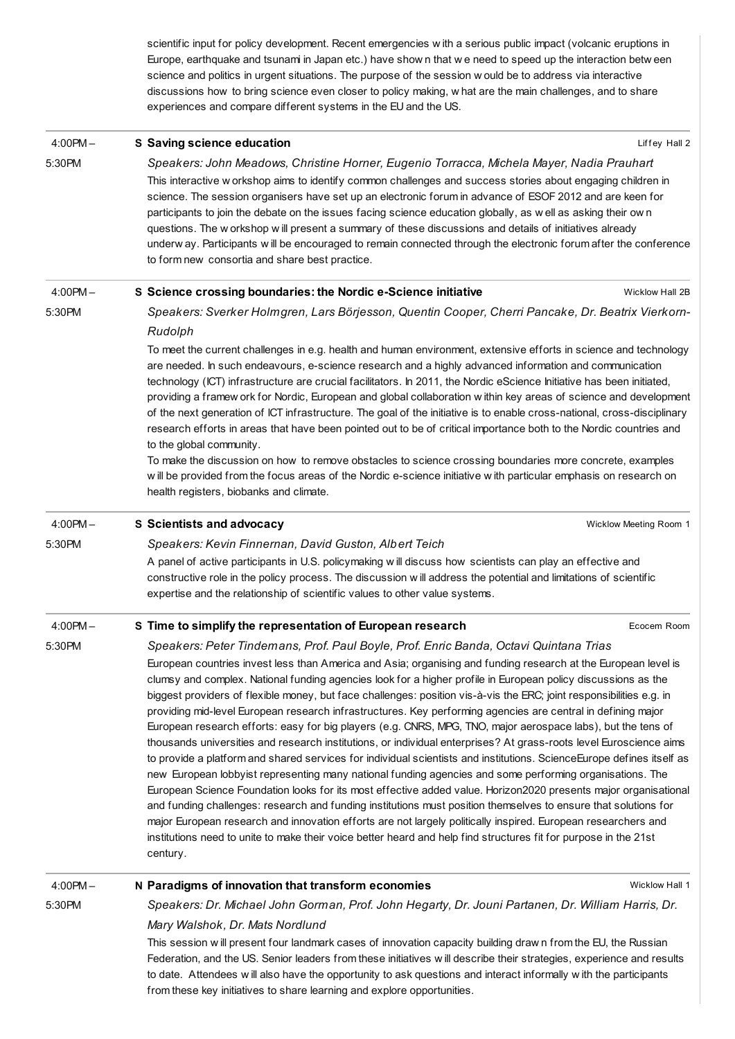scientific input for policy development. Recent emergencies w ith a serious public impact (volcanic eruptions in Europe, earthquake and tsunami in Japan etc.) have show n that w e need to speed up the interaction betw een science and politics in urgent situations. The purpose of the session w ould be to address via interactive discussions how to bring science even closer to policy making, w hat are the main challenges, and to share experiences and compare different systems in the EU and the US.

| $4:00PM -$    | S Saving science education                                                                                                                                                                                                                                                                                                                                                                                                                                                                                                                                                                                                                                                                                                                                                                                                                                                                                                                                                                                                                                                                                                                                                                                                                                                                                                                                                                                                                | Liffey Hall 2          |
|---------------|-------------------------------------------------------------------------------------------------------------------------------------------------------------------------------------------------------------------------------------------------------------------------------------------------------------------------------------------------------------------------------------------------------------------------------------------------------------------------------------------------------------------------------------------------------------------------------------------------------------------------------------------------------------------------------------------------------------------------------------------------------------------------------------------------------------------------------------------------------------------------------------------------------------------------------------------------------------------------------------------------------------------------------------------------------------------------------------------------------------------------------------------------------------------------------------------------------------------------------------------------------------------------------------------------------------------------------------------------------------------------------------------------------------------------------------------|------------------------|
| 5:30PM        | Speakers: John Meadows, Christine Horner, Eugenio Torracca, Michela Mayer, Nadia Prauhart                                                                                                                                                                                                                                                                                                                                                                                                                                                                                                                                                                                                                                                                                                                                                                                                                                                                                                                                                                                                                                                                                                                                                                                                                                                                                                                                                 |                        |
|               | This interactive w orkshop aims to identify common challenges and success stories about engaging children in<br>science. The session organisers have set up an electronic forum in advance of ESOF 2012 and are keen for<br>participants to join the debate on the issues facing science education globally, as well as asking their own<br>questions. The w orkshop w ill present a summary of these discussions and details of initiatives already<br>underway. Participants will be encouraged to remain connected through the electronic forum after the conference<br>to form new consortia and share best practice.                                                                                                                                                                                                                                                                                                                                                                                                                                                                                                                                                                                                                                                                                                                                                                                                                 |                        |
| $4:00PM -$    | S Science crossing boundaries: the Nordic e-Science initiative                                                                                                                                                                                                                                                                                                                                                                                                                                                                                                                                                                                                                                                                                                                                                                                                                                                                                                                                                                                                                                                                                                                                                                                                                                                                                                                                                                            | Wicklow Hall 2B        |
| 5:30PM        | Speakers: Sverker Holmgren, Lars Börjesson, Quentin Cooper, Cherri Pancake, Dr. Beatrix Vierkorn-<br>Rudolph                                                                                                                                                                                                                                                                                                                                                                                                                                                                                                                                                                                                                                                                                                                                                                                                                                                                                                                                                                                                                                                                                                                                                                                                                                                                                                                              |                        |
|               | To meet the current challenges in e.g. health and human environment, extensive efforts in science and technology<br>are needed. In such endeavours, e-science research and a highly advanced information and communication<br>technology (ICT) infrastructure are crucial facilitators. In 2011, the Nordic eScience Initiative has been initiated,<br>providing a framew ork for Nordic, European and global collaboration within key areas of science and development<br>of the next generation of ICT infrastructure. The goal of the initiative is to enable cross-national, cross-disciplinary<br>research efforts in areas that have been pointed out to be of critical importance both to the Nordic countries and<br>to the global community.<br>To make the discussion on how to remove obstacles to science crossing boundaries more concrete, examples<br>w ill be provided from the focus areas of the Nordic e-science initiative w ith particular emphasis on research on                                                                                                                                                                                                                                                                                                                                                                                                                                                   |                        |
|               | health registers, biobanks and climate.                                                                                                                                                                                                                                                                                                                                                                                                                                                                                                                                                                                                                                                                                                                                                                                                                                                                                                                                                                                                                                                                                                                                                                                                                                                                                                                                                                                                   |                        |
| $4:00PM -$    | S Scientists and advocacy                                                                                                                                                                                                                                                                                                                                                                                                                                                                                                                                                                                                                                                                                                                                                                                                                                                                                                                                                                                                                                                                                                                                                                                                                                                                                                                                                                                                                 | Wicklow Meeting Room 1 |
| 5:30PM        | Speakers: Kevin Finnernan, David Guston, Albert Teich                                                                                                                                                                                                                                                                                                                                                                                                                                                                                                                                                                                                                                                                                                                                                                                                                                                                                                                                                                                                                                                                                                                                                                                                                                                                                                                                                                                     |                        |
|               | A panel of active participants in U.S. policymaking will discuss how scientists can play an effective and<br>constructive role in the policy process. The discussion will address the potential and limitations of scientific<br>expertise and the relationship of scientific values to other value systems.                                                                                                                                                                                                                                                                                                                                                                                                                                                                                                                                                                                                                                                                                                                                                                                                                                                                                                                                                                                                                                                                                                                              |                        |
| $4:00$ PM $-$ | S Time to simplify the representation of European research                                                                                                                                                                                                                                                                                                                                                                                                                                                                                                                                                                                                                                                                                                                                                                                                                                                                                                                                                                                                                                                                                                                                                                                                                                                                                                                                                                                | Ecocem Room            |
| 5:30PM        | Speakers: Peter Tindemans, Prof. Paul Boyle, Prof. Enric Banda, Octavi Quintana Trias                                                                                                                                                                                                                                                                                                                                                                                                                                                                                                                                                                                                                                                                                                                                                                                                                                                                                                                                                                                                                                                                                                                                                                                                                                                                                                                                                     |                        |
|               | European countries invest less than America and Asia; organising and funding research at the European level is<br>clumsy and complex. National funding agencies look for a higher profile in European policy discussions as the<br>biggest providers of flexible money, but face challenges: position vis-à-vis the ERC; joint responsibilities e.g. in<br>providing mid-level European research infrastructures. Key performing agencies are central in defining major<br>European research efforts: easy for big players (e.g. CNRS, MPG, TNO, major aerospace labs), but the tens of<br>thousands universities and research institutions, or individual enterprises? At grass-roots level Euroscience aims<br>to provide a platform and shared services for individual scientists and institutions. ScienceEurope defines itself as<br>new European lobbyist representing many national funding agencies and some performing organisations. The<br>European Science Foundation looks for its most effective added value. Horizon2020 presents major organisational<br>and funding challenges: research and funding institutions must position themselves to ensure that solutions for<br>major European research and innovation efforts are not largely politically inspired. European researchers and<br>institutions need to unite to make their voice better heard and help find structures fit for purpose in the 21st<br>century. |                        |
| $4:00$ PM $-$ | N Paradigms of innovation that transform economies                                                                                                                                                                                                                                                                                                                                                                                                                                                                                                                                                                                                                                                                                                                                                                                                                                                                                                                                                                                                                                                                                                                                                                                                                                                                                                                                                                                        | Wicklow Hall 1         |
| 5:30PM        | Speakers: Dr. Michael John Gorman, Prof. John Hegarty, Dr. Jouni Partanen, Dr. William Harris, Dr.                                                                                                                                                                                                                                                                                                                                                                                                                                                                                                                                                                                                                                                                                                                                                                                                                                                                                                                                                                                                                                                                                                                                                                                                                                                                                                                                        |                        |
|               | Mary Walshok, Dr. Mats Nordlund                                                                                                                                                                                                                                                                                                                                                                                                                                                                                                                                                                                                                                                                                                                                                                                                                                                                                                                                                                                                                                                                                                                                                                                                                                                                                                                                                                                                           |                        |
|               | This session will present four landmark cases of innovation capacity building drawn from the EU, the Russian<br>Federation, and the US. Senior leaders from these initiatives will describe their strategies, experience and results<br>to date. Attendees will also have the opportunity to ask questions and interact informally with the participants<br>from these key initiatives to share learning and explore opportunities.                                                                                                                                                                                                                                                                                                                                                                                                                                                                                                                                                                                                                                                                                                                                                                                                                                                                                                                                                                                                       |                        |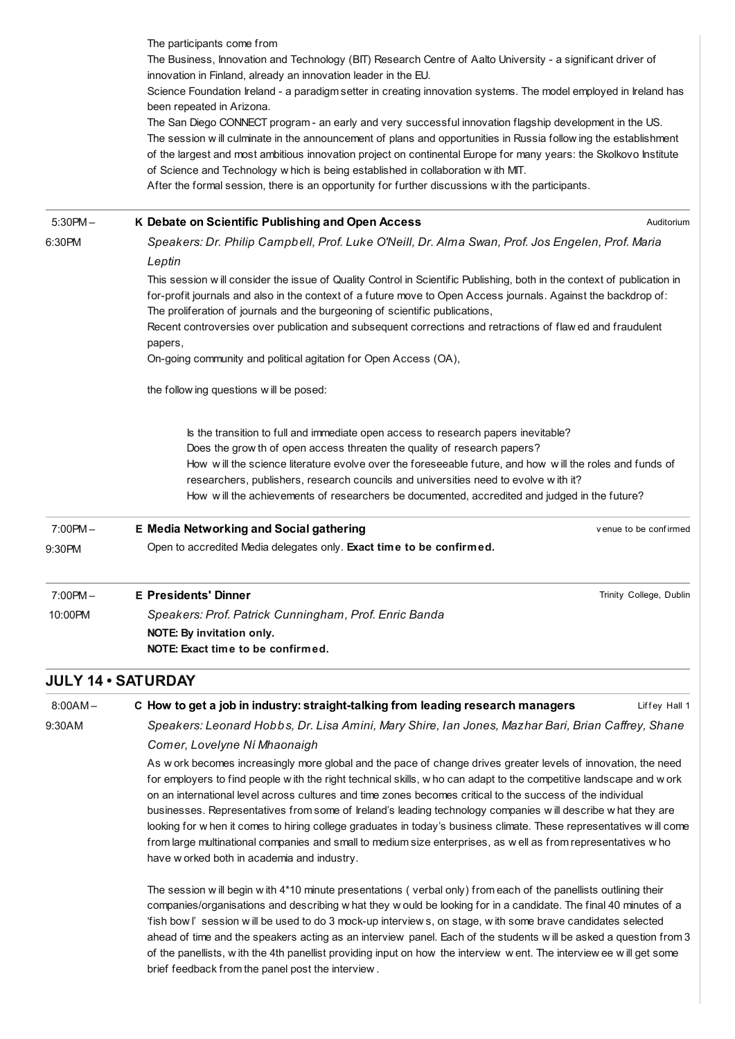|                      | The participants come from<br>The Business, Innovation and Technology (BIT) Research Centre of Aalto University - a significant driver of<br>innovation in Finland, already an innovation leader in the EU.<br>Science Foundation Ireland - a paradigm setter in creating innovation systems. The model employed in Ireland has<br>been repeated in Arizona.<br>The San Diego CONNECT program - an early and very successful innovation flagship development in the US.<br>The session will culminate in the announcement of plans and opportunities in Russia follow ing the establishment |                         |
|----------------------|---------------------------------------------------------------------------------------------------------------------------------------------------------------------------------------------------------------------------------------------------------------------------------------------------------------------------------------------------------------------------------------------------------------------------------------------------------------------------------------------------------------------------------------------------------------------------------------------|-------------------------|
|                      | of the largest and most ambitious innovation project on continental Europe for many years: the Skolkovo Institute<br>of Science and Technology w hich is being established in collaboration with MIT.<br>After the formal session, there is an opportunity for further discussions with the participants.                                                                                                                                                                                                                                                                                   |                         |
| $5:30PM -$           | K Debate on Scientific Publishing and Open Access                                                                                                                                                                                                                                                                                                                                                                                                                                                                                                                                           | Auditorium              |
| 6:30PM               | Speakers: Dr. Philip Campbell, Prof. Luke O'Neill, Dr. Alma Swan, Prof. Jos Engelen, Prof. Maria<br>Leptin                                                                                                                                                                                                                                                                                                                                                                                                                                                                                  |                         |
|                      | This session will consider the issue of Quality Control in Scientific Publishing, both in the context of publication in<br>for-profit journals and also in the context of a future move to Open Access journals. Against the backdrop of:<br>The proliferation of journals and the burgeoning of scientific publications,<br>Recent controversies over publication and subsequent corrections and retractions of flaw ed and fraudulent<br>papers,<br>On-going community and political agitation for Open Access (OA),                                                                      |                         |
|                      | the follow ing questions will be posed:                                                                                                                                                                                                                                                                                                                                                                                                                                                                                                                                                     |                         |
|                      | Is the transition to full and immediate open access to research papers inevitable?<br>Does the grow th of open access threaten the quality of research papers?<br>How will the science literature evolve over the foreseeable future, and how will the roles and funds of<br>researchers, publishers, research councils and universities need to evolve with it?<br>How will the achievements of researchers be documented, accredited and judged in the future?                                                                                                                            |                         |
| $7:00PM -$<br>9:30PM | <b>E Media Networking and Social gathering</b><br>Open to accredited Media delegates only. Exact time to be confirmed.                                                                                                                                                                                                                                                                                                                                                                                                                                                                      | venue to be confirmed   |
|                      |                                                                                                                                                                                                                                                                                                                                                                                                                                                                                                                                                                                             |                         |
| $7:00PM -$           | <b>E</b> Presidents' Dinner                                                                                                                                                                                                                                                                                                                                                                                                                                                                                                                                                                 | Trinity College, Dublin |
| 10:00PM              | Speakers: Prof. Patrick Cunningham, Prof. Enric Banda<br>NOTE: By invitation only.<br>NOTE: Exact time to be confirmed.                                                                                                                                                                                                                                                                                                                                                                                                                                                                     |                         |
|                      | <b>JULY 14 · SATURDAY</b>                                                                                                                                                                                                                                                                                                                                                                                                                                                                                                                                                                   |                         |
| $8:00AM -$           | C How to get a job in industry: straight-talking from leading research managers                                                                                                                                                                                                                                                                                                                                                                                                                                                                                                             | Liffey Hall 1           |
| 9:30AM               | Speakers: Leonard Hobbs, Dr. Lisa Amini, Mary Shire, Ian Jones, Mazhar Bari, Brian Caffrey, Shane                                                                                                                                                                                                                                                                                                                                                                                                                                                                                           |                         |

Speakers: Leonard Hobbs, Dr. Lisa Amini, Mary Shire, Ian Jones, Mazhar Bari, Brian Caffrey, Shane Comer, Lovelyne Ní Mhaonaigh

As w ork becomes increasingly more global and the pace of change drives greater levels of innovation, the need for employers to find people w ith the right technical skills, w ho can adapt to the competitive landscape and w ork on an international level across cultures and time zones becomes critical to the success of the individual businesses. Representatives from some of Ireland's leading technology companies w ill describe w hat they are looking for w hen it comes to hiring college graduates in today's business climate. These representatives w ill come from large multinational companies and small to medium size enterprises, as w ell as from representatives w ho have w orked both in academia and industry.

The session w ill begin w ith 4\*10 minute presentations ( verbal only) from each of the panellists outlining their companies/organisations and describing w hat they w ould be looking for in a candidate. The final 40 minutes of a 'fish bow l' session w ill be used to do 3 mock-up interview s, on stage, w ith some brave candidates selected ahead of time and the speakers acting as an interview panel. Each of the students w ill be asked a question from 3 of the panellists, w ith the 4th panellist providing input on how the interview w ent. The interview ee w ill get some brief feedback from the panel post the interview .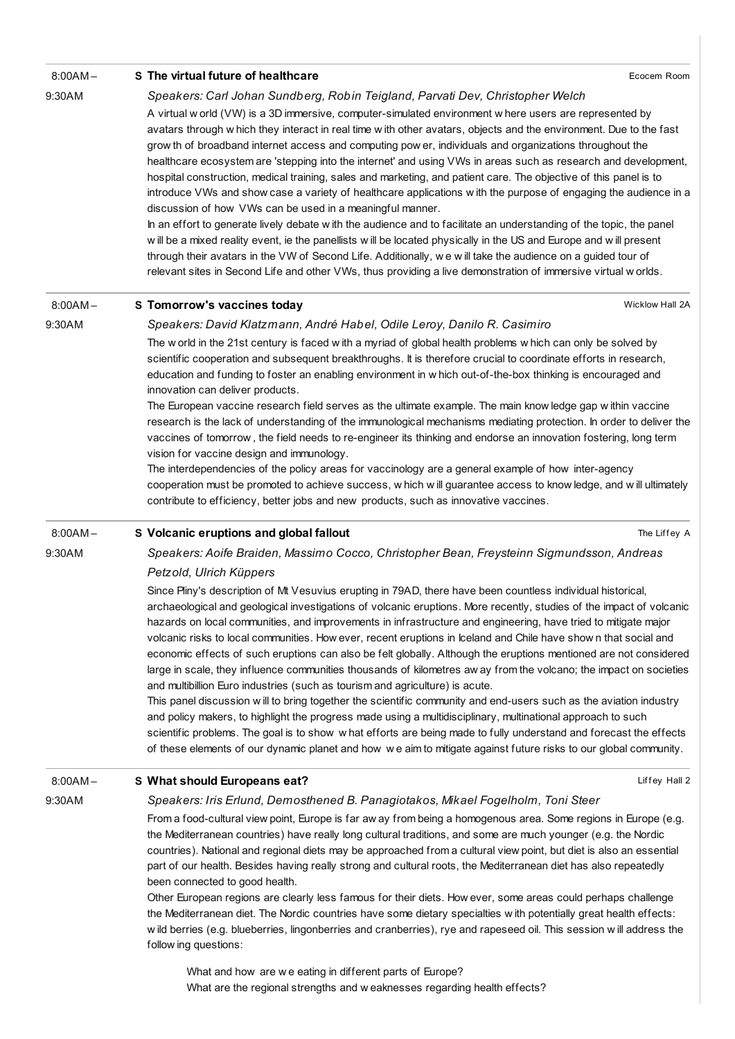| $8:00AM -$ | S The virtual future of healthcare                                                                                                                                                                                                                                                                                                                                                                                                                                                                                                                                                                                                                                                                                                                                                                                                                                                                                                                                                                                                                                                                                                                                                                                                                                                | Ecocem Room     |
|------------|-----------------------------------------------------------------------------------------------------------------------------------------------------------------------------------------------------------------------------------------------------------------------------------------------------------------------------------------------------------------------------------------------------------------------------------------------------------------------------------------------------------------------------------------------------------------------------------------------------------------------------------------------------------------------------------------------------------------------------------------------------------------------------------------------------------------------------------------------------------------------------------------------------------------------------------------------------------------------------------------------------------------------------------------------------------------------------------------------------------------------------------------------------------------------------------------------------------------------------------------------------------------------------------|-----------------|
| 9:30AM     | Speakers: Carl Johan Sundberg, Robin Teigland, Parvati Dev, Christopher Welch                                                                                                                                                                                                                                                                                                                                                                                                                                                                                                                                                                                                                                                                                                                                                                                                                                                                                                                                                                                                                                                                                                                                                                                                     |                 |
|            | A virtual w orld (VW) is a 3D immersive, computer-simulated environment w here users are represented by<br>avatars through w hich they interact in real time w ith other avatars, objects and the environment. Due to the fast<br>grow th of broadband internet access and computing pow er, individuals and organizations throughout the<br>healthcare ecosystem are 'stepping into the internet' and using VWs in areas such as research and development,<br>hospital construction, medical training, sales and marketing, and patient care. The objective of this panel is to<br>introduce VWs and show case a variety of healthcare applications with the purpose of engaging the audience in a<br>discussion of how VWs can be used in a meaningful manner.<br>In an effort to generate lively debate with the audience and to facilitate an understanding of the topic, the panel<br>will be a mixed reality event, ie the panellists will be located physically in the US and Europe and will present<br>through their avatars in the VW of Second Life. Additionally, we will take the audience on a guided tour of<br>relevant sites in Second Life and other VWs, thus providing a live demonstration of immersive virtual w orlds.                                     |                 |
| $8:00AM -$ | S Tomorrow's vaccines today                                                                                                                                                                                                                                                                                                                                                                                                                                                                                                                                                                                                                                                                                                                                                                                                                                                                                                                                                                                                                                                                                                                                                                                                                                                       | Wicklow Hall 2A |
| 9:30AM     | Speakers: David Klatzmann, André Habel, Odile Leroy, Danilo R. Casimiro                                                                                                                                                                                                                                                                                                                                                                                                                                                                                                                                                                                                                                                                                                                                                                                                                                                                                                                                                                                                                                                                                                                                                                                                           |                 |
|            | The world in the 21st century is faced with a myriad of global health problems which can only be solved by<br>scientific cooperation and subsequent breakthroughs. It is therefore crucial to coordinate efforts in research,<br>education and funding to foster an enabling environment in w hich out-of-the-box thinking is encouraged and<br>innovation can deliver products.<br>The European vaccine research field serves as the ultimate example. The main know ledge gap within vaccine<br>research is the lack of understanding of the immunological mechanisms mediating protection. In order to deliver the<br>vaccines of tomorrow, the field needs to re-engineer its thinking and endorse an innovation fostering, long term<br>vision for vaccine design and immunology.<br>The interdependencies of the policy areas for vaccinology are a general example of how inter-agency<br>cooperation must be promoted to achieve success, w hich w ill guarantee access to know ledge, and w ill ultimately<br>contribute to efficiency, better jobs and new products, such as innovative vaccines.                                                                                                                                                                       |                 |
| $8:00AM -$ | S Volcanic eruptions and global fallout                                                                                                                                                                                                                                                                                                                                                                                                                                                                                                                                                                                                                                                                                                                                                                                                                                                                                                                                                                                                                                                                                                                                                                                                                                           | The Liffey A    |
| 9:30AM     | Speakers: Aoife Braiden, Massimo Cocco, Christopher Bean, Freysteinn Sigmundsson, Andreas                                                                                                                                                                                                                                                                                                                                                                                                                                                                                                                                                                                                                                                                                                                                                                                                                                                                                                                                                                                                                                                                                                                                                                                         |                 |
|            | Petzold, Ulrich Küppers                                                                                                                                                                                                                                                                                                                                                                                                                                                                                                                                                                                                                                                                                                                                                                                                                                                                                                                                                                                                                                                                                                                                                                                                                                                           |                 |
|            | Since Pliny's description of Mt Vesuvius erupting in 79AD, there have been countless individual historical,<br>archaeological and geological investigations of volcanic eruptions. More recently, studies of the impact of volcanic<br>hazards on local communities, and improvements in infrastructure and engineering, have tried to mitigate major<br>volcanic risks to local communities. How ever, recent eruptions in Iceland and Chile have show n that social and<br>economic effects of such eruptions can also be felt globally. Although the eruptions mentioned are not considered<br>large in scale, they influence communities thousands of kilometres aw ay from the volcano; the impact on societies<br>and multibillion Euro industries (such as tourism and agriculture) is acute.<br>This panel discussion will to bring together the scientific community and end-users such as the aviation industry<br>and policy makers, to highlight the progress made using a multidisciplinary, multinational approach to such<br>scientific problems. The goal is to show what efforts are being made to fully understand and forecast the effects<br>of these elements of our dynamic planet and how we aim to mitigate against future risks to our global community. |                 |
| $8:00AM -$ | S What should Europeans eat?                                                                                                                                                                                                                                                                                                                                                                                                                                                                                                                                                                                                                                                                                                                                                                                                                                                                                                                                                                                                                                                                                                                                                                                                                                                      | Liffey Hall 2   |
| 9:30AM     | Speakers: Iris Erlund, Demosthened B. Panagiotakos, Mikael Fogelholm, Toni Steer                                                                                                                                                                                                                                                                                                                                                                                                                                                                                                                                                                                                                                                                                                                                                                                                                                                                                                                                                                                                                                                                                                                                                                                                  |                 |
|            | From a food-cultural view point, Europe is far aw ay from being a homogenous area. Some regions in Europe (e.g.                                                                                                                                                                                                                                                                                                                                                                                                                                                                                                                                                                                                                                                                                                                                                                                                                                                                                                                                                                                                                                                                                                                                                                   |                 |
|            | the Mediterranean countries) have really long cultural traditions, and some are much younger (e.g. the Nordic<br>countries). National and regional diets may be approached from a cultural view point, but diet is also an essential<br>part of our health. Besides having really strong and cultural roots, the Mediterranean diet has also repeatedly<br>been connected to good health.<br>Other European regions are clearly less famous for their diets. How ever, some areas could perhaps challenge<br>the Mediterranean diet. The Nordic countries have some dietary specialties with potentially great health effects:<br>w ild berries (e.g. blueberries, lingonberries and cranberries), rye and rapeseed oil. This session w ill address the<br>follow ing questions:                                                                                                                                                                                                                                                                                                                                                                                                                                                                                                  |                 |
|            | What and how are we eating in different parts of Europe?                                                                                                                                                                                                                                                                                                                                                                                                                                                                                                                                                                                                                                                                                                                                                                                                                                                                                                                                                                                                                                                                                                                                                                                                                          |                 |

What and how are w e eating in different parts of Europe? What are the regional strengths and w eaknesses regarding health effects?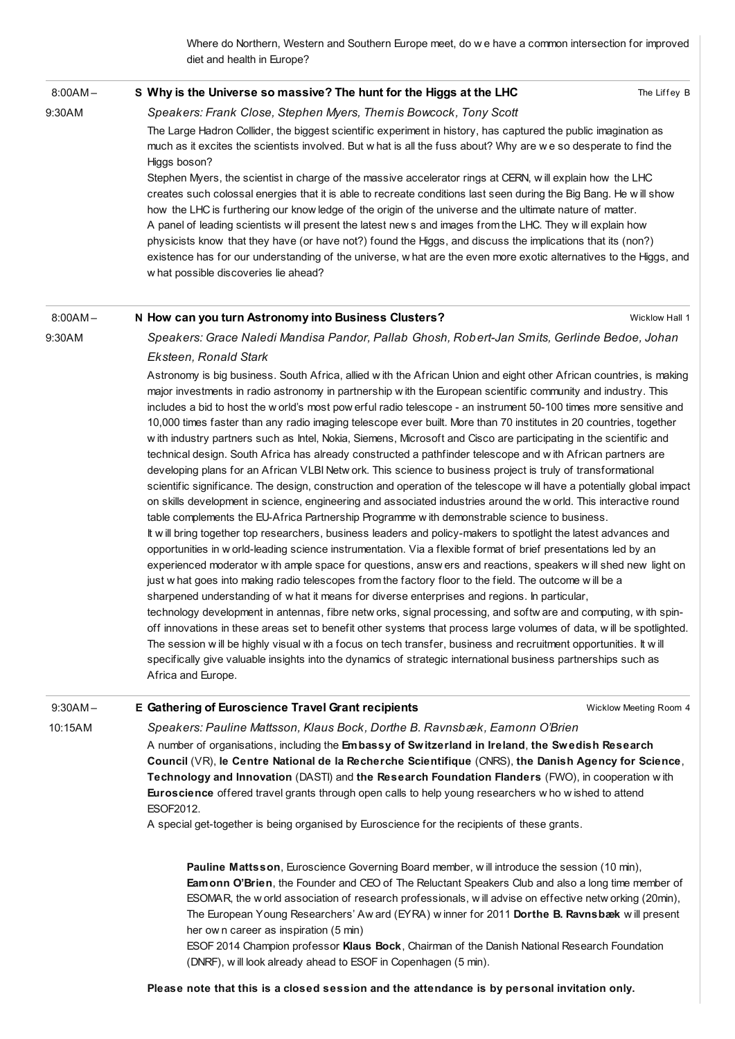Where do Northern, Western and Southern Europe meet, do w e have a common intersection for improved diet and health in Europe?

#### 8:00AM – S Why is the Universe so [massive?](http://esof2012.sched.org/event/bc9ab65dc421756f2ed4d740dceb9168) The hunt for the Higgs at the LHC

The Liffey B

## Speakers: Frank Close, Stephen Myers, Themis Bowcock, Tony Scott

The Large Hadron Collider, the biggest scientific experiment in history, has captured the public imagination as much as it excites the scientists involved. But w hat is all the fuss about? Why are w e so desperate to find the Higgs boson?

Stephen Myers, the scientist in charge of the massive accelerator rings at CERN, w ill explain how the LHC creates such colossal energies that it is able to recreate conditions last seen during the Big Bang. He w ill show how the LHC is furthering our know ledge of the origin of the universe and the ultimate nature of matter. A panel of leading scientists w ill present the latest new s and images from the LHC. They w ill explain how physicists know that they have (or have not?) found the Higgs, and discuss the implications that its (non?) existence has for our understanding of the universe, w hat are the even more exotic alternatives to the Higgs, and w hat possible discoveries lie ahead?

### 8:00AM – N How can you turn [Astronomy](http://esof2012.sched.org/event/8d831f67cf6116237af6ba40f8e66311) into Business Clusters?

Wicklow Hall 1

### 9:30AM

9:30AM

Speakers: Grace Naledi Mandisa Pandor, Pallab Ghosh, Robert-Jan Smits, Gerlinde Bedoe, Johan Eksteen, Ronald Stark

Astronomy is big business. South Africa, allied w ith the African Union and eight other African countries, is making major investments in radio astronomy in partnership w ith the European scientific community and industry. This includes a bid to host the w orld's most pow erful radio telescope - an instrument 50-100 times more sensitive and 10,000 times faster than any radio imaging telescope ever built. More than 70 institutes in 20 countries, together w ith industry partners such as Intel, Nokia, Siemens, Microsoft and Cisco are participating in the scientific and technical design. South Africa has already constructed a pathfinder telescope and w ith African partners are developing plans for an African VLBI Netw ork. This science to business project is truly of transformational scientific significance. The design, construction and operation of the telescope w ill have a potentially global impact on skills development in science, engineering and associated industries around the w orld. This interactive round table complements the EU-Africa Partnership Programme w ith demonstrable science to business. It w ill bring together top researchers, business leaders and policy-makers to spotlight the latest advances and opportunities in w orld-leading science instrumentation. Via a flexible format of brief presentations led by an experienced moderator w ith ample space for questions, answ ers and reactions, speakers w ill shed new light on just w hat goes into making radio telescopes from the factory floor to the field. The outcome w ill be a sharpened understanding of w hat it means for diverse enterprises and regions. In particular, technology development in antennas, fibre netw orks, signal processing, and softw are and computing, w ith spinoff innovations in these areas set to benefit other systems that process large volumes of data, w ill be spotlighted. The session w ill be highly visual w ith a focus on tech transfer, business and recruitment opportunities. It w ill specifically give valuable insights into the dynamics of strategic international business partnerships such as Africa and Europe.

#### Wicklow Meeting Room 4 9:30AM – 10:15AM E Gathering of [Euroscience](http://esof2012.sched.org/event/925b35c5373ae9488f85a616f75251a4) Travel Grant recipients Speakers: Pauline Mattsson, Klaus Bock, Dorthe B. Ravnsbæk, Eamonn O'Brien

A number of organisations, including the Embassy of Switzerland in Ireland, the Swedish Research Council (VR), le Centre National de la Recherche Scientifique (CNRS), the Danish Agency for Science, Technology and Innovation (DASTI) and the Research Foundation Flanders (FWO), in cooperation w ith Euroscience offered travel grants through open calls to help young researchers w ho w ished to attend ESOF2012.

A special get-together is being organised by Euroscience for the recipients of these grants.

Pauline Mattsson, Euroscience Governing Board member, w ill introduce the session (10 min), Eamonn O'Brien, the Founder and CEO of The Reluctant Speakers Club and also a long time member of ESOMAR, the w orld association of research professionals, w ill advise on effective netw orking (20min), The European Young Researchers' Aw ard (EYRA) w inner for 2011 Dorthe B. Ravnsbæk w ill present her ow n career as inspiration (5 min)

ESOF 2014 Champion professor Klaus Bock, Chairman of the Danish National Research Foundation (DNRF), w ill look already ahead to ESOF in Copenhagen (5 min).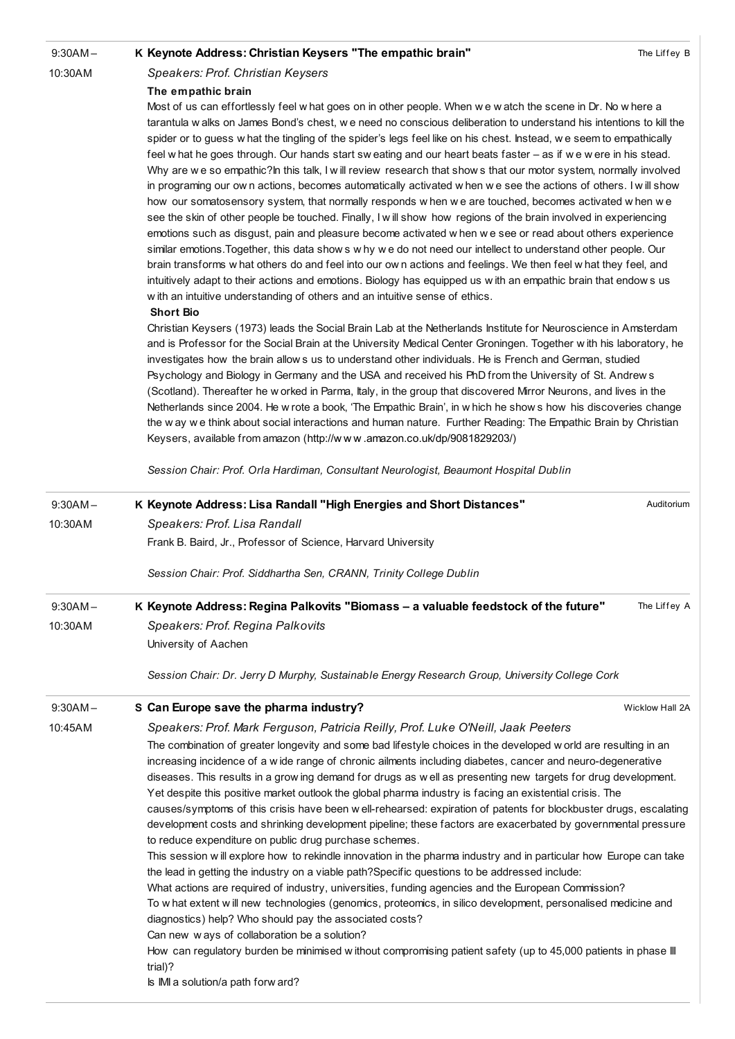9:30AM –

### K Keynote Address: Christian Keysers "The [empathic](http://esof2012.sched.org/event/15639cab4413828673f524f6379a0415) brain"

10:30AM

### Speakers: Prof. Christian Keysers The empathic brain

Most of us can effortlessly feel w hat goes on in other people. When w e w atch the scene in Dr. No w here a tarantula w alks on James Bond's chest, w e need no conscious deliberation to understand his intentions to kill the spider or to guess w hat the tingling of the spider's legs feel like on his chest. Instead, w e seem to empathically feel w hat he goes through. Our hands start sw eating and our heart beats faster – as if w e w ere in his stead. Why are we so empathic?In this talk, I will review research that shows that our motor system, normally involved in programing our ow n actions, becomes automatically activated w hen w e see the actions of others. I w ill show how our somatosensory system, that normally responds w hen w e are touched, becomes activated w hen w e see the skin of other people be touched. Finally, I w ill show how regions of the brain involved in experiencing emotions such as disgust, pain and pleasure become activated w hen w e see or read about others experience similar emotions.Together, this data show s w hy w e do not need our intellect to understand other people. Our brain transforms w hat others do and feel into our ow n actions and feelings. We then feel w hat they feel, and intuitively adapt to their actions and emotions. Biology has equipped us w ith an empathic brain that endow s us w ith an intuitive understanding of others and an intuitive sense of ethics.

### Short Bio

Christian Keysers (1973) leads the Social Brain Lab at the Netherlands Institute for Neuroscience in Amsterdam and is Professor for the Social Brain at the University Medical Center Groningen. Together w ith his laboratory, he investigates how the brain allow s us to understand other individuals. He is French and German, studied Psychology and Biology in Germany and the USA and received his PhD from the University of St. Andrew s (Scotland). Thereafter he w orked in Parma, Italy, in the group that discovered Mirror Neurons, and lives in the Netherlands since 2004. He w rote a book, 'The Empathic Brain', in w hich he show s how his discoveries change the w ay w e think about social interactions and human nature. Further Reading: The Empathic Brain by Christian Keysers, available from amazon (http://w w w [.amazon.co.uk/dp/9081829203/\)](http://www.amazon.co.uk/dp/9081829203/)

Session Chair: Prof. Orla Hardiman, Consultant Neurologist, Beaumont Hospital Dublin

| $9:30AM -$                                                                                                                                                                                                                                                                                                                                                                                                                                                                                                                                                                                                                                                                                                                                                                                                                                                                                                                                                                                                                                                                                                                                                                                                                                                                                                                                                                                                                                      | K Keynote Address: Lisa Randall "High Energies and Short Distances"                           | Auditorium      |
|-------------------------------------------------------------------------------------------------------------------------------------------------------------------------------------------------------------------------------------------------------------------------------------------------------------------------------------------------------------------------------------------------------------------------------------------------------------------------------------------------------------------------------------------------------------------------------------------------------------------------------------------------------------------------------------------------------------------------------------------------------------------------------------------------------------------------------------------------------------------------------------------------------------------------------------------------------------------------------------------------------------------------------------------------------------------------------------------------------------------------------------------------------------------------------------------------------------------------------------------------------------------------------------------------------------------------------------------------------------------------------------------------------------------------------------------------|-----------------------------------------------------------------------------------------------|-----------------|
| 10:30AM                                                                                                                                                                                                                                                                                                                                                                                                                                                                                                                                                                                                                                                                                                                                                                                                                                                                                                                                                                                                                                                                                                                                                                                                                                                                                                                                                                                                                                         | Speakers: Prof. Lisa Randall                                                                  |                 |
|                                                                                                                                                                                                                                                                                                                                                                                                                                                                                                                                                                                                                                                                                                                                                                                                                                                                                                                                                                                                                                                                                                                                                                                                                                                                                                                                                                                                                                                 | Frank B. Baird, Jr., Professor of Science, Harvard University                                 |                 |
|                                                                                                                                                                                                                                                                                                                                                                                                                                                                                                                                                                                                                                                                                                                                                                                                                                                                                                                                                                                                                                                                                                                                                                                                                                                                                                                                                                                                                                                 | Session Chair: Prof. Siddhartha Sen, CRANN, Trinity College Dublin                            |                 |
| $9:30AM -$                                                                                                                                                                                                                                                                                                                                                                                                                                                                                                                                                                                                                                                                                                                                                                                                                                                                                                                                                                                                                                                                                                                                                                                                                                                                                                                                                                                                                                      | K Keynote Address: Regina Palkovits "Biomass - a valuable feedstock of the future"            | The Liffey A    |
| 10:30AM                                                                                                                                                                                                                                                                                                                                                                                                                                                                                                                                                                                                                                                                                                                                                                                                                                                                                                                                                                                                                                                                                                                                                                                                                                                                                                                                                                                                                                         | Speakers: Prof. Regina Palkovits                                                              |                 |
|                                                                                                                                                                                                                                                                                                                                                                                                                                                                                                                                                                                                                                                                                                                                                                                                                                                                                                                                                                                                                                                                                                                                                                                                                                                                                                                                                                                                                                                 | University of Aachen                                                                          |                 |
|                                                                                                                                                                                                                                                                                                                                                                                                                                                                                                                                                                                                                                                                                                                                                                                                                                                                                                                                                                                                                                                                                                                                                                                                                                                                                                                                                                                                                                                 | Session Chair: Dr. Jerry D Murphy, Sustainable Energy Research Group, University College Cork |                 |
| $9:30AM -$                                                                                                                                                                                                                                                                                                                                                                                                                                                                                                                                                                                                                                                                                                                                                                                                                                                                                                                                                                                                                                                                                                                                                                                                                                                                                                                                                                                                                                      | S Can Europe save the pharma industry?                                                        | Wicklow Hall 2A |
| 10:45AM                                                                                                                                                                                                                                                                                                                                                                                                                                                                                                                                                                                                                                                                                                                                                                                                                                                                                                                                                                                                                                                                                                                                                                                                                                                                                                                                                                                                                                         | Speakers: Prof. Mark Ferguson, Patricia Reilly, Prof. Luke O'Neill, Jaak Peeters              |                 |
| The combination of greater longevity and some bad lifestyle choices in the developed w orld are resulting in an<br>increasing incidence of a wide range of chronic ailments including diabetes, cancer and neuro-degenerative<br>diseases. This results in a grow ing demand for drugs as well as presenting new targets for drug development.<br>Yet despite this positive market outlook the global pharma industry is facing an existential crisis. The<br>causes/symptoms of this crisis have been well-rehearsed: expiration of patents for blockbuster drugs, escalating<br>development costs and shrinking development pipeline; these factors are exacerbated by governmental pressure<br>to reduce expenditure on public drug purchase schemes.<br>This session will explore how to rekindle innovation in the pharma industry and in particular how Europe can take<br>the lead in getting the industry on a viable path? Specific questions to be addressed include:<br>What actions are required of industry, universities, funding agencies and the European Commission?<br>To w hat extent w ill new technologies (genomics, proteomics, in silico development, personalised medicine and<br>diagnostics) help? Who should pay the associated costs?<br>Can new ways of collaboration be a solution?<br>How can regulatory burden be minimised without compromising patient safety (up to 45,000 patients in phase III<br>trial)? |                                                                                               |                 |
|                                                                                                                                                                                                                                                                                                                                                                                                                                                                                                                                                                                                                                                                                                                                                                                                                                                                                                                                                                                                                                                                                                                                                                                                                                                                                                                                                                                                                                                 | Is IMI a solution/a path forw ard?                                                            |                 |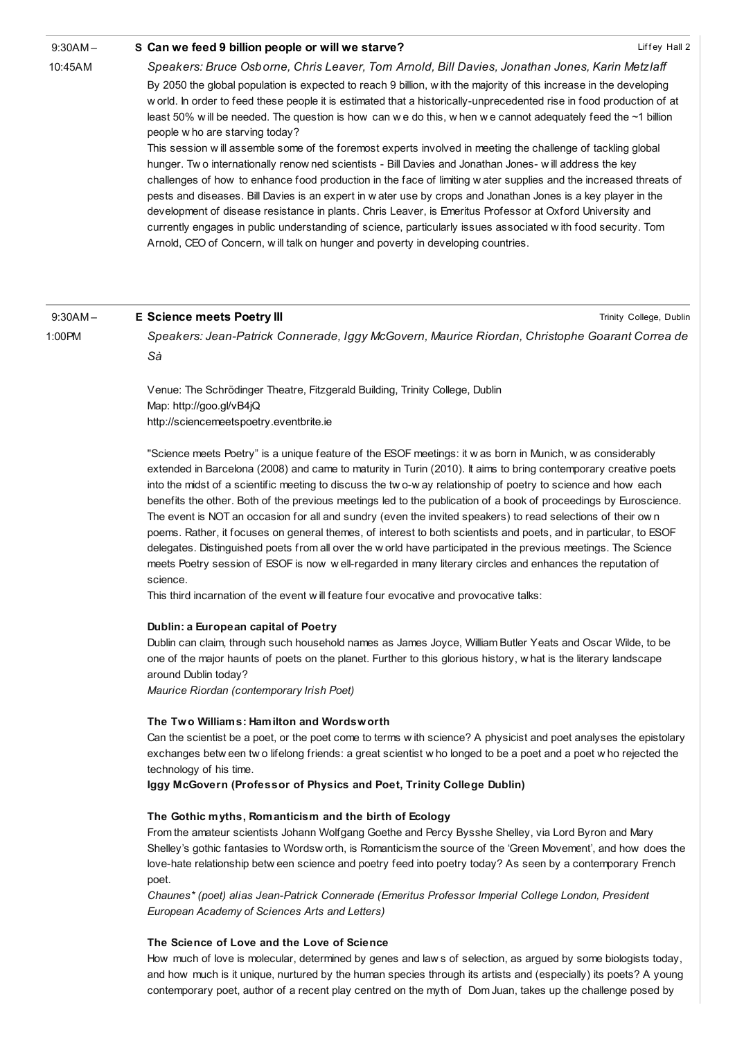#### 9:30AM – S Can we feed 9 billion people or will we [starve?](http://esof2012.sched.org/event/94da619058d2a2db987768d7da6ef3bc)

10:45AM

Trinity College, Dublin

Speakers: Bruce Osborne, Chris Leaver, Tom Arnold, Bill Davies, Jonathan Jones, Karin Metzlaff By 2050 the global population is expected to reach 9 billion, w ith the majority of this increase in the developing w orld. In order to feed these people it is estimated that a historically-unprecedented rise in food production of at least 50% w ill be needed. The question is how can w e do this, w hen w e cannot adequately feed the ~1 billion people w ho are starving today?

This session w ill assemble some of the foremost experts involved in meeting the challenge of tackling global hunger. Tw o internationally renow ned scientists - Bill Davies and Jonathan Jones- w ill address the key challenges of how to enhance food production in the face of limiting w ater supplies and the increased threats of pests and diseases. Bill Davies is an expert in w ater use by crops and Jonathan Jones is a key player in the development of disease resistance in plants. Chris Leaver, is Emeritus Professor at Oxford University and currently engages in public understanding of science, particularly issues associated w ith food security. Tom Arnold, CEO of Concern, w ill talk on hunger and poverty in developing countries.

#### 9:30AM – E [Science](http://esof2012.sched.org/event/1212f32b16cfe0bd85f61186cd4345e7) meets Poetry III

1:00PM

Speakers: Jean-Patrick Connerade, Iggy McGovern, Maurice Riordan, Christophe Goarant Correa de Sà

Venue: The Schrödinger Theatre, Fitzgerald Building, Trinity College, Dublin Map: <http://goo.gl/vB4jQ> [http://sciencemeetspoetry.eventbrite.ie](http://sciencemeetspoetry.eventbrite.ie/)

"Science meets Poetry" is a unique feature of the ESOF meetings: it w as born in Munich, w as considerably extended in Barcelona (2008) and came to maturity in Turin (2010). It aims to bring contemporary creative poets into the midst of a scientific meeting to discuss the tw o-w ay relationship of poetry to science and how each benefits the other. Both of the previous meetings led to the publication of a book of proceedings by Euroscience. The event is NOT an occasion for all and sundry (even the invited speakers) to read selections of their ow n poems. Rather, it focuses on general themes, of interest to both scientists and poets, and in particular, to ESOF delegates. Distinguished poets from all over the w orld have participated in the previous meetings. The Science meets Poetry session of ESOF is now w ell-regarded in many literary circles and enhances the reputation of science.

This third incarnation of the event w ill feature four evocative and provocative talks:

### Dublin: a European capital of Poetry

Dublin can claim, through such household names as James Joyce, William Butler Yeats and Oscar Wilde, to be one of the major haunts of poets on the planet. Further to this glorious history, w hat is the literary landscape around Dublin today?

Maurice Riordan (contemporary Irish Poet)

### The Two Williams: Hamilton and Wordsworth

Can the scientist be a poet, or the poet come to terms w ith science? A physicist and poet analyses the epistolary exchanges betw een tw o lifelong friends: a great scientist w ho longed to be a poet and a poet w ho rejected the technology of his time.

Iggy McGovern (Professor of Physics and Poet, Trinity College Dublin)

### The Gothic myths, Romanticism and the birth of Ecology

From the amateur scientists Johann Wolfgang Goethe and Percy Bysshe Shelley, via Lord Byron and Mary Shelley's gothic fantasies to Wordsw orth, is Romanticism the source of the 'Green Movement', and how does the love-hate relationship betw een science and poetry feed into poetry today? As seen by a contemporary French poet.

Chaunes\* (poet) alias Jean-Patrick Connerade (Emeritus Professor Imperial College London, President European Academy of Sciences Arts and Letters)

### The Science of Love and the Love of Science

How much of love is molecular, determined by genes and law s of selection, as argued by some biologists today, and how much is it unique, nurtured by the human species through its artists and (especially) its poets? A young contemporary poet, author of a recent play centred on the myth of Dom Juan, takes up the challenge posed by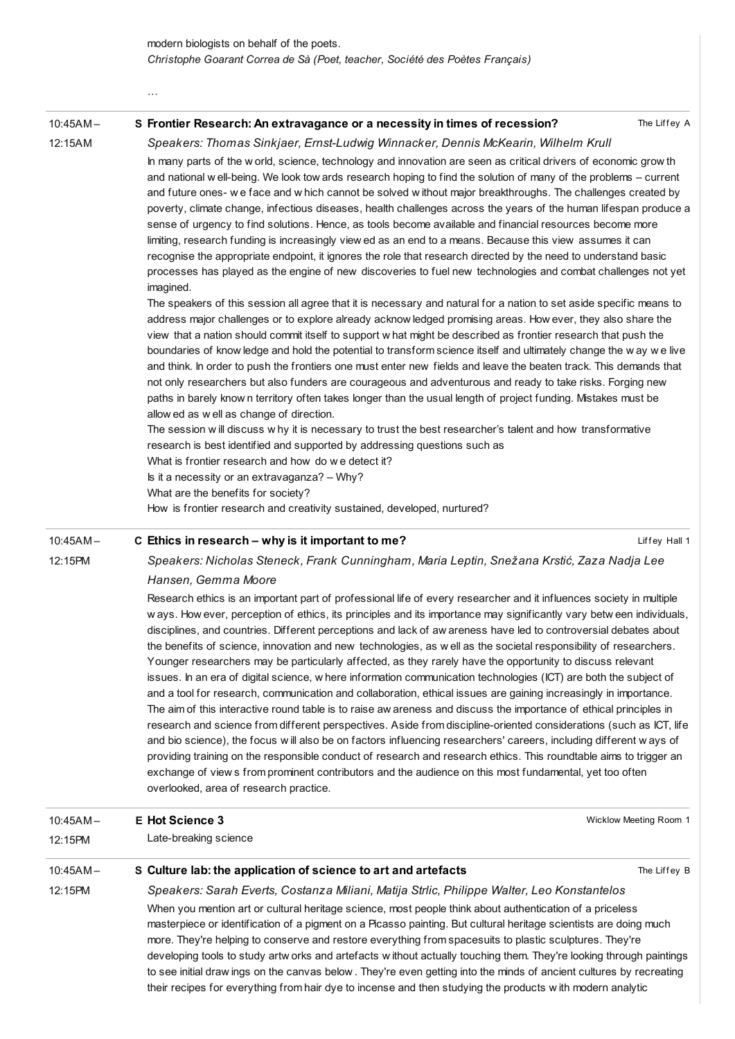| $10:45AM -$                                                                                                                                                                                                                                                                                                                                                                                                                                                                                                                                                                                                                                                                                                                                                                                                                                                                                                                         | S Frontier Research: An extravagance or a necessity in times of recession?                                                                                                                                                                                                                                                                                                                                                                                                                                                                                                                                                                                                                                                                                                                                                                                                              | The Liffey A  |
|-------------------------------------------------------------------------------------------------------------------------------------------------------------------------------------------------------------------------------------------------------------------------------------------------------------------------------------------------------------------------------------------------------------------------------------------------------------------------------------------------------------------------------------------------------------------------------------------------------------------------------------------------------------------------------------------------------------------------------------------------------------------------------------------------------------------------------------------------------------------------------------------------------------------------------------|-----------------------------------------------------------------------------------------------------------------------------------------------------------------------------------------------------------------------------------------------------------------------------------------------------------------------------------------------------------------------------------------------------------------------------------------------------------------------------------------------------------------------------------------------------------------------------------------------------------------------------------------------------------------------------------------------------------------------------------------------------------------------------------------------------------------------------------------------------------------------------------------|---------------|
| 12:15AM                                                                                                                                                                                                                                                                                                                                                                                                                                                                                                                                                                                                                                                                                                                                                                                                                                                                                                                             | Speakers: Thomas Sinkjaer, Ernst-Ludwig Winnacker, Dennis McKearin, Wilhelm Krull                                                                                                                                                                                                                                                                                                                                                                                                                                                                                                                                                                                                                                                                                                                                                                                                       |               |
| In many parts of the w orld, science, technology and innovation are seen as critical drivers of economic grow th<br>and national well-being. We look tow ards research hoping to find the solution of many of the problems – current<br>and future ones- we face and w hich cannot be solved w ithout major breakthroughs. The challenges created by<br>poverty, climate change, infectious diseases, health challenges across the years of the human lifespan produce a<br>sense of urgency to find solutions. Hence, as tools become available and financial resources become more<br>limiting, research funding is increasingly view ed as an end to a means. Because this view assumes it can<br>recognise the appropriate endpoint, it ignores the role that research directed by the need to understand basic<br>processes has played as the engine of new discoveries to fuel new technologies and combat challenges not yet |                                                                                                                                                                                                                                                                                                                                                                                                                                                                                                                                                                                                                                                                                                                                                                                                                                                                                         |               |
|                                                                                                                                                                                                                                                                                                                                                                                                                                                                                                                                                                                                                                                                                                                                                                                                                                                                                                                                     | imagined.<br>The speakers of this session all agree that it is necessary and natural for a nation to set aside specific means to<br>address major challenges or to explore already acknow ledged promising areas. How ever, they also share the<br>view that a nation should commit itself to support w hat might be described as frontier research that push the<br>boundaries of know ledge and hold the potential to transform science itself and ultimately change the way we live<br>and think. In order to push the frontiers one must enter new fields and leave the beaten track. This demands that<br>not only researchers but also funders are courageous and adventurous and ready to take risks. Forging new<br>paths in barely know n territory often takes longer than the usual length of project funding. Mistakes must be<br>allow ed as w ell as change of direction. |               |
|                                                                                                                                                                                                                                                                                                                                                                                                                                                                                                                                                                                                                                                                                                                                                                                                                                                                                                                                     | The session will discuss why it is necessary to trust the best researcher's talent and how transformative<br>research is best identified and supported by addressing questions such as<br>What is frontier research and how do we detect it?                                                                                                                                                                                                                                                                                                                                                                                                                                                                                                                                                                                                                                            |               |
|                                                                                                                                                                                                                                                                                                                                                                                                                                                                                                                                                                                                                                                                                                                                                                                                                                                                                                                                     | Is it a necessity or an extravaganza? - Why?                                                                                                                                                                                                                                                                                                                                                                                                                                                                                                                                                                                                                                                                                                                                                                                                                                            |               |
|                                                                                                                                                                                                                                                                                                                                                                                                                                                                                                                                                                                                                                                                                                                                                                                                                                                                                                                                     | What are the benefits for society?                                                                                                                                                                                                                                                                                                                                                                                                                                                                                                                                                                                                                                                                                                                                                                                                                                                      |               |
|                                                                                                                                                                                                                                                                                                                                                                                                                                                                                                                                                                                                                                                                                                                                                                                                                                                                                                                                     | How is frontier research and creativity sustained, developed, nurtured?                                                                                                                                                                                                                                                                                                                                                                                                                                                                                                                                                                                                                                                                                                                                                                                                                 |               |
| $10:45AM -$                                                                                                                                                                                                                                                                                                                                                                                                                                                                                                                                                                                                                                                                                                                                                                                                                                                                                                                         | C Ethics in research – why is it important to me?                                                                                                                                                                                                                                                                                                                                                                                                                                                                                                                                                                                                                                                                                                                                                                                                                                       | Liffey Hall 1 |

### 10:45AM – C Ethics in research – why is it [important](http://esof2012.sched.org/event/ef4de1cf81e214bfaca16faf04636f4d) to me?

…

12:15PM

Speakers: Nicholas Steneck, Frank Cunningham, Maria Leptin, Snežana Krstić, Zaza Nadja Lee Hansen, Gemma Moore

Research ethics is an important part of professional life of every researcher and it influences society in multiple w ays. How ever, perception of ethics, its principles and its importance may significantly vary betw een individuals, disciplines, and countries. Different perceptions and lack of aw areness have led to controversial debates about the benefits of science, innovation and new technologies, as w ell as the societal responsibility of researchers. Younger researchers may be particularly affected, as they rarely have the opportunity to discuss relevant issues. In an era of digital science, w here information communication technologies (ICT) are both the subject of and a tool for research, communication and collaboration, ethical issues are gaining increasingly in importance. The aim of this interactive round table is to raise aw areness and discuss the importance of ethical principles in research and science from different perspectives. Aside from discipline-oriented considerations (such as ICT, life and bio science), the focus w ill also be on factors influencing researchers' careers, including different w ays of providing training on the responsible conduct of research and research ethics. This roundtable aims to trigger an exchange of view s from prominent contributors and the audience on this most fundamental, yet too often overlooked, area of research practice.

| $10:45AM -$ | E Hot Science 3                                                                                                                                                                                                                                                                                                                                                                                                                                                                                                                                                                                                                                                                                     | Wicklow Meeting Room 1 |  |
|-------------|-----------------------------------------------------------------------------------------------------------------------------------------------------------------------------------------------------------------------------------------------------------------------------------------------------------------------------------------------------------------------------------------------------------------------------------------------------------------------------------------------------------------------------------------------------------------------------------------------------------------------------------------------------------------------------------------------------|------------------------|--|
| 12:15PM     | Late-breaking science                                                                                                                                                                                                                                                                                                                                                                                                                                                                                                                                                                                                                                                                               |                        |  |
| $10:45AM -$ | S Culture lab: the application of science to art and artefacts                                                                                                                                                                                                                                                                                                                                                                                                                                                                                                                                                                                                                                      | The Liffey B           |  |
| 12:15PM     | Speakers: Sarah Everts, Costanza Miliani, Matija Strlic, Philippe Walter, Leo Konstantelos                                                                                                                                                                                                                                                                                                                                                                                                                                                                                                                                                                                                          |                        |  |
|             | When you mention art or cultural heritage science, most people think about authentication of a priceless<br>masterpiece or identification of a pigment on a Picasso painting. But cultural heritage scientists are doing much<br>more. They're helping to conserve and restore everything from spacesuits to plastic sculptures. They're<br>developing tools to study artw orks and artefacts without actually touching them. They're looking through paintings<br>to see initial draw ings on the canvas below. They're even getting into the minds of ancient cultures by recreating<br>their recipes for everything from hair dye to incense and then studying the products with modern analytic |                        |  |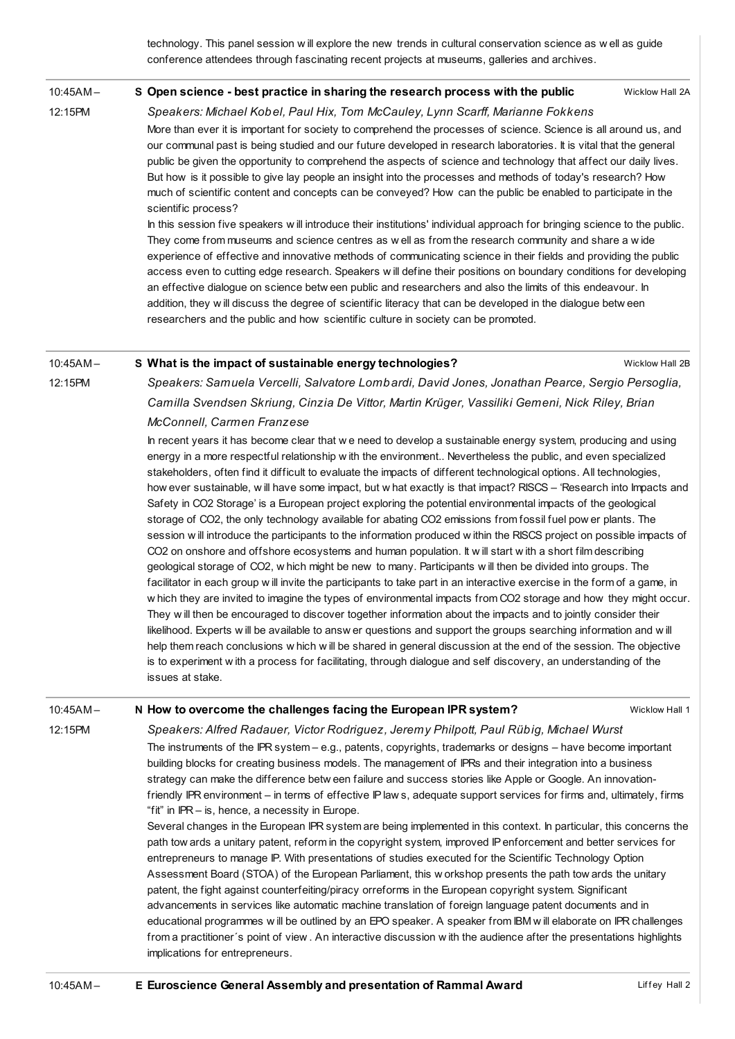technology. This panel session w ill explore the new trends in cultural conservation science as w ell as guide conference attendees through fascinating recent projects at museums, galleries and archives.

#### 10:45AM – S Open science - best practice in sharing the [research](http://esof2012.sched.org/event/ce7f4ca10561832e7760e2ab9826ca34) process with the public

Wicklow Hall 2A

Wicklow Hall 2B

Speakers: Michael Kobel, Paul Hix, Tom McCauley, Lynn Scarff, Marianne Fokkens More than ever it is important for society to comprehend the processes of science. Science is all around us, and our communal past is being studied and our future developed in research laboratories. It is vital that the general public be given the opportunity to comprehend the aspects of science and technology that affect our daily lives. But how is it possible to give lay people an insight into the processes and methods of today's research? How much of scientific content and concepts can be conveyed? How can the public be enabled to participate in the scientific process?

In this session five speakers w ill introduce their institutions' individual approach for bringing science to the public. They come from museums and science centres as w ell as from the research community and share a w ide experience of effective and innovative methods of communicating science in their fields and providing the public access even to cutting edge research. Speakers w ill define their positions on boundary conditions for developing an effective dialogue on science betw een public and researchers and also the limits of this endeavour. In addition, they w ill discuss the degree of scientific literacy that can be developed in the dialogue betw een researchers and the public and how scientific culture in society can be promoted.

#### 10:45AM – S What is the impact of sustainable energy [technologies?](http://esof2012.sched.org/event/0ecb4e68c31b01190919ab8d8a392690)

12:15PM

12:15PM

Speakers: Samuela Vercelli, Salvatore Lombardi, David Jones, Jonathan Pearce, Sergio Persoglia, Camilla Svendsen Skriung, Cinzia De Vittor, Martin Krüger, Vassiliki Gemeni, Nick Riley, Brian McConnell, Carmen Franzese

In recent years it has become clear that w e need to develop a sustainable energy system, producing and using energy in a more respectful relationship w ith the environment.. Nevertheless the public, and even specialized stakeholders, often find it difficult to evaluate the impacts of different technological options. All technologies, how ever sustainable, w ill have some impact, but w hat exactly is that impact? RISCS – 'Research into Impacts and Safety in CO2 Storage' is a European project exploring the potential environmental impacts of the geological storage of CO2, the only technology available for abating CO2 emissions from fossil fuel pow er plants. The session w ill introduce the participants to the information produced w ithin the RISCS project on possible impacts of CO2 on onshore and offshore ecosystems and human population. It w ill start w ith a short film describing geological storage of CO2, w hich might be new to many. Participants w ill then be divided into groups. The facilitator in each group w ill invite the participants to take part in an interactive exercise in the form of a game, in w hich they are invited to imagine the types of environmental impacts from CO2 storage and how they might occur. They w ill then be encouraged to discover together information about the impacts and to jointly consider their likelihood. Experts w ill be available to answ er questions and support the groups searching information and w ill help them reach conclusions w hich w ill be shared in general discussion at the end of the session. The objective is to experiment w ith a process for facilitating, through dialogue and self discovery, an understanding of the issues at stake.

#### 10:45AM – N How to overcome the [challenges](http://esof2012.sched.org/event/8cfe9e34f067bb443c6b5306dd866fbf) facing the European IPR system?

Wicklow Hall 1

12:15PM

Speakers: Alfred Radauer, Victor Rodriguez, Jeremy Philpott, Paul Rübig, Michael Wurst The instruments of the IPR system – e.g., patents, copyrights, trademarks or designs – have become important building blocks for creating business models. The management of IPRs and their integration into a business strategy can make the difference betw een failure and success stories like Apple or Google. An innovationfriendly IPR environment – in terms of effective IP law s, adequate support services for firms and, ultimately, firms "fit" in IPR – is, hence, a necessity in Europe.

Several changes in the European IPR system are being implemented in this context. In particular, this concerns the path tow ards a unitary patent, reform in the copyright system, improved IPenforcement and better services for entrepreneurs to manage IP. With presentations of studies executed for the Scientific Technology Option Assessment Board (STOA) of the European Parliament, this w orkshop presents the path tow ards the unitary patent, the fight against counterfeiting/piracy orreforms in the European copyright system. Significant advancements in services like automatic machine translation of foreign language patent documents and in educational programmes w ill be outlined by an EPO speaker. A speaker from IBM w ill elaborate on IPR challenges from a practitioner's point of view . An interactive discussion w ith the audience after the presentations highlights implications for entrepreneurs.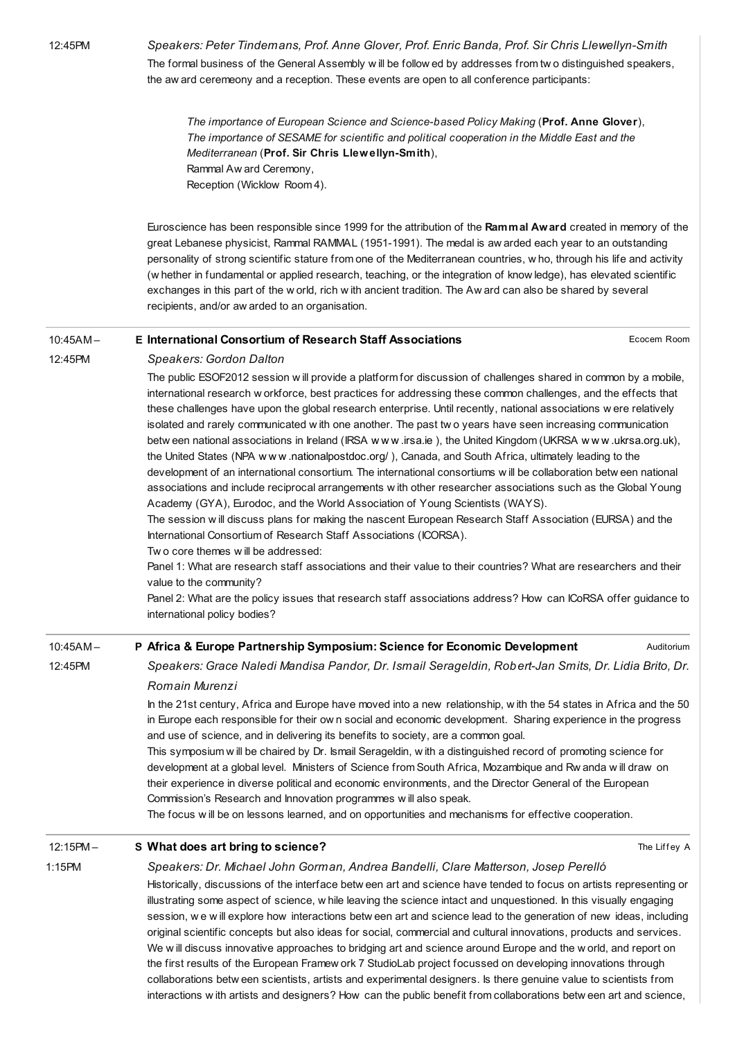Speakers: Peter Tindemans, Prof. Anne Glover, Prof. Enric Banda, Prof. Sir Chris Llewellyn-Smith The formal business of the General Assembly w ill be follow ed by addresses from tw o distinguished speakers, the aw ard ceremeony and a reception. These events are open to all conference participants:

The importance of European Science and Science-based Policy Making (Prof. Anne Glover), The importance of SESAME for scientific and political cooperation in the Middle East and the Mediterranean (Prof. Sir Chris Llewellyn-Smith), Rammal Aw ard Ceremony, Reception (Wicklow Room 4).

Euroscience has been responsible since 1999 for the attribution of the Rammal Award created in memory of the great Lebanese physicist, Rammal RAMMAL (1951-1991). The medal is aw arded each year to an outstanding personality of strong scientific stature from one of the Mediterranean countries, w ho, through his life and activity (w hether in fundamental or applied research, teaching, or the integration of know ledge), has elevated scientific exchanges in this part of the w orld, rich w ith ancient tradition. The Aw ard can also be shared by several recipients, and/or aw arded to an organisation.

### Ecocem Room 10:45AM – E International Consortium of Research Staff [Associations](http://esof2012.sched.org/event/43ed1cf57a6b1ba7c1f00b55ed3a63a9)

12:45PM

### Speakers: Gordon Dalton

The public ESOF2012 session w ill provide a platform for discussion of challenges shared in common by a mobile, international research w orkforce, best practices for addressing these common challenges, and the effects that these challenges have upon the global research enterprise. Until recently, national associations w ere relatively isolated and rarely communicated w ith one another. The past tw o years have seen increasing communication betw een national associations in Ireland (IRSA w w w [.irsa.ie](http://www.irsa.ie/)), the United Kingdom (UKRSA w w w [.ukrsa.org.uk](http://www.ukrsa.org.uk/)), the United States (NPA w w w [.nationalpostdoc.org/](http://www.nationalpostdoc.org/) ), Canada, and South Africa, ultimately leading to the development of an international consortium. The international consortiums w ill be collaboration betw een national associations and include reciprocal arrangements w ith other researcher associations such as the Global Young Academy (GYA), Eurodoc, and the World Association of Young Scientists (WAYS).

The session w ill discuss plans for making the nascent European Research Staff Association (EURSA) and the International Consortium of Research Staff Associations (ICORSA).

### Tw o core themes w ill be addressed:

Panel 1: What are research staff associations and their value to their countries? What are researchers and their value to the community?

Panel 2: What are the policy issues that research staff associations address? How can ICoRSA offer guidance to international policy bodies?

### 10:45AM – P Africa & Europe Partnership Symposium: Science for Economic [Development](http://esof2012.sched.org/event/aca13c73a4b6bc6031e62eba61bdcdae)

Auditorium

The Liffey A

Speakers: Grace Naledi Mandisa Pandor, Dr. Ismail Serageldin, Robert-Jan Smits, Dr. Lidia Brito, Dr. Romain Murenzi

In the 21st century, Africa and Europe have moved into a new relationship, w ith the 54 states in Africa and the 50 in Europe each responsible for their ow n social and economic development. Sharing experience in the progress and use of science, and in delivering its benefits to society, are a common goal.

This symposium w ill be chaired by Dr. Ismail Serageldin, w ith a distinguished record of promoting science for development at a global level. Ministers of Science from South Africa, Mozambique and Rw anda w ill draw on their experience in diverse political and economic environments, and the Director General of the European Commission's Research and Innovation programmes w ill also speak.

The focus w ill be on lessons learned, and on opportunities and mechanisms for effective cooperation.

#### 12:15PM – S What does art bring to [science?](http://esof2012.sched.org/event/ccc3bae456302c85a65ebe504ceaeac3)

1:15PM

12:45PM

## Speakers: Dr. Michael John Gorman, Andrea Bandelli, Clare Matterson, Josep Perelló

Historically, discussions of the interface betw een art and science have tended to focus on artists representing or illustrating some aspect of science, w hile leaving the science intact and unquestioned. In this visually engaging session, we will explore how interactions betw een art and science lead to the generation of new ideas, including original scientific concepts but also ideas for social, commercial and cultural innovations, products and services. We w ill discuss innovative approaches to bridging art and science around Europe and the w orld, and report on the first results of the European Framew ork 7 StudioLab project focussed on developing innovations through collaborations betw een scientists, artists and experimental designers. Is there genuine value to scientists from interactions w ith artists and designers? How can the public benefit from collaborations betw een art and science,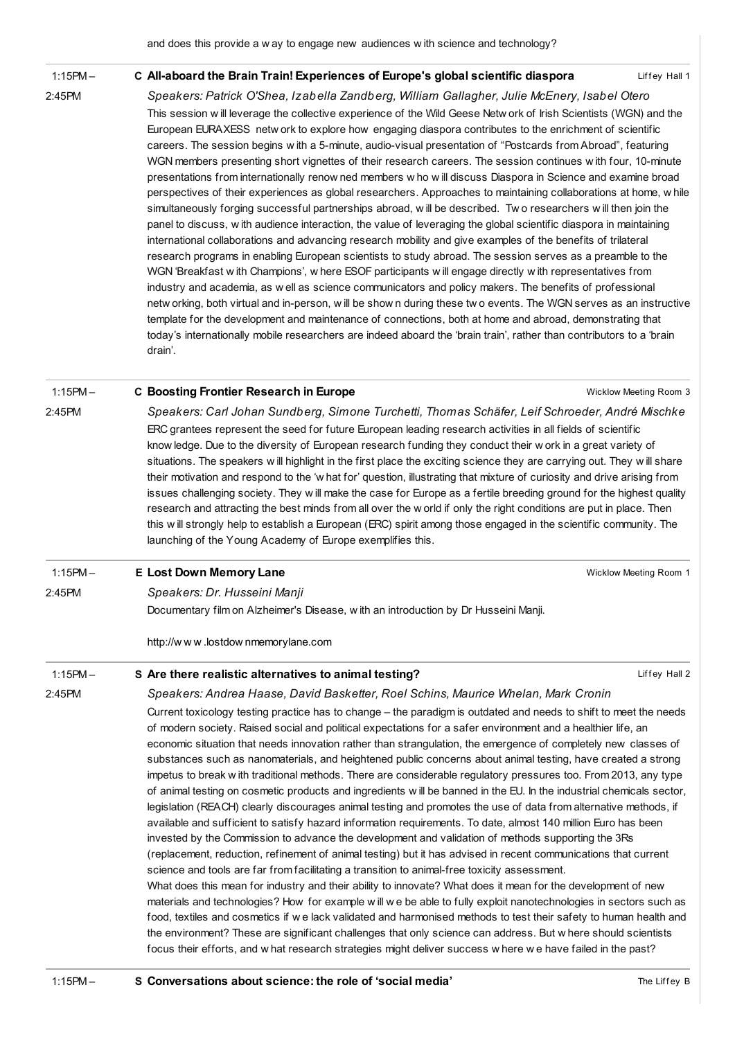#### 1:15PM – C All-aboard the Brain Train! [Experiences](http://esof2012.sched.org/event/496bf029aa8512bb4174159d612a3ae1) of Europe's global scientific diaspora

2:45PM

2:45PM

Speakers: Patrick O'Shea, Izabella Zandberg, William Gallagher, Julie McEnery, Isabel Otero

This session w ill leverage the collective experience of the Wild Geese Netw ork of Irish Scientists (WGN) and the European EURAXESS netw ork to explore how engaging diaspora contributes to the enrichment of scientific careers. The session begins w ith a 5-minute, audio-visual presentation of "Postcards from Abroad", featuring WGN members presenting short vignettes of their research careers. The session continues w ith four, 10-minute presentations from internationally renow ned members w ho w ill discuss Diaspora in Science and examine broad perspectives of their experiences as global researchers. Approaches to maintaining collaborations at home, w hile simultaneously forging successful partnerships abroad, w ill be described. Two researchers will then join the panel to discuss, w ith audience interaction, the value of leveraging the global scientific diaspora in maintaining international collaborations and advancing research mobility and give examples of the benefits of trilateral research programs in enabling European scientists to study abroad. The session serves as a preamble to the WGN 'Breakfast w ith Champions', w here ESOF participants w ill engage directly w ith representatives from industry and academia, as w ell as science communicators and policy makers. The benefits of professional netw orking, both virtual and in-person, w ill be show n during these tw o events. The WGN serves as an instructive template for the development and maintenance of connections, both at home and abroad, demonstrating that today's internationally mobile researchers are indeed aboard the 'brain train', rather than contributors to a 'brain drain'.

#### 1:15PM – C Boosting Frontier [Research](http://esof2012.sched.org/event/9d4706bd18ad8674d5ce3601ae719000) in Europe

Wicklow Meeting Room 3

Liffey Hall 1

Speakers: Carl Johan Sundberg, Simone Turchetti, Thomas Schäfer, Leif Schroeder, André Mischke ERC grantees represent the seed for future European leading research activities in all fields of scientific know ledge. Due to the diversity of European research funding they conduct their w ork in a great variety of situations. The speakers will highlight in the first place the exciting science they are carrying out. They will share their motivation and respond to the 'w hat for' question, illustrating that mixture of curiosity and drive arising from issues challenging society. They w ill make the case for Europe as a fertile breeding ground for the highest quality research and attracting the best minds from all over the w orld if only the right conditions are put in place. Then this w ill strongly help to establish a European (ERC) spirit among those engaged in the scientific community. The launching of the Young Academy of Europe exemplifies this.

| $1:15PM -$ | <b>E</b> Lost Down Memory Lane                                                                                                                                                                                                                                                                                                                                                                                                                                      | Wicklow Meeting Room 1 |
|------------|---------------------------------------------------------------------------------------------------------------------------------------------------------------------------------------------------------------------------------------------------------------------------------------------------------------------------------------------------------------------------------------------------------------------------------------------------------------------|------------------------|
| 2:45PM     | Speakers: Dr. Husseini Manji                                                                                                                                                                                                                                                                                                                                                                                                                                        |                        |
|            | Documentary film on Alzheimer's Disease, with an introduction by Dr Husseini Manji.                                                                                                                                                                                                                                                                                                                                                                                 |                        |
|            | http://www.lostdownmemorylane.com                                                                                                                                                                                                                                                                                                                                                                                                                                   |                        |
| $1:15PM -$ | S Are there realistic alternatives to animal testing?                                                                                                                                                                                                                                                                                                                                                                                                               | Liffey Hall 2          |
| 2:45PM     | Speakers: Andrea Haase, David Basketter, Roel Schins, Maurice Whelan, Mark Cronin                                                                                                                                                                                                                                                                                                                                                                                   |                        |
|            | Current toxicology testing practice has to change – the paradigm is outdated and needs to shift to meet the needs<br>of modern society. Raised social and political expectations for a safer environment and a healthier life, an<br>economic situation that needs innovation rather than strangulation, the emergence of completely new classes of<br>substances such as nanomaterials, and heightened public concerns about animal testing, have created a strong |                        |

impetus to break w ith traditional methods. There are considerable regulatory pressures too. From 2013, any type of animal testing on cosmetic products and ingredients w ill be banned in the EU. In the industrial chemicals sector, legislation (REACH) clearly discourages animal testing and promotes the use of data from alternative methods, if available and sufficient to satisfy hazard information requirements. To date, almost 140 million Euro has been invested by the Commission to advance the development and validation of methods supporting the 3Rs (replacement, reduction, refinement of animal testing) but it has advised in recent communications that current science and tools are far from facilitating a transition to animal-free toxicity assessment. What does this mean for industry and their ability to innovate? What does it mean for the development of new materials and technologies? How for example w ill w e be able to fully exploit nanotechnologies in sectors such as food, textiles and cosmetics if w e lack validated and harmonised methods to test their safety to human health and the environment? These are significant challenges that only science can address. But w here should scientists

focus their efforts, and w hat research strategies might deliver success w here w e have failed in the past?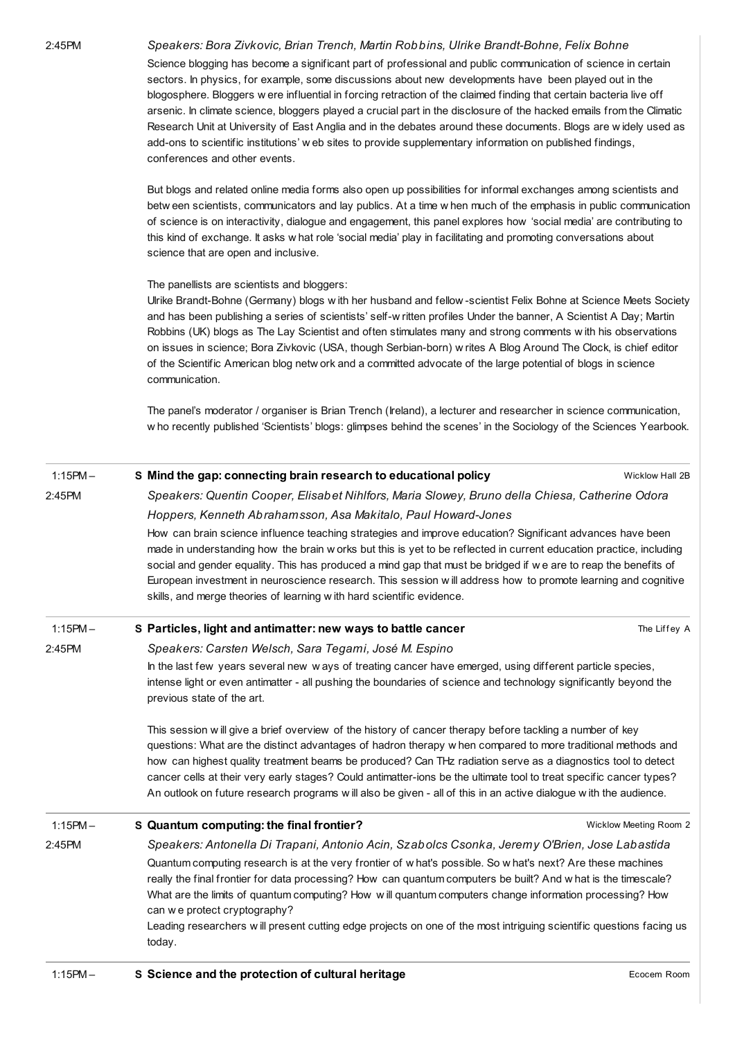2:45PM Speakers: Bora Zivkovic, Brian Trench, Martin Robbins, Ulrike Brandt-Bohne, Felix Bohne

Science blogging has become a significant part of professional and public communication of science in certain sectors. In physics, for example, some discussions about new developments have been played out in the blogosphere. Bloggers w ere influential in forcing retraction of the claimed finding that certain bacteria live off arsenic. In climate science, bloggers played a crucial part in the disclosure of the hacked emails from the Climatic Research Unit at University of East Anglia and in the debates around these documents. Blogs are w idely used as add-ons to scientific institutions' w eb sites to provide supplementary information on published findings, conferences and other events.

But blogs and related online media forms also open up possibilities for informal exchanges among scientists and betw een scientists, communicators and lay publics. At a time w hen much of the emphasis in public communication of science is on interactivity, dialogue and engagement, this panel explores how 'social media' are contributing to this kind of exchange. It asks w hat role 'social media' play in facilitating and promoting conversations about science that are open and inclusive.

The panellists are scientists and bloggers:

Ulrike Brandt-Bohne (Germany) blogs w ith her husband and fellow -scientist Felix Bohne at Science Meets Society and has been publishing a series of scientists' self-w ritten profiles Under the banner, A Scientist A Day; Martin Robbins (UK) blogs as The Lay Scientist and often stimulates many and strong comments w ith his observations on issues in science; Bora Zivkovic (USA, though Serbian-born) w rites A Blog Around The Clock, is chief editor of the Scientific American blog netw ork and a committed advocate of the large potential of blogs in science communication.

The panel's moderator / organiser is Brian Trench (Ireland), a lecturer and researcher in science communication, w ho recently published 'Scientists' blogs: glimpses behind the scenes' in the Sociology of the Sciences Yearbook.

| S Mind the gap: connecting brain research to educational policy                                                                                                                                                                                                                                                                                                                                                                                                                                                                                                                     | Wicklow Hall 2B        |  |
|-------------------------------------------------------------------------------------------------------------------------------------------------------------------------------------------------------------------------------------------------------------------------------------------------------------------------------------------------------------------------------------------------------------------------------------------------------------------------------------------------------------------------------------------------------------------------------------|------------------------|--|
| Speakers: Quentin Cooper, Elisabet Nihlfors, Maria Slowey, Bruno della Chiesa, Catherine Odora                                                                                                                                                                                                                                                                                                                                                                                                                                                                                      |                        |  |
| Hoppers, Kenneth Abrahamsson, Asa Makitalo, Paul Howard-Jones                                                                                                                                                                                                                                                                                                                                                                                                                                                                                                                       |                        |  |
| How can brain science influence teaching strategies and improve education? Significant advances have been<br>made in understanding how the brain w orks but this is yet to be reflected in current education practice, including<br>social and gender equality. This has produced a mind gap that must be bridged if we are to reap the benefits of<br>European investment in neuroscience research. This session will address how to promote learning and cognitive<br>skills, and merge theories of learning with hard scientific evidence.                                       |                        |  |
| S Particles, light and antimatter: new ways to battle cancer                                                                                                                                                                                                                                                                                                                                                                                                                                                                                                                        | The Liffey A           |  |
| Speakers: Carsten Welsch, Sara Tegami, José M. Espino                                                                                                                                                                                                                                                                                                                                                                                                                                                                                                                               |                        |  |
| In the last few years several new ways of treating cancer have emerged, using different particle species,<br>intense light or even antimatter - all pushing the boundaries of science and technology significantly beyond the<br>previous state of the art.                                                                                                                                                                                                                                                                                                                         |                        |  |
| This session will give a brief overview of the history of cancer therapy before tackling a number of key<br>questions: What are the distinct advantages of hadron therapy w hen compared to more traditional methods and<br>how can highest quality treatment beams be produced? Can THz radiation serve as a diagnostics tool to detect<br>cancer cells at their very early stages? Could antimatter-ions be the ultimate tool to treat specific cancer types?<br>An outlook on future research programs will also be given - all of this in an active dialogue with the audience. |                        |  |
| S Quantum computing: the final frontier?                                                                                                                                                                                                                                                                                                                                                                                                                                                                                                                                            | Wicklow Meeting Room 2 |  |
| Speakers: Antonella Di Trapani, Antonio Acin, Szabolcs Csonka, Jeremy O'Brien, Jose Labastida                                                                                                                                                                                                                                                                                                                                                                                                                                                                                       |                        |  |
| Quantum computing research is at the very frontier of what's possible. So what's next? Are these machines<br>really the final frontier for data processing? How can quantum computers be built? And w hat is the timescale?<br>What are the limits of quantum computing? How will quantum computers change information processing? How<br>can we protect cryptography?<br>Leading researchers will present cutting edge projects on one of the most intriguing scientific questions facing us<br>today.                                                                             |                        |  |
|                                                                                                                                                                                                                                                                                                                                                                                                                                                                                                                                                                                     |                        |  |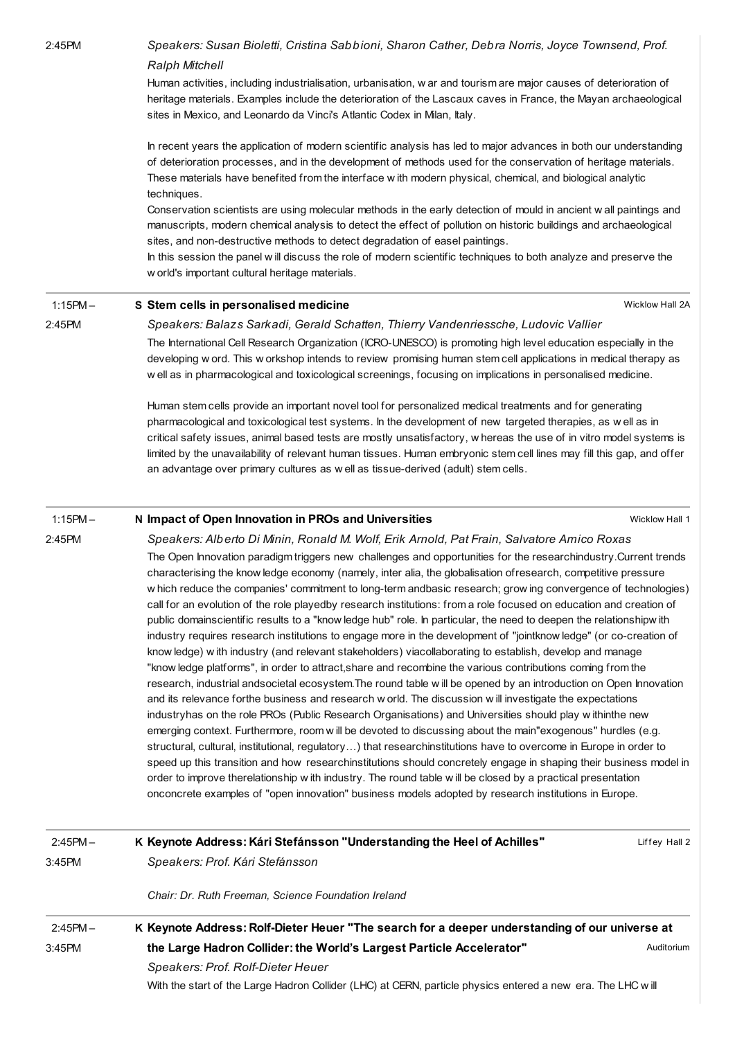2:45PM Speakers: Susan Bioletti, Cristina Sabbioni, Sharon Cather, Debra Norris, Joyce Townsend, Prof. Ralph Mitchell Human activities, including industrialisation, urbanisation, w ar and tourism are major causes of deterioration of heritage materials. Examples include the deterioration of the Lascaux caves in France, the Mayan archaeological sites in Mexico, and Leonardo da Vinci's Atlantic Codex in Milan, Italy. In recent years the application of modern scientific analysis has led to major advances in both our understanding of deterioration processes, and in the development of methods used for the conservation of heritage materials. These materials have benefited from the interface w ith modern physical, chemical, and biological analytic techniques. Conservation scientists are using molecular methods in the early detection of mould in ancient w all paintings and manuscripts, modern chemical analysis to detect the effect of pollution on historic buildings and archaeological sites, and non-destructive methods to detect degradation of easel paintings. In this session the panel w ill discuss the role of modern scientific techniques to both analyze and preserve the w orld's important cultural heritage materials.

1:15PM – S Stem cells in [personalised](http://esof2012.sched.org/event/9f038324dce17c47352e5fbdc5e60ebe) medicine

2:45PM

2:45PM

Wicklow Hall 2A

Speakers: Balazs Sarkadi, Gerald Schatten, Thierry Vandenriessche, Ludovic Vallier The International Cell Research Organization (ICRO-UNESCO) is promoting high level education especially in the developing w ord. This w orkshop intends to review promising human stem cell applications in medical therapy as w ell as in pharmacological and toxicological screenings, focusing on implications in personalised medicine.

Human stem cells provide an important novel tool for personalized medical treatments and for generating pharmacological and toxicological test systems. In the development of new targeted therapies, as w ell as in critical safety issues, animal based tests are mostly unsatisfactory, w hereas the use of in vitro model systems is limited by the unavailability of relevant human tissues. Human embryonic stem cell lines may fill this gap, and offer an advantage over primary cultures as w ell as tissue-derived (adult) stem cells.

#### 1:15PM – N Impact of Open Innovation in PROs and [Universities](http://esof2012.sched.org/event/548e491540a36c364a26f8cf296b7b81)

Wicklow Hall 1

Speakers: Alberto Di Minin, Ronald M. Wolf, Erik Arnold, Pat Frain, Salvatore Amico Roxas The Open Innovation paradigm triggers new challenges and opportunities for the researchindustry.Current trends characterising the know ledge economy (namely, inter alia, the globalisation ofresearch, competitive pressure w hich reduce the companies' commitment to long-term andbasic research; grow ing convergence of technologies) call for an evolution of the role playedby research institutions: from a role focused on education and creation of public domainscientific results to a "know ledge hub" role. In particular, the need to deepen the relationshipw ith industry requires research institutions to engage more in the development of "jointknow ledge" (or co-creation of know ledge) w ith industry (and relevant stakeholders) viacollaborating to establish, develop and manage "know ledge platforms", in order to attract,share and recombine the various contributions coming from the research, industrial andsocietal ecosystem.The round table w ill be opened by an introduction on Open Innovation and its relevance forthe business and research w orld. The discussion w ill investigate the expectations industryhas on the role PROs (Public Research Organisations) and Universities should play w ithinthe new emerging context. Furthermore, room w ill be devoted to discussing about the main"exogenous" hurdles (e.g. structural, cultural, institutional, regulatory…) that researchinstitutions have to overcome in Europe in order to speed up this transition and how researchinstitutions should concretely engage in shaping their business model in order to improve therelationship w ith industry. The round table w ill be closed by a practical presentation onconcrete examples of "open innovation" business models adopted by research institutions in Europe.

| $2:45PM -$ | K Keynote Address: Kári Stefánsson "Understanding the Heel of Achilles"                                     | Liffey Hall 2 |  |
|------------|-------------------------------------------------------------------------------------------------------------|---------------|--|
| $3:45$ PM  | Speakers: Prof. Kári Stefánsson                                                                             |               |  |
|            | Chair: Dr. Ruth Freeman, Science Foundation Ireland                                                         |               |  |
| $2:45PM -$ | K Keynote Address: Rolf-Dieter Heuer "The search for a deeper understanding of our universe at              |               |  |
| $3:45$ PM  | the Large Hadron Collider: the World's Largest Particle Accelerator"                                        | Auditorium    |  |
|            | Speakers: Prof. Rolf-Dieter Heuer                                                                           |               |  |
|            | With the start of the Large Hadron Collider (LHC) at CERN, particle physics entered a new era. The LHC will |               |  |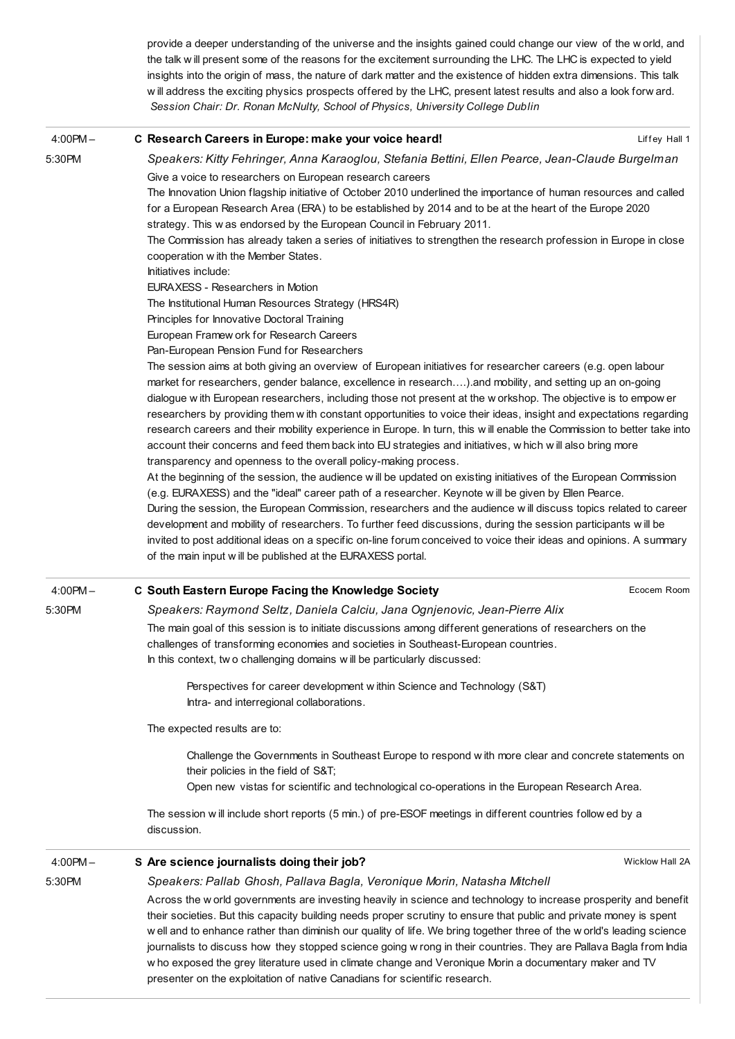provide a deeper understanding of the universe and the insights gained could change our view of the w orld, and the talk w ill present some of the reasons for the excitement surrounding the LHC. The LHC is expected to yield insights into the origin of mass, the nature of dark matter and the existence of hidden extra dimensions. This talk w ill address the exciting physics prospects offered by the LHC, present latest results and also a look forw ard. Session Chair: Dr. Ronan McNulty, School of Physics, University College Dublin

| $4:00PM -$ | C Research Careers in Europe: make your voice heard!                                                                                                                                                                                                                                                                                                                                                                                                                                                                                                                                                                                                                                                                                                                                                                                                                                                                                                                                                                                                                                                                                                                                                                                                                                                                                                                                                                                                                          | Liffey Hall 1   |
|------------|-------------------------------------------------------------------------------------------------------------------------------------------------------------------------------------------------------------------------------------------------------------------------------------------------------------------------------------------------------------------------------------------------------------------------------------------------------------------------------------------------------------------------------------------------------------------------------------------------------------------------------------------------------------------------------------------------------------------------------------------------------------------------------------------------------------------------------------------------------------------------------------------------------------------------------------------------------------------------------------------------------------------------------------------------------------------------------------------------------------------------------------------------------------------------------------------------------------------------------------------------------------------------------------------------------------------------------------------------------------------------------------------------------------------------------------------------------------------------------|-----------------|
| 5:30PM     | Speakers: Kitty Fehringer, Anna Karaoglou, Stefania Bettini, Ellen Pearce, Jean-Claude Burgelman                                                                                                                                                                                                                                                                                                                                                                                                                                                                                                                                                                                                                                                                                                                                                                                                                                                                                                                                                                                                                                                                                                                                                                                                                                                                                                                                                                              |                 |
|            | Give a voice to researchers on European research careers<br>The Innovation Union flagship initiative of October 2010 underlined the importance of human resources and called<br>for a European Research Area (ERA) to be established by 2014 and to be at the heart of the Europe 2020<br>strategy. This w as endorsed by the European Council in February 2011.<br>The Commission has already taken a series of initiatives to strengthen the research profession in Europe in close<br>cooperation with the Member States.<br>Initiatives include:<br>EURAXESS - Researchers in Motion<br>The Institutional Human Resources Strategy (HRS4R)                                                                                                                                                                                                                                                                                                                                                                                                                                                                                                                                                                                                                                                                                                                                                                                                                                |                 |
|            | Principles for Innovative Doctoral Training                                                                                                                                                                                                                                                                                                                                                                                                                                                                                                                                                                                                                                                                                                                                                                                                                                                                                                                                                                                                                                                                                                                                                                                                                                                                                                                                                                                                                                   |                 |
|            | European Framew ork for Research Careers                                                                                                                                                                                                                                                                                                                                                                                                                                                                                                                                                                                                                                                                                                                                                                                                                                                                                                                                                                                                                                                                                                                                                                                                                                                                                                                                                                                                                                      |                 |
|            | Pan-European Pension Fund for Researchers<br>The session aims at both giving an overview of European initiatives for researcher careers (e.g. open labour<br>market for researchers, gender balance, excellence in research) and mobility, and setting up an on-going<br>dialogue with European researchers, including those not present at the workshop. The objective is to empow er<br>researchers by providing them w ith constant opportunities to voice their ideas, insight and expectations regarding<br>research careers and their mobility experience in Europe. In turn, this will enable the Commission to better take into<br>account their concerns and feed them back into EU strategies and initiatives, w hich will also bring more<br>transparency and openness to the overall policy-making process.<br>At the beginning of the session, the audience w ill be updated on existing initiatives of the European Commission<br>(e.g. EURAXESS) and the "ideal" career path of a researcher. Keynote will be given by Ellen Pearce.<br>During the session, the European Commission, researchers and the audience will discuss topics related to career<br>development and mobility of researchers. To further feed discussions, during the session participants will be<br>invited to post additional ideas on a specific on-line forum conceived to voice their ideas and opinions. A summary<br>of the main input will be published at the EURAXESS portal. |                 |
|            |                                                                                                                                                                                                                                                                                                                                                                                                                                                                                                                                                                                                                                                                                                                                                                                                                                                                                                                                                                                                                                                                                                                                                                                                                                                                                                                                                                                                                                                                               | Ecocem Room     |
| $4:00PM -$ | C South Eastern Europe Facing the Knowledge Society                                                                                                                                                                                                                                                                                                                                                                                                                                                                                                                                                                                                                                                                                                                                                                                                                                                                                                                                                                                                                                                                                                                                                                                                                                                                                                                                                                                                                           |                 |
| 5:30PM     | Speakers: Raymond Seltz, Daniela Calciu, Jana Ognjenovic, Jean-Pierre Alix<br>The main goal of this session is to initiate discussions among different generations of researchers on the<br>challenges of transforming economies and societies in Southeast-European countries.<br>In this context, two challenging domains will be particularly discussed:                                                                                                                                                                                                                                                                                                                                                                                                                                                                                                                                                                                                                                                                                                                                                                                                                                                                                                                                                                                                                                                                                                                   |                 |
|            | Perspectives for career development within Science and Technology (S&T)<br>Intra- and interregional collaborations.                                                                                                                                                                                                                                                                                                                                                                                                                                                                                                                                                                                                                                                                                                                                                                                                                                                                                                                                                                                                                                                                                                                                                                                                                                                                                                                                                           |                 |
|            | The expected results are to:                                                                                                                                                                                                                                                                                                                                                                                                                                                                                                                                                                                                                                                                                                                                                                                                                                                                                                                                                                                                                                                                                                                                                                                                                                                                                                                                                                                                                                                  |                 |
|            | Challenge the Governments in Southeast Europe to respond with more clear and concrete statements on<br>their policies in the field of S&T<br>Open new vistas for scientific and technological co-operations in the European Research Area.                                                                                                                                                                                                                                                                                                                                                                                                                                                                                                                                                                                                                                                                                                                                                                                                                                                                                                                                                                                                                                                                                                                                                                                                                                    |                 |
|            | The session will include short reports (5 min.) of pre-ESOF meetings in different countries follow ed by a<br>discussion.                                                                                                                                                                                                                                                                                                                                                                                                                                                                                                                                                                                                                                                                                                                                                                                                                                                                                                                                                                                                                                                                                                                                                                                                                                                                                                                                                     |                 |
| $4:00PM -$ | S Are science journalists doing their job?                                                                                                                                                                                                                                                                                                                                                                                                                                                                                                                                                                                                                                                                                                                                                                                                                                                                                                                                                                                                                                                                                                                                                                                                                                                                                                                                                                                                                                    | Wicklow Hall 2A |
| 5:30PM     | Speakers: Pallab Ghosh, Pallava Bagla, Veronique Morin, Natasha Mitchell                                                                                                                                                                                                                                                                                                                                                                                                                                                                                                                                                                                                                                                                                                                                                                                                                                                                                                                                                                                                                                                                                                                                                                                                                                                                                                                                                                                                      |                 |
|            | Across the w orld governments are investing heavily in science and technology to increase prosperity and benefit<br>their societies. But this capacity building needs proper scrutiny to ensure that public and private money is spent<br>well and to enhance rather than diminish our quality of life. We bring together three of the world's leading science<br>journalists to discuss how they stopped science going w rong in their countries. They are Pallava Bagla from India<br>w ho exposed the grey literature used in climate change and Veronique Morin a documentary maker and TV<br>presenter on the exploitation of native Canadians for scientific research.                                                                                                                                                                                                                                                                                                                                                                                                                                                                                                                                                                                                                                                                                                                                                                                                  |                 |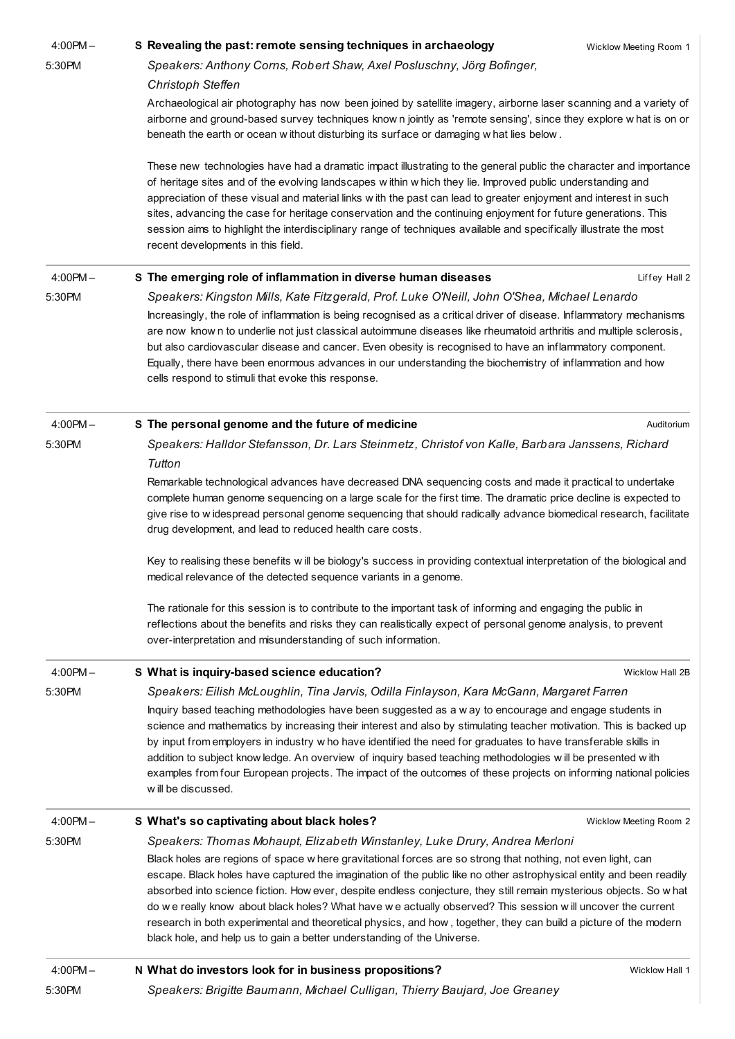| $4:00$ PM $-$ | S Revealing the past: remote sensing techniques in archaeology                                                                                                                                                                                                                                                                                                                                                                                                                                                                                                                                                                                                          | Wicklow Meeting Room 1 |
|---------------|-------------------------------------------------------------------------------------------------------------------------------------------------------------------------------------------------------------------------------------------------------------------------------------------------------------------------------------------------------------------------------------------------------------------------------------------------------------------------------------------------------------------------------------------------------------------------------------------------------------------------------------------------------------------------|------------------------|
| 5:30PM        | Speakers: Anthony Corns, Robert Shaw, Axel Posluschny, Jörg Bofinger,                                                                                                                                                                                                                                                                                                                                                                                                                                                                                                                                                                                                   |                        |
|               | Christoph Steffen                                                                                                                                                                                                                                                                                                                                                                                                                                                                                                                                                                                                                                                       |                        |
|               | Archaeological air photography has now been joined by satellite imagery, airborne laser scanning and a variety of<br>airborne and ground-based survey techniques know n jointly as 'remote sensing', since they explore w hat is on or<br>beneath the earth or ocean without disturbing its surface or damaging what lies below.                                                                                                                                                                                                                                                                                                                                        |                        |
|               | These new technologies have had a dramatic impact illustrating to the general public the character and importance<br>of heritage sites and of the evolving landscapes within which they lie. Improved public understanding and<br>appreciation of these visual and material links w ith the past can lead to greater enjoyment and interest in such<br>sites, advancing the case for heritage conservation and the continuing enjoyment for future generations. This<br>session aims to highlight the interdisciplinary range of techniques available and specifically illustrate the most<br>recent developments in this field.                                        |                        |
| $4:00PM -$    | S The emerging role of inflammation in diverse human diseases                                                                                                                                                                                                                                                                                                                                                                                                                                                                                                                                                                                                           | Liffey Hall 2          |
| 5:30PM        | Speakers: Kingston Mills, Kate Fitzgerald, Prof. Luke O'Neill, John O'Shea, Michael Lenardo                                                                                                                                                                                                                                                                                                                                                                                                                                                                                                                                                                             |                        |
|               | Increasingly, the role of inflammation is being recognised as a critical driver of disease. Inflammatory mechanisms                                                                                                                                                                                                                                                                                                                                                                                                                                                                                                                                                     |                        |
|               | are now know n to underlie not just classical autoimmune diseases like rheumatoid arthritis and multiple sclerosis,<br>but also cardiovascular disease and cancer. Even obesity is recognised to have an inflammatory component.<br>Equally, there have been enormous advances in our understanding the biochemistry of inflammation and how<br>cells respond to stimuli that evoke this response.                                                                                                                                                                                                                                                                      |                        |
| $4:00PM -$    | S The personal genome and the future of medicine                                                                                                                                                                                                                                                                                                                                                                                                                                                                                                                                                                                                                        | Auditorium             |
| 5:30PM        | Speakers: Halldor Stefansson, Dr. Lars Steinmetz, Christof von Kalle, Barbara Janssens, Richard                                                                                                                                                                                                                                                                                                                                                                                                                                                                                                                                                                         |                        |
|               | Tutton                                                                                                                                                                                                                                                                                                                                                                                                                                                                                                                                                                                                                                                                  |                        |
|               | Remarkable technological advances have decreased DNA sequencing costs and made it practical to undertake<br>complete human genome sequencing on a large scale for the first time. The dramatic price decline is expected to<br>give rise to widespread personal genome sequencing that should radically advance biomedical research, facilitate<br>drug development, and lead to reduced health care costs.                                                                                                                                                                                                                                                             |                        |
|               | Key to realising these benefits will be biology's success in providing contextual interpretation of the biological and<br>medical relevance of the detected sequence variants in a genome.                                                                                                                                                                                                                                                                                                                                                                                                                                                                              |                        |
|               | The rationale for this session is to contribute to the important task of informing and engaging the public in<br>reflections about the benefits and risks they can realistically expect of personal genome analysis, to prevent<br>over-interpretation and misunderstanding of such information.                                                                                                                                                                                                                                                                                                                                                                        |                        |
| $4:00PM -$    | S What is inquiry-based science education?                                                                                                                                                                                                                                                                                                                                                                                                                                                                                                                                                                                                                              | Wicklow Hall 2B        |
| 5:30PM        | Speakers: Eilish McLoughlin, Tina Jarvis, Odilla Finlayson, Kara McGann, Margaret Farren                                                                                                                                                                                                                                                                                                                                                                                                                                                                                                                                                                                |                        |
|               | Inquiry based teaching methodologies have been suggested as a w ay to encourage and engage students in<br>science and mathematics by increasing their interest and also by stimulating teacher motivation. This is backed up<br>by input from employers in industry w ho have identified the need for graduates to have transferable skills in<br>addition to subject know ledge. An overview of inquiry based teaching methodologies will be presented with<br>examples from four European projects. The impact of the outcomes of these projects on informing national policies<br>will be discussed.                                                                 |                        |
| $4:00$ PM $-$ | S What's so captivating about black holes?                                                                                                                                                                                                                                                                                                                                                                                                                                                                                                                                                                                                                              | Wicklow Meeting Room 2 |
| 5:30PM        | Speakers: Thomas Mohaupt, Elizabeth Winstanley, Luke Drury, Andrea Merloni                                                                                                                                                                                                                                                                                                                                                                                                                                                                                                                                                                                              |                        |
|               | Black holes are regions of space w here gravitational forces are so strong that nothing, not even light, can<br>escape. Black holes have captured the imagination of the public like no other astrophysical entity and been readily<br>absorbed into science fiction. How ever, despite endless conjecture, they still remain mysterious objects. So w hat<br>do we really know about black holes? What have we actually observed? This session will uncover the current<br>research in both experimental and theoretical physics, and how, together, they can build a picture of the modern<br>black hole, and help us to gain a better understanding of the Universe. |                        |
|               |                                                                                                                                                                                                                                                                                                                                                                                                                                                                                                                                                                                                                                                                         | Wicklow Hall 1         |
| $4:00PM -$    | N What do investors look for in business propositions?                                                                                                                                                                                                                                                                                                                                                                                                                                                                                                                                                                                                                  |                        |
| 5:30PM        | Speakers: Brigitte Baumann, Michael Culligan, Thierry Baujard, Joe Greaney                                                                                                                                                                                                                                                                                                                                                                                                                                                                                                                                                                                              |                        |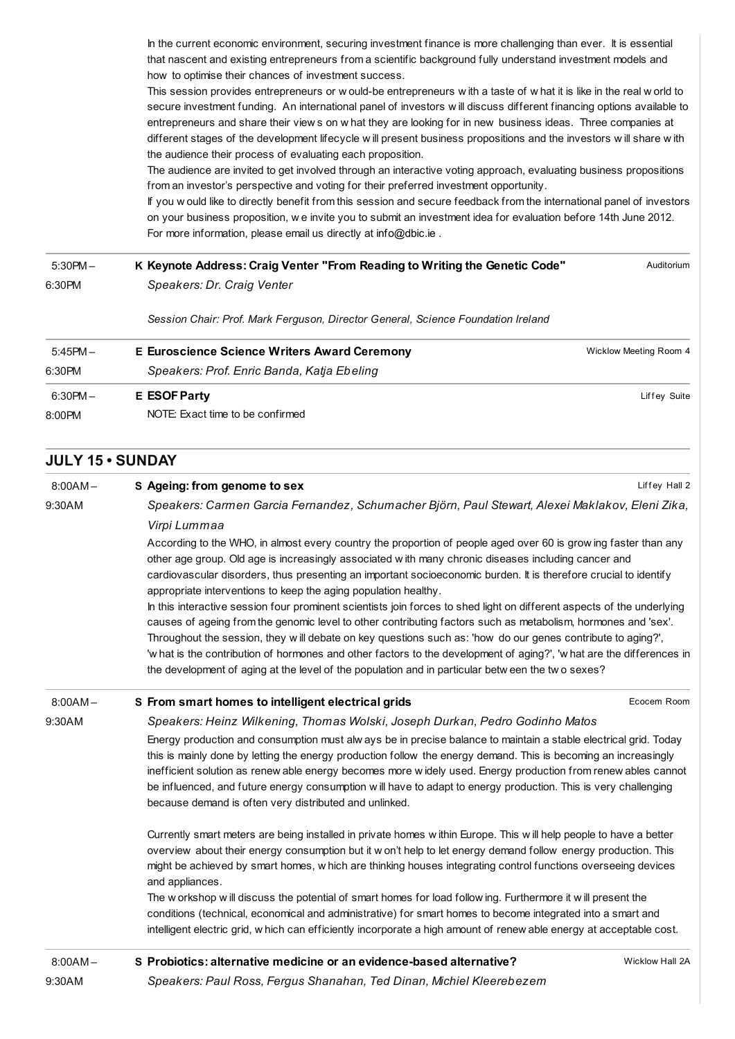In the current economic environment, securing investment finance is more challenging than ever. It is essential that nascent and existing entrepreneurs from a scientific background fully understand investment models and how to optimise their chances of investment success.

This session provides entrepreneurs or w ould-be entrepreneurs w ith a taste of w hat it is like in the real w orld to secure investment funding. An international panel of investors w ill discuss different financing options available to entrepreneurs and share their view s on w hat they are looking for in new business ideas. Three companies at different stages of the development lifecycle w ill present business propositions and the investors w ill share w ith the audience their process of evaluating each proposition.

The audience are invited to get involved through an interactive voting approach, evaluating business propositions from an investor's perspective and voting for their preferred investment opportunity.

If you w ould like to directly benefit from this session and secure feedback from the international panel of investors on your business proposition, w e invite you to submit an investment idea for evaluation before 14th June 2012. For more information, please email us directly at [info@dbic.ie](mailto:info@dbic.ie) .

| $5:30PM -$ | K Keynote Address: Craig Venter "From Reading to Writing the Genetic Code"       | Auditorium             |
|------------|----------------------------------------------------------------------------------|------------------------|
| 6:30PM     | Speakers: Dr. Craig Venter                                                       |                        |
|            | Session Chair: Prof. Mark Ferguson, Director General, Science Foundation Ireland |                        |
| $5:45PM -$ | <b>E Euroscience Science Writers Award Ceremony</b>                              | Wicklow Meeting Room 4 |
| 6:30PM     | Speakers: Prof. Enric Banda, Katja Ebeling                                       |                        |
| $6:30PM -$ | <b>E</b> ESOF Party                                                              | Liffey Suite           |
| 8:00PM     | NOTE: Exact time to be confirmed                                                 |                        |

## JULY 15 • SUNDAY

| $8:00AM -$ | S Ageing: from genome to sex                                                                                                                                                                                                                                                                                                                                                                                                                                                                                                                                                                                                                                                                                                                                                                                                                                                                                                                                                                          | Liffey Hall 2   |  |
|------------|-------------------------------------------------------------------------------------------------------------------------------------------------------------------------------------------------------------------------------------------------------------------------------------------------------------------------------------------------------------------------------------------------------------------------------------------------------------------------------------------------------------------------------------------------------------------------------------------------------------------------------------------------------------------------------------------------------------------------------------------------------------------------------------------------------------------------------------------------------------------------------------------------------------------------------------------------------------------------------------------------------|-----------------|--|
| 9:30AM     | Speakers: Carmen Garcia Fernandez, Schumacher Björn, Paul Stewart, Alexei Maklakov, Eleni Zika,                                                                                                                                                                                                                                                                                                                                                                                                                                                                                                                                                                                                                                                                                                                                                                                                                                                                                                       |                 |  |
|            | Virpi Lummaa                                                                                                                                                                                                                                                                                                                                                                                                                                                                                                                                                                                                                                                                                                                                                                                                                                                                                                                                                                                          |                 |  |
|            | According to the WHO, in almost every country the proportion of people aged over 60 is grow ing faster than any<br>other age group. Old age is increasingly associated with many chronic diseases including cancer and<br>cardiovascular disorders, thus presenting an important socioeconomic burden. It is therefore crucial to identify<br>appropriate interventions to keep the aging population healthy.<br>In this interactive session four prominent scientists join forces to shed light on different aspects of the underlying<br>causes of ageing from the genomic level to other contributing factors such as metabolism, hormones and 'sex'.<br>Throughout the session, they will debate on key questions such as: 'how do our genes contribute to aging?',<br>'w hat is the contribution of hormones and other factors to the development of aging?', 'w hat are the differences in<br>the development of aging at the level of the population and in particular betw een the two sexes? |                 |  |
| $8:00AM -$ | S From smart homes to intelligent electrical grids                                                                                                                                                                                                                                                                                                                                                                                                                                                                                                                                                                                                                                                                                                                                                                                                                                                                                                                                                    | Ecocem Room     |  |
| 9:30AM     | Speakers: Heinz Wilkening, Thomas Wolski, Joseph Durkan, Pedro Godinho Matos                                                                                                                                                                                                                                                                                                                                                                                                                                                                                                                                                                                                                                                                                                                                                                                                                                                                                                                          |                 |  |
|            | Energy production and consumption must alw ays be in precise balance to maintain a stable electrical grid. Today<br>this is mainly done by letting the energy production follow the energy demand. This is becoming an increasingly<br>inefficient solution as renew able energy becomes more widely used. Energy production from renew ables cannot<br>be influenced, and future energy consumption will have to adapt to energy production. This is very challenging<br>because demand is often very distributed and unlinked.                                                                                                                                                                                                                                                                                                                                                                                                                                                                      |                 |  |
|            | Currently smart meters are being installed in private homes within Europe. This will help people to have a better<br>overview about their energy consumption but it w on't help to let energy demand follow energy production. This<br>might be achieved by smart homes, w hich are thinking houses integrating control functions overseeing devices<br>and appliances.<br>The workshop will discuss the potential of smart homes for load following. Furthermore it will present the<br>conditions (technical, economical and administrative) for smart homes to become integrated into a smart and<br>intelligent electric grid, w hich can efficiently incorporate a high amount of renew able energy at acceptable cost.                                                                                                                                                                                                                                                                          |                 |  |
| $8:00AM -$ | S Probiotics: alternative medicine or an evidence-based alternative?                                                                                                                                                                                                                                                                                                                                                                                                                                                                                                                                                                                                                                                                                                                                                                                                                                                                                                                                  | Wicklow Hall 2A |  |

Speakers: Paul Ross, Fergus Shanahan, Ted Dinan, Michiel Kleerebezem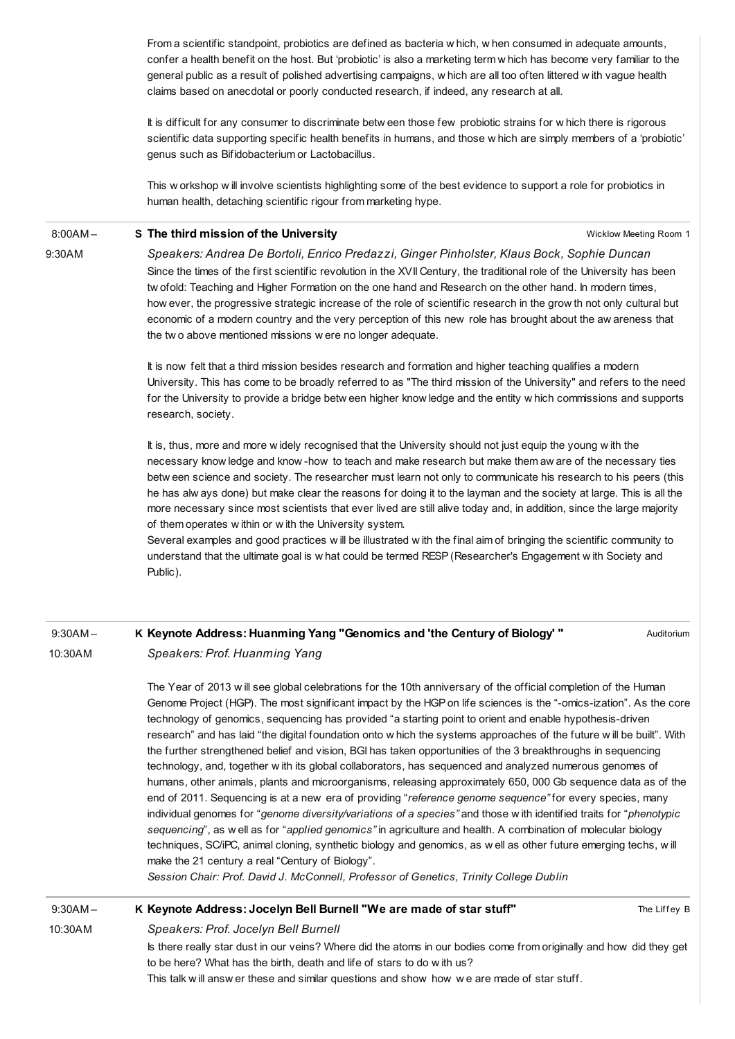From a scientific standpoint, probiotics are defined as bacteria w hich, w hen consumed in adequate amounts, confer a health benefit on the host. But 'probiotic' is also a marketing term w hich has become very familiar to the general public as a result of polished advertising campaigns, w hich are all too often littered w ith vague health claims based on anecdotal or poorly conducted research, if indeed, any research at all.

It is difficult for any consumer to discriminate betw een those few probiotic strains for w hich there is rigorous scientific data supporting specific health benefits in humans, and those w hich are simply members of a 'probiotic' genus such as Bifidobacterium or Lactobacillus.

This w orkshop w ill involve scientists highlighting some of the best evidence to support a role for probiotics in human health, detaching scientific rigour from marketing hype.

#### 8:00AM – S The third mission of the [University](http://esof2012.sched.org/event/73ef852a70da1da3e67e9820437db616)

9:30AM

Wicklow Meeting Room 1

Speakers: Andrea De Bortoli, Enrico Predazzi, Ginger Pinholster, Klaus Bock, Sophie Duncan Since the times of the first scientific revolution in the XVII Century, the traditional role of the University has been tw ofold: Teaching and Higher Formation on the one hand and Research on the other hand. In modern times, how ever, the progressive strategic increase of the role of scientific research in the grow th not only cultural but economic of a modern country and the very perception of this new role has brought about the aw areness that the tw o above mentioned missions w ere no longer adequate.

It is now felt that a third mission besides research and formation and higher teaching qualifies a modern University. This has come to be broadly referred to as "The third mission of the University" and refers to the need for the University to provide a bridge betw een higher know ledge and the entity w hich commissions and supports research, society.

It is, thus, more and more w idely recognised that the University should not just equip the young w ith the necessary know ledge and know -how to teach and make research but make them aw are of the necessary ties betw een science and society. The researcher must learn not only to communicate his research to his peers (this he has alw ays done) but make clear the reasons for doing it to the layman and the society at large. This is all the more necessary since most scientists that ever lived are still alive today and, in addition, since the large majority of them operates w ithin or w ith the University system.

Several examples and good practices w ill be illustrated w ith the final aim of bringing the scientific community to understand that the ultimate goal is w hat could be termed RESP(Researcher's Engagement w ith Society and Public).

### 9:30AM – 10:30AM K Keynote Address: Huanming Yang ["Genomics](http://esof2012.sched.org/event/b50dfd1191f43e1e312c183f9df896f5) and 'the Century of Biology' " Speakers: Prof. Huanming Yang

Auditorium

The Year of 2013 w ill see global celebrations for the 10th anniversary of the official completion of the Human Genome Project (HGP). The most significant impact by the HGPon life sciences is the "-omics-ization". As the core technology of genomics, sequencing has provided "a starting point to orient and enable hypothesis-driven research" and has laid "the digital foundation onto w hich the systems approaches of the future w ill be built". With the further strengthened belief and vision, BGI has taken opportunities of the 3 breakthroughs in sequencing technology, and, together w ith its global collaborators, has sequenced and analyzed numerous genomes of humans, other animals, plants and microorganisms, releasing approximately 650, 000 Gb sequence data as of the end of 2011. Sequencing is at a new era of providing "reference genome sequence" for every species, many individual genomes for "genome diversity/variations of a species" and those w ith identified traits for "phenotypic sequencing", as w ell as for "applied genomics" in agriculture and health. A combination of molecular biology techniques, SC/iPC, animal cloning, synthetic biology and genomics, as w ell as other future emerging techs, w ill make the 21 century a real "Century of Biology".

Session Chair: Prof. David J. McConnell, Professor of Genetics, Trinity College Dublin

9:30AM –

## K Keynote [Address:](http://esof2012.sched.org/event/a7991211029d64a104d3075d3e671071) Jocelyn Bell Burnell "We are made of star stuff"

The Liffey B

10:30AM

Speakers: Prof. Jocelyn Bell Burnell Is there really star dust in our veins? Where did the atoms in our bodies come from originally and how did they get to be here? What has the birth, death and life of stars to do w ith us? This talk w ill answ er these and similar questions and show how w e are made of star stuff.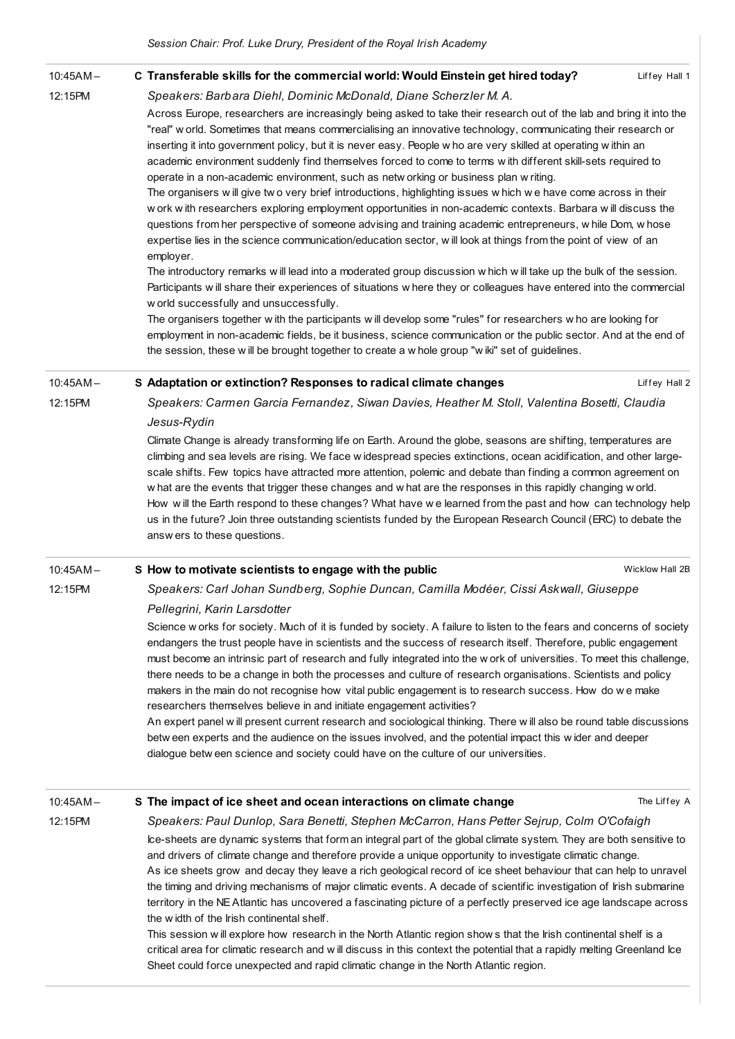| $10:45AM -$ | C Transferable skills for the commercial world: Would Einstein get hired today?<br>Liffey Hall 1                                                                                                                                                                                                                                                                                                                                                                                                                                                                                                                                                                                                                                                                                                                                                                                                                                                                                                                                                                                                                                                                                                                                                                                                                                                                                                                                                                                                                                                                                                                                                                        |
|-------------|-------------------------------------------------------------------------------------------------------------------------------------------------------------------------------------------------------------------------------------------------------------------------------------------------------------------------------------------------------------------------------------------------------------------------------------------------------------------------------------------------------------------------------------------------------------------------------------------------------------------------------------------------------------------------------------------------------------------------------------------------------------------------------------------------------------------------------------------------------------------------------------------------------------------------------------------------------------------------------------------------------------------------------------------------------------------------------------------------------------------------------------------------------------------------------------------------------------------------------------------------------------------------------------------------------------------------------------------------------------------------------------------------------------------------------------------------------------------------------------------------------------------------------------------------------------------------------------------------------------------------------------------------------------------------|
| 12:15PM     | Speakers: Barbara Diehl, Dominic McDonald, Diane Scherzler M. A.                                                                                                                                                                                                                                                                                                                                                                                                                                                                                                                                                                                                                                                                                                                                                                                                                                                                                                                                                                                                                                                                                                                                                                                                                                                                                                                                                                                                                                                                                                                                                                                                        |
|             | Across Europe, researchers are increasingly being asked to take their research out of the lab and bring it into the<br>"real" w orld. Sometimes that means commercialising an innovative technology, communicating their research or<br>inserting it into government policy, but it is never easy. People w ho are very skilled at operating w ithin an<br>academic environment suddenly find themselves forced to come to terms with different skill-sets required to<br>operate in a non-academic environment, such as netw orking or business plan w riting.<br>The organisers will give two very brief introductions, highlighting issues which we have come across in their<br>w ork with researchers exploring employment opportunities in non-academic contexts. Barbara will discuss the<br>questions from her perspective of someone advising and training academic entrepreneurs, w hile Dom, w hose<br>expertise lies in the science communication/education sector, will look at things from the point of view of an<br>employer.<br>The introductory remarks will lead into a moderated group discussion w hich will take up the bulk of the session.<br>Participants will share their experiences of situations where they or colleagues have entered into the commercial<br>w orld successfully and unsuccessfully.<br>The organisers together with the participants will develop some "rules" for researchers who are looking for<br>employment in non-academic fields, be it business, science communication or the public sector. And at the end of<br>the session, these will be brought together to create a w hole group "wiki" set of guidelines. |
|             |                                                                                                                                                                                                                                                                                                                                                                                                                                                                                                                                                                                                                                                                                                                                                                                                                                                                                                                                                                                                                                                                                                                                                                                                                                                                                                                                                                                                                                                                                                                                                                                                                                                                         |
| $10:45AM -$ | S Adaptation or extinction? Responses to radical climate changes<br>Liffey Hall 2                                                                                                                                                                                                                                                                                                                                                                                                                                                                                                                                                                                                                                                                                                                                                                                                                                                                                                                                                                                                                                                                                                                                                                                                                                                                                                                                                                                                                                                                                                                                                                                       |
| 12:15PM     | Speakers: Carmen Garcia Fernandez, Siwan Davies, Heather M. Stoll, Valentina Bosetti, Claudia                                                                                                                                                                                                                                                                                                                                                                                                                                                                                                                                                                                                                                                                                                                                                                                                                                                                                                                                                                                                                                                                                                                                                                                                                                                                                                                                                                                                                                                                                                                                                                           |
|             | Jesus-Rydin                                                                                                                                                                                                                                                                                                                                                                                                                                                                                                                                                                                                                                                                                                                                                                                                                                                                                                                                                                                                                                                                                                                                                                                                                                                                                                                                                                                                                                                                                                                                                                                                                                                             |
|             | Climate Change is already transforming life on Earth. Around the globe, seasons are shifting, temperatures are<br>climbing and sea levels are rising. We face w idespread species extinctions, ocean acidification, and other large-<br>scale shifts. Few topics have attracted more attention, polemic and debate than finding a common agreement on<br>w hat are the events that trigger these changes and w hat are the responses in this rapidly changing w orld.<br>How will the Earth respond to these changes? What have we learned from the past and how can technology help<br>us in the future? Join three outstanding scientists funded by the European Research Council (ERC) to debate the<br>answers to these questions.                                                                                                                                                                                                                                                                                                                                                                                                                                                                                                                                                                                                                                                                                                                                                                                                                                                                                                                                  |
| $10:45AM -$ | S How to motivate scientists to engage with the public<br>Wicklow Hall 2B                                                                                                                                                                                                                                                                                                                                                                                                                                                                                                                                                                                                                                                                                                                                                                                                                                                                                                                                                                                                                                                                                                                                                                                                                                                                                                                                                                                                                                                                                                                                                                                               |
| 12:15PM     | Speakers: Carl Johan Sundberg, Sophie Duncan, Camilla Modéer, Cissi Askwall, Giuseppe                                                                                                                                                                                                                                                                                                                                                                                                                                                                                                                                                                                                                                                                                                                                                                                                                                                                                                                                                                                                                                                                                                                                                                                                                                                                                                                                                                                                                                                                                                                                                                                   |
|             | Pellegrini, Karin Larsdotter                                                                                                                                                                                                                                                                                                                                                                                                                                                                                                                                                                                                                                                                                                                                                                                                                                                                                                                                                                                                                                                                                                                                                                                                                                                                                                                                                                                                                                                                                                                                                                                                                                            |
|             | Science w orks for society. Much of it is funded by society. A failure to listen to the fears and concerns of society<br>endangers the trust people have in scientists and the success of research itself. Therefore, public engagement<br>must become an intrinsic part of research and fully integrated into the work of universities. To meet this challenge,<br>there needs to be a change in both the processes and culture of research organisations. Scientists and policy                                                                                                                                                                                                                                                                                                                                                                                                                                                                                                                                                                                                                                                                                                                                                                                                                                                                                                                                                                                                                                                                                                                                                                                       |

makers in the main do not recognise how vital public engagement is to research success. How do w e make researchers themselves believe in and initiate engagement activities? An expert panel w ill present current research and sociological thinking. There w ill also be round table discussions betw een experts and the audience on the issues involved, and the potential impact this w ider and deeper

dialogue betw een science and society could have on the culture of our universities.

10:45AM –

S The impact of ice sheet and ocean [interactions](http://esof2012.sched.org/event/9e44d973474f96fa4737235442940b55) on climate change

The Liffey A

12:15PM Speakers: Paul Dunlop, Sara Benetti, Stephen McCarron, Hans Petter Sejrup, Colm O'Cofaigh Ice-sheets are dynamic systems that form an integral part of the global climate system. They are both sensitive to and drivers of climate change and therefore provide a unique opportunity to investigate climatic change. As ice sheets grow and decay they leave a rich geological record of ice sheet behaviour that can help to unravel the timing and driving mechanisms of major climatic events. A decade of scientific investigation of Irish submarine territory in the NEAtlantic has uncovered a fascinating picture of a perfectly preserved ice age landscape across the w idth of the Irish continental shelf. This session w ill explore how research in the North Atlantic region show s that the Irish continental shelf is a

critical area for climatic research and w ill discuss in this context the potential that a rapidly melting Greenland Ice Sheet could force unexpected and rapid climatic change in the North Atlantic region.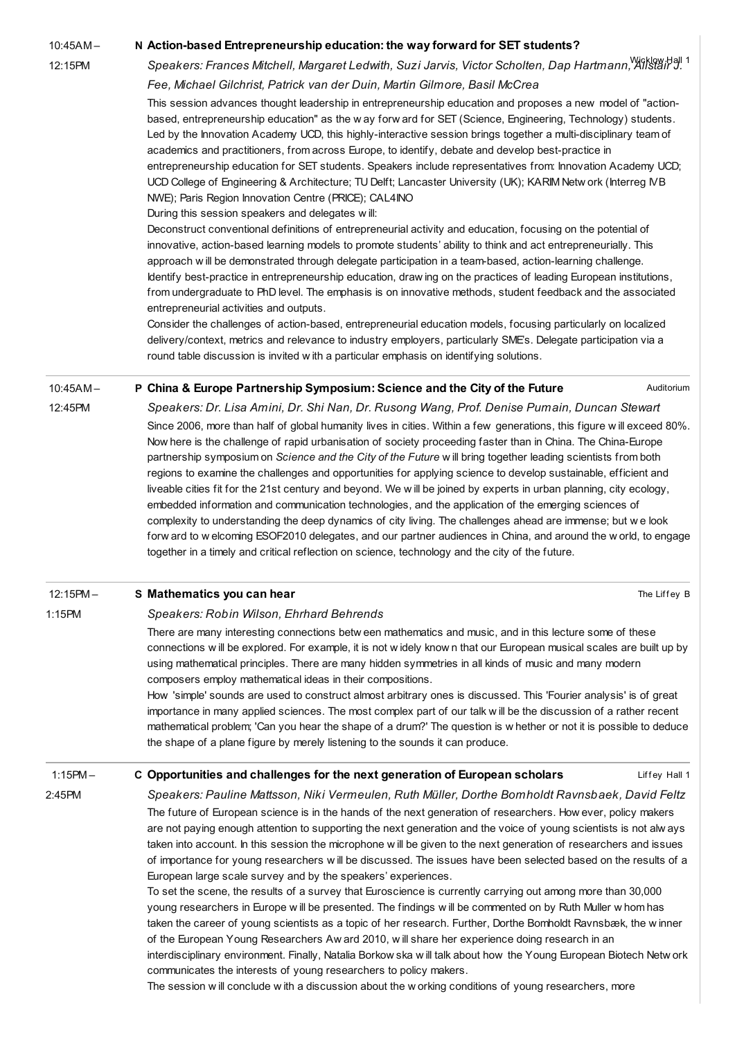#### 10:45AM – N Action-based [Entrepreneurship](http://esof2012.sched.org/event/678baf605e3c381cd25f162796338447) education: the way forward for SET students?

12:15PM

## Speakers: Frances Mitchell, Margaret Ledwith, Suzi Jarvis, Victor Scholten, Dap Hartmann, Allstair J. 1 Fee, Michael Gilchrist, Patrick van der Duin, Martin Gilmore, Basil McCrea

This session advances thought leadership in entrepreneurship education and proposes a new model of "actionbased, entrepreneurship education" as the w ay forw ard for SET (Science, Engineering, Technology) students. Led by the Innovation Academy UCD, this highly-interactive session brings together a multi-disciplinary team of academics and practitioners, from across Europe, to identify, debate and develop best-practice in entrepreneurship education for SET students. Speakers include representatives from: Innovation Academy UCD; UCD College of Engineering & Architecture; TU Delft; Lancaster University (UK); KARIM Netw ork (Interreg IVB NWE); Paris Region Innovation Centre (PRICE); CAL4INO

During this session speakers and delegates w ill:

Deconstruct conventional definitions of entrepreneurial activity and education, focusing on the potential of innovative, action-based learning models to promote students' ability to think and act entrepreneurially. This approach w ill be demonstrated through delegate participation in a team-based, action-learning challenge. Identify best-practice in entrepreneurship education, draw ing on the practices of leading European institutions, from undergraduate to PhD level. The emphasis is on innovative methods, student feedback and the associated entrepreneurial activities and outputs.

Consider the challenges of action-based, entrepreneurial education models, focusing particularly on localized delivery/context, metrics and relevance to industry employers, particularly SME's. Delegate participation via a round table discussion is invited w ith a particular emphasis on identifying solutions.

Auditorium

The Liffey B

Liffey Hall 1

10:45AM – P China & Europe Partnership [Symposium:](http://esof2012.sched.org/event/78fc31435dca6e6adce6e669b0ed21f1) Science and the City of the Future

> Speakers: Dr. Lisa Amini, Dr. Shi Nan, Dr. Rusong Wang, Prof. Denise Pumain, Duncan Stewart Since 2006, more than half of global humanity lives in cities. Within a few generations, this figure will exceed 80%. Now here is the challenge of rapid urbanisation of society proceeding faster than in China. The China-Europe partnership symposium on Science and the City of the Future w ill bring together leading scientists from both regions to examine the challenges and opportunities for applying science to develop sustainable, efficient and liveable cities fit for the 21st century and beyond. We w ill be joined by experts in urban planning, city ecology, embedded information and communication technologies, and the application of the emerging sciences of complexity to understanding the deep dynamics of city living. The challenges ahead are immense; but w e look forw ard to w elcoming ESOF2010 delegates, and our partner audiences in China, and around the w orld, to engage together in a timely and critical reflection on science, technology and the city of the future.

#### $12:15PM -$ S [Mathematics](http://esof2012.sched.org/event/97c6116c50db05f8eb58f5fef80ed3d2) you can hear

1:15PM

12:45PM

## Speakers: Robin Wilson, Ehrhard Behrends

There are many interesting connections betw een mathematics and music, and in this lecture some of these connections w ill be explored. For example, it is not w idely know n that our European musical scales are built up by using mathematical principles. There are many hidden symmetries in all kinds of music and many modern composers employ mathematical ideas in their compositions.

How 'simple' sounds are used to construct almost arbitrary ones is discussed. This 'Fourier analysis' is of great importance in many applied sciences. The most complex part of our talk w ill be the discussion of a rather recent mathematical problem; 'Can you hear the shape of a drum?' The question is w hether or not it is possible to deduce the shape of a plane figure by merely listening to the sounds it can produce.

#### 1:15PM – C [Opportunities](http://esof2012.sched.org/event/6c3d6a1b90f90ce19e82127274055324) and challenges for the next generation of European scholars

2:45PM

Speakers: Pauline Mattsson, Niki Vermeulen, Ruth Müller, Dorthe Bomholdt Ravnsbaek, David Feltz The future of European science is in the hands of the next generation of researchers. How ever, policy makers are not paying enough attention to supporting the next generation and the voice of young scientists is not alw ays taken into account. In this session the microphone w ill be given to the next generation of researchers and issues of importance for young researchers w ill be discussed. The issues have been selected based on the results of a European large scale survey and by the speakers' experiences.

To set the scene, the results of a survey that Euroscience is currently carrying out among more than 30,000 young researchers in Europe w ill be presented. The findings w ill be commented on by Ruth Muller w hom has taken the career of young scientists as a topic of her research. Further, Dorthe Bomholdt Ravnsbæk, the w inner of the European Young Researchers Aw ard 2010, w ill share her experience doing research in an interdisciplinary environment. Finally, Natalia Borkow ska w ill talk about how the Young European Biotech Netw ork communicates the interests of young researchers to policy makers.

The session w ill conclude w ith a discussion about the w orking conditions of young researchers, more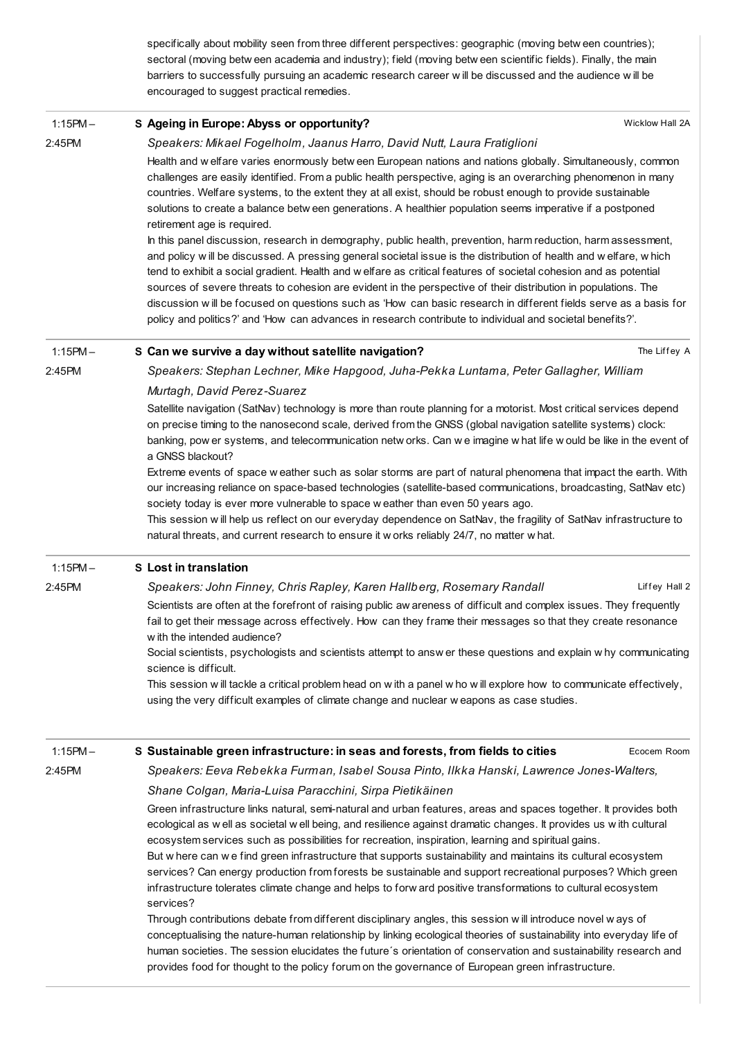specifically about mobility seen from three different perspectives: geographic (moving betw een countries); sectoral (moving betw een academia and industry); field (moving betw een scientific fields). Finally, the main barriers to successfully pursuing an academic research career w ill be discussed and the audience w ill be encouraged to suggest practical remedies.

| $1:15PM -$ | S Ageing in Europe: Abyss or opportunity?                                                                                                                                                                                                                                                                                                                                                                                                                                                                                                                                                                                                                                                                                                                                                                                                                                                                                                                                                                                                                                                                                                                                                                                                                                          | Wicklow Hall 2A |
|------------|------------------------------------------------------------------------------------------------------------------------------------------------------------------------------------------------------------------------------------------------------------------------------------------------------------------------------------------------------------------------------------------------------------------------------------------------------------------------------------------------------------------------------------------------------------------------------------------------------------------------------------------------------------------------------------------------------------------------------------------------------------------------------------------------------------------------------------------------------------------------------------------------------------------------------------------------------------------------------------------------------------------------------------------------------------------------------------------------------------------------------------------------------------------------------------------------------------------------------------------------------------------------------------|-----------------|
| 2:45PM     | Speakers: Mikael Fogelholm, Jaanus Harro, David Nutt, Laura Fratiglioni<br>Health and w elfare varies enormously betw een European nations and nations globally. Simultaneously, common<br>challenges are easily identified. From a public health perspective, aging is an overarching phenomenon in many<br>countries. Welfare systems, to the extent they at all exist, should be robust enough to provide sustainable<br>solutions to create a balance betw een generations. A healthier population seems imperative if a postponed<br>retirement age is required.<br>In this panel discussion, research in demography, public health, prevention, harm reduction, harm assessment,<br>and policy will be discussed. A pressing general societal issue is the distribution of health and welfare, which<br>tend to exhibit a social gradient. Health and w elfare as critical features of societal cohesion and as potential<br>sources of severe threats to cohesion are evident in the perspective of their distribution in populations. The<br>discussion will be focused on questions such as 'How can basic research in different fields serve as a basis for<br>policy and politics?' and 'How can advances in research contribute to individual and societal benefits?'. |                 |
| $1:15PM -$ | S Can we survive a day without satellite navigation?                                                                                                                                                                                                                                                                                                                                                                                                                                                                                                                                                                                                                                                                                                                                                                                                                                                                                                                                                                                                                                                                                                                                                                                                                               | The Liffey A    |
| 2:45PM     | Speakers: Stephan Lechner, Mike Hapgood, Juha-Pekka Luntama, Peter Gallagher, William                                                                                                                                                                                                                                                                                                                                                                                                                                                                                                                                                                                                                                                                                                                                                                                                                                                                                                                                                                                                                                                                                                                                                                                              |                 |
|            | Murtagh, David Perez-Suarez                                                                                                                                                                                                                                                                                                                                                                                                                                                                                                                                                                                                                                                                                                                                                                                                                                                                                                                                                                                                                                                                                                                                                                                                                                                        |                 |
|            | Satellite navigation (SatNav) technology is more than route planning for a motorist. Most critical services depend<br>on precise timing to the nanosecond scale, derived from the GNSS (global navigation satellite systems) clock:<br>banking, pow er systems, and telecommunication netw orks. Can we imagine w hat life w ould be like in the event of<br>a GNSS blackout?                                                                                                                                                                                                                                                                                                                                                                                                                                                                                                                                                                                                                                                                                                                                                                                                                                                                                                      |                 |
|            | Extreme events of space w eather such as solar storms are part of natural phenomena that impact the earth. With<br>our increasing reliance on space-based technologies (satellite-based communications, broadcasting, SatNav etc)<br>society today is ever more vulnerable to space w eather than even 50 years ago.<br>This session will help us reflect on our everyday dependence on SatNav, the fragility of SatNav infrastructure to<br>natural threats, and current research to ensure it w orks reliably 24/7, no matter w hat.                                                                                                                                                                                                                                                                                                                                                                                                                                                                                                                                                                                                                                                                                                                                             |                 |
| $1:15PM -$ | <b>S</b> Lost in translation                                                                                                                                                                                                                                                                                                                                                                                                                                                                                                                                                                                                                                                                                                                                                                                                                                                                                                                                                                                                                                                                                                                                                                                                                                                       |                 |
| 2:45PM     | Speakers: John Finney, Chris Rapley, Karen Hallberg, Rosemary Randall                                                                                                                                                                                                                                                                                                                                                                                                                                                                                                                                                                                                                                                                                                                                                                                                                                                                                                                                                                                                                                                                                                                                                                                                              | Liffey Hall 2   |
|            | Scientists are often at the forefront of raising public aw areness of difficult and complex issues. They frequently<br>fail to get their message across effectively. How can they frame their messages so that they create resonance<br>with the intended audience?<br>Social scientists, psychologists and scientists attempt to answer these questions and explain why communicating                                                                                                                                                                                                                                                                                                                                                                                                                                                                                                                                                                                                                                                                                                                                                                                                                                                                                             |                 |
|            | science is difficult.                                                                                                                                                                                                                                                                                                                                                                                                                                                                                                                                                                                                                                                                                                                                                                                                                                                                                                                                                                                                                                                                                                                                                                                                                                                              |                 |
|            | This session will tackle a critical problem head on with a panel w ho will explore how to communicate effectively,<br>using the very difficult examples of climate change and nuclear w eapons as case studies.                                                                                                                                                                                                                                                                                                                                                                                                                                                                                                                                                                                                                                                                                                                                                                                                                                                                                                                                                                                                                                                                    |                 |
| $1:15PM -$ | S Sustainable green infrastructure: in seas and forests, from fields to cities                                                                                                                                                                                                                                                                                                                                                                                                                                                                                                                                                                                                                                                                                                                                                                                                                                                                                                                                                                                                                                                                                                                                                                                                     | Ecocem Room     |
| 2:45PM     | Speakers: Eeva Rebekka Furman, Isabel Sousa Pinto, Ilkka Hanski, Lawrence Jones-Walters,                                                                                                                                                                                                                                                                                                                                                                                                                                                                                                                                                                                                                                                                                                                                                                                                                                                                                                                                                                                                                                                                                                                                                                                           |                 |
|            | Shane Colgan, Maria-Luisa Paracchini, Sirpa Pietikäinen                                                                                                                                                                                                                                                                                                                                                                                                                                                                                                                                                                                                                                                                                                                                                                                                                                                                                                                                                                                                                                                                                                                                                                                                                            |                 |
|            | Green infrastructure links natural, semi-natural and urban features, areas and spaces together. It provides both<br>ecological as well as societal well being, and resilience against dramatic changes. It provides us with cultural<br>ecosystem services such as possibilities for recreation, inspiration, learning and spiritual gains.<br>But w here can w e find green infrastructure that supports sustainability and maintains its cultural ecosystem<br>services? Can energy production from forests be sustainable and support recreational purposes? Which green<br>infrastructure tolerates climate change and helps to forw ard positive transformations to cultural ecosystem<br>services?                                                                                                                                                                                                                                                                                                                                                                                                                                                                                                                                                                           |                 |
|            | Through contributions debate from different disciplinary angles, this session will introduce novel ways of<br>conceptualising the nature-human relationship by linking ecological theories of sustainability into everyday life of<br>human societies. The session elucidates the future's orientation of conservation and sustainability research and<br>provides food for thought to the policy forum on the governance of European green infrastructure.                                                                                                                                                                                                                                                                                                                                                                                                                                                                                                                                                                                                                                                                                                                                                                                                                        |                 |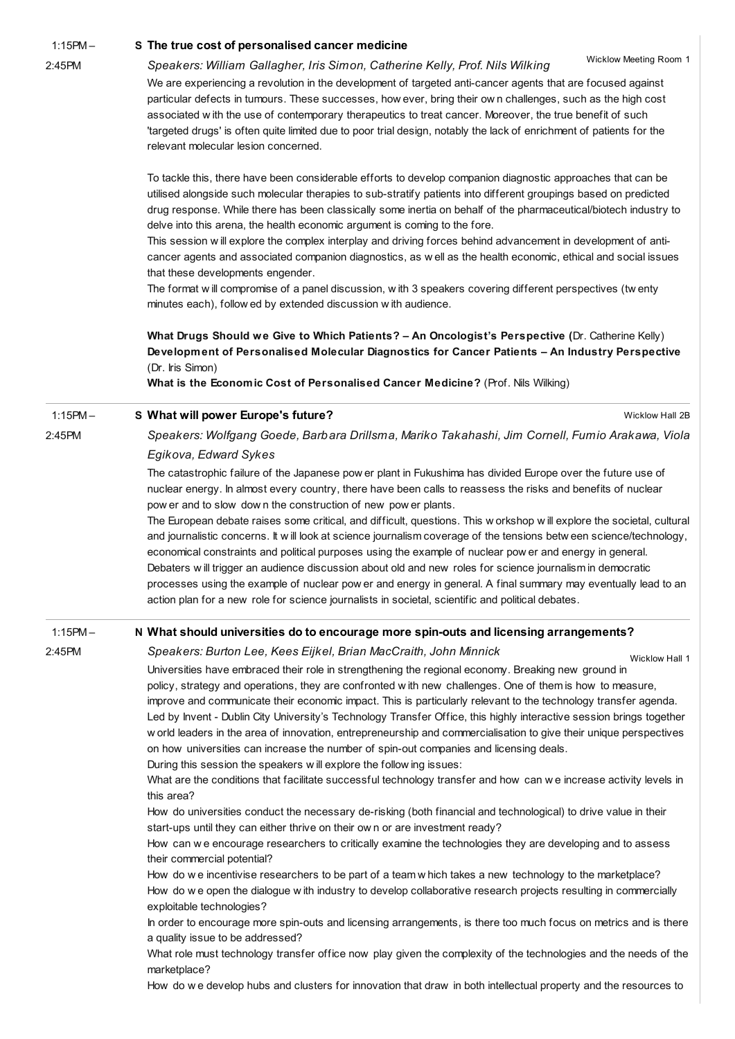1:15PM –

### 2:45PM

### S The true cost of [personalised](http://esof2012.sched.org/event/c0871c9eb369c07697be27fd3b19b0a8) cancer medicine

Wicklow Meeting Room 1

We are experiencing a revolution in the development of targeted anti-cancer agents that are focused against particular defects in tumours. These successes, how ever, bring their ow n challenges, such as the high cost associated w ith the use of contemporary therapeutics to treat cancer. Moreover, the true benefit of such 'targeted drugs' is often quite limited due to poor trial design, notably the lack of enrichment of patients for the relevant molecular lesion concerned.

Speakers: William Gallagher, Iris Simon, Catherine Kelly, Prof. Nils Wilking

To tackle this, there have been considerable efforts to develop companion diagnostic approaches that can be utilised alongside such molecular therapies to sub-stratify patients into different groupings based on predicted drug response. While there has been classically some inertia on behalf of the pharmaceutical/biotech industry to delve into this arena, the health economic argument is coming to the fore.

This session w ill explore the complex interplay and driving forces behind advancement in development of anticancer agents and associated companion diagnostics, as w ell as the health economic, ethical and social issues that these developments engender.

The format w ill compromise of a panel discussion, w ith 3 speakers covering different perspectives (tw enty minutes each), follow ed by extended discussion w ith audience.

What Drugs Should we Give to Which Patients? – An Oncologist's Perspective (Dr. Catherine Kelly) Development of Personalised Molecular Diagnostics for Cancer Patients – An Industry Perspective (Dr. Iris Simon)

What is the Economic Cost of Personalised Cancer Medicine? (Prof. Nils Wilking)

#### 1:15PM – S What will power [Europe's](http://esof2012.sched.org/event/065ab45e4f39919c9bd09050a87133da) future?

2:45PM

Speakers: Wolfgang Goede, Barbara Drillsma, Mariko Takahashi, Jim Cornell, Fumio Arakawa, Viola

### Egikova, Edward Sykes

The catastrophic failure of the Japanese pow er plant in Fukushima has divided Europe over the future use of nuclear energy. In almost every country, there have been calls to reassess the risks and benefits of nuclear pow er and to slow dow n the construction of new pow er plants.

The European debate raises some critical, and difficult, questions. This w orkshop w ill explore the societal, cultural and journalistic concerns. It w ill look at science journalism coverage of the tensions betw een science/technology, economical constraints and political purposes using the example of nuclear pow er and energy in general. Debaters w ill trigger an audience discussion about old and new roles for science journalism in democratic processes using the example of nuclear pow er and energy in general. A final summary may eventually lead to an action plan for a new role for science journalists in societal, scientific and political debates.

#### 1:15PM – N What should universities do to encourage more spin-outs and licensing [arrangements?](http://esof2012.sched.org/event/a55fb636cb5a2d860819fc821f2cbb79)

2:45PM

Speakers: Burton Lee, Kees Eijkel, Brian MacCraith, John Minnick

Wicklow Hall 1

Wicklow Hall 2B

Universities have embraced their role in strengthening the regional economy. Breaking new ground in policy, strategy and operations, they are confronted w ith new challenges. One of them is how to measure, improve and communicate their economic impact. This is particularly relevant to the technology transfer agenda. Led by Invent - Dublin City University's Technology Transfer Office, this highly interactive session brings together w orld leaders in the area of innovation, entrepreneurship and commercialisation to give their unique perspectives on how universities can increase the number of spin-out companies and licensing deals.

During this session the speakers w ill explore the follow ing issues:

What are the conditions that facilitate successful technology transfer and how can w e increase activity levels in this area?

How do universities conduct the necessary de-risking (both financial and technological) to drive value in their start-ups until they can either thrive on their ow n or are investment ready?

How can w e encourage researchers to critically examine the technologies they are developing and to assess their commercial potential?

How do w e incentivise researchers to be part of a team w hich takes a new technology to the marketplace? How do w e open the dialogue w ith industry to develop collaborative research projects resulting in commercially exploitable technologies?

In order to encourage more spin-outs and licensing arrangements, is there too much focus on metrics and is there a quality issue to be addressed?

What role must technology transfer office now play given the complexity of the technologies and the needs of the marketplace?

How do w e develop hubs and clusters for innovation that draw in both intellectual property and the resources to